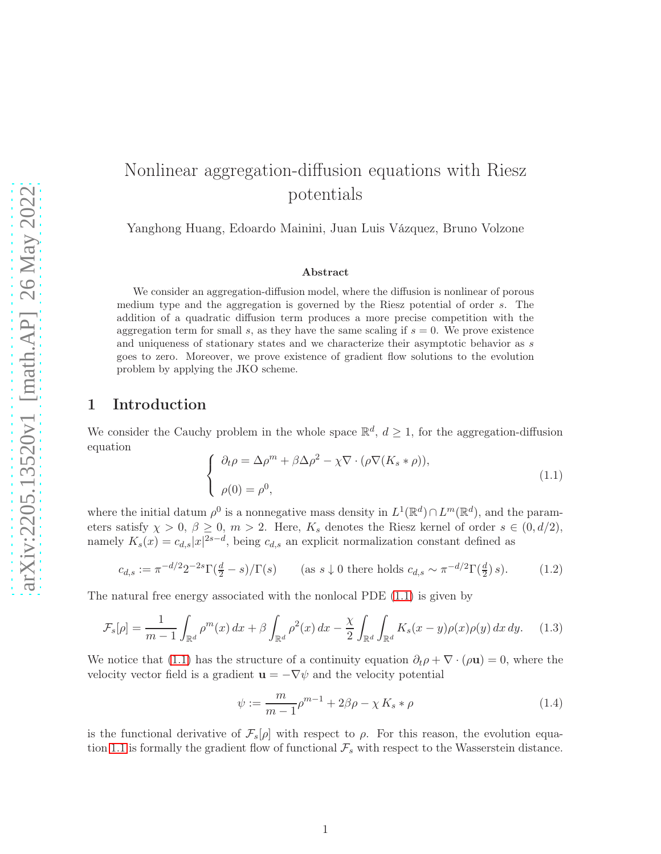# Nonlinear aggregation-diffusion equations with Riesz potentials

Yanghong Huang, Edoardo Mainini, Juan Luis Vázquez, Bruno Volzone

#### Abstract

We consider an aggregation-diffusion model, where the diffusion is nonlinear of porous medium type and the aggregation is governed by the Riesz potential of order s. The addition of a quadratic diffusion term produces a more precise competition with the aggregation term for small s, as they have the same scaling if  $s = 0$ . We prove existence and uniqueness of stationary states and we characterize their asymptotic behavior as s goes to zero. Moreover, we prove existence of gradient flow solutions to the evolution problem by applying the JKO scheme.

## 1 Introduction

We consider the Cauchy problem in the whole space  $\mathbb{R}^d$ ,  $d \geq 1$ , for the aggregation-diffusion equation

<span id="page-0-0"></span>
$$
\begin{cases} \n\partial_t \rho = \Delta \rho^m + \beta \Delta \rho^2 - \chi \nabla \cdot (\rho \nabla (K_s * \rho)), \\
\rho(0) = \rho^0, \n\end{cases} \tag{1.1}
$$

where the initial datum  $\rho^0$  is a nonnegative mass density in  $L^1(\mathbb{R}^d) \cap L^m(\mathbb{R}^d)$ , and the parameters satisfy  $\chi > 0$ ,  $\beta \ge 0$ ,  $m > 2$ . Here,  $K_s$  denotes the Riesz kernel of order  $s \in (0, d/2)$ , namely  $K_s(x) = c_{d,s}|x|^{2s-d}$ , being  $c_{d,s}$  an explicit normalization constant defined as

<span id="page-0-2"></span>
$$
c_{d,s} := \pi^{-d/2} 2^{-2s} \Gamma(\frac{d}{2} - s) / \Gamma(s) \qquad \text{(as } s \downarrow 0 \text{ there holds } c_{d,s} \sim \pi^{-d/2} \Gamma(\frac{d}{2}) s). \tag{1.2}
$$

The natural free energy associated with the nonlocal PDE [\(1.1\)](#page-0-0) is given by

$$
\mathcal{F}_s[\rho] = \frac{1}{m-1} \int_{\mathbb{R}^d} \rho^m(x) dx + \beta \int_{\mathbb{R}^d} \rho^2(x) dx - \frac{\chi}{2} \int_{\mathbb{R}^d} \int_{\mathbb{R}^d} K_s(x-y) \rho(x) \rho(y) dx dy. \tag{1.3}
$$

We notice that [\(1.1\)](#page-0-0) has the structure of a continuity equation  $\partial_t \rho + \nabla \cdot (\rho \mathbf{u}) = 0$ , where the velocity vector field is a gradient  $\mathbf{u} = -\nabla \psi$  and the velocity potential

<span id="page-0-3"></span><span id="page-0-1"></span>
$$
\psi := \frac{m}{m-1} \rho^{m-1} + 2\beta \rho - \chi K_s * \rho \tag{1.4}
$$

is the functional derivative of  $\mathcal{F}_s[\rho]$  with respect to  $\rho$ . For this reason, the evolution equa-tion [1.1](#page-0-0) is formally the gradient flow of functional  $\mathcal{F}_s$  with respect to the Wasserstein distance.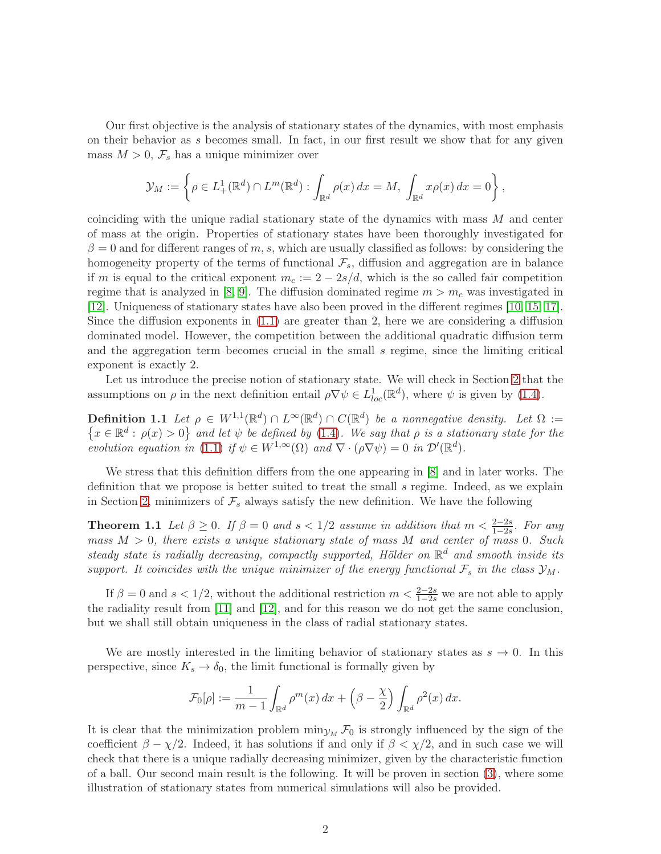Our first objective is the analysis of stationary states of the dynamics, with most emphasis on their behavior as s becomes small. In fact, in our first result we show that for any given mass  $M > 0$ ,  $\mathcal{F}_s$  has a unique minimizer over

<span id="page-1-0"></span>
$$
\mathcal{Y}_M := \left\{ \rho \in L^1_+(\mathbb{R}^d) \cap L^m(\mathbb{R}^d) : \int_{\mathbb{R}^d} \rho(x) dx = M, \int_{\mathbb{R}^d} x \rho(x) dx = 0 \right\},\
$$

coinciding with the unique radial stationary state of the dynamics with mass M and center of mass at the origin. Properties of stationary states have been thoroughly investigated for  $\beta = 0$  and for different ranges of m, s, which are usually classified as follows: by considering the homogeneity property of the terms of functional  $\mathcal{F}_s$ , diffusion and aggregation are in balance if m is equal to the critical exponent  $m_c := 2 - 2s/d$ , which is the so called fair competition regime that is analyzed in [\[8,](#page-45-0) [9\]](#page-45-1). The diffusion dominated regime  $m > m_c$  was investigated in [\[12\]](#page-45-2). Uniqueness of stationary states have also been proved in the different regimes [\[10,](#page-45-3) [15,](#page-45-4) [17\]](#page-45-5). Since the diffusion exponents in  $(1.1)$  are greater than 2, here we are considering a diffusion dominated model. However, the competition between the additional quadratic diffusion term and the aggregation term becomes crucial in the small s regime, since the limiting critical exponent is exactly 2.

Let us introduce the precise notion of stationary state. We will check in Section [2](#page-3-0) that the assumptions on  $\rho$  in the next definition entail  $\rho \nabla \psi \in L^1_{loc}(\mathbb{R}^d)$ , where  $\psi$  is given by [\(1.4\)](#page-0-1).

**Definition 1.1** Let  $\rho \in W^{1,1}(\mathbb{R}^d) \cap L^{\infty}(\mathbb{R}^d) \cap C(\mathbb{R}^d)$  be a nonnegative density. Let  $\Omega :=$  $\{x \in \mathbb{R}^d : \rho(x) > 0\}$  and let  $\psi$  be defined by [\(1.4\)](#page-0-1). We say that  $\rho$  is a stationary state for the evolution equation in [\(1.1\)](#page-0-0) if  $\psi \in W^{1,\infty}(\Omega)$  and  $\nabla \cdot (\rho \nabla \psi) = 0$  in  $\mathcal{D}'(\mathbb{R}^d)$ .

We stress that this definition differs from the one appearing in [\[8\]](#page-45-0) and in later works. The definition that we propose is better suited to treat the small s regime. Indeed, as we explain in Section [2,](#page-3-0) minimizers of  $\mathcal{F}_s$  always satisfy the new definition. We have the following

**Theorem 1.1** Let  $\beta \ge 0$ . If  $\beta = 0$  and  $s < 1/2$  assume in addition that  $m < \frac{2-2s}{1-2s}$ . For any mass  $M > 0$ , there exists a unique stationary state of mass M and center of mass 0. Such steady state is radially decreasing, compactly supported, Hölder on  $\mathbb{R}^d$  and smooth inside its support. It coincides with the unique minimizer of the energy functional  $\mathcal{F}_s$  in the class  $\mathcal{Y}_M$ .

If  $\beta = 0$  and  $s < 1/2$ , without the additional restriction  $m < \frac{2-2s}{1-2s}$  we are not able to apply the radiality result from [\[11\]](#page-45-6) and [\[12\]](#page-45-2), and for this reason we do not get the same conclusion, but we shall still obtain uniqueness in the class of radial stationary states.

We are mostly interested in the limiting behavior of stationary states as  $s \to 0$ . In this perspective, since  $K_s \to \delta_0$ , the limit functional is formally given by

<span id="page-1-1"></span>
$$
\mathcal{F}_0[\rho] := \frac{1}{m-1} \int_{\mathbb{R}^d} \rho^m(x) \, dx + \left(\beta - \frac{\chi}{2}\right) \int_{\mathbb{R}^d} \rho^2(x) \, dx.
$$

<span id="page-1-2"></span>It is clear that the minimization problem  $\min_{\mathcal{Y}_M} \mathcal{F}_0$  is strongly influenced by the sign of the coefficient  $\beta - \chi/2$ . Indeed, it has solutions if and only if  $\beta < \chi/2$ , and in such case we will check that there is a unique radially decreasing minimizer, given by the characteristic function of a ball. Our second main result is the following. It will be proven in section [\(3\)](#page-10-0), where some illustration of stationary states from numerical simulations will also be provided.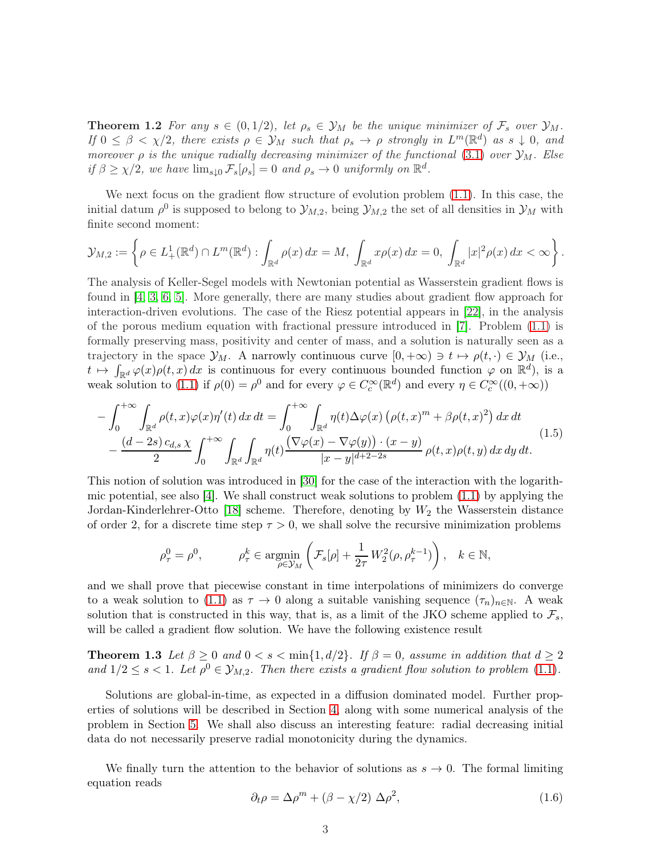**Theorem 1.2** For any  $s \in (0, 1/2)$ , let  $\rho_s \in \mathcal{Y}_M$  be the unique minimizer of  $\mathcal{F}_s$  over  $\mathcal{Y}_M$ . If  $0 \leq \beta < \chi/2$ , there exists  $\rho \in \mathcal{Y}_M$  such that  $\rho_s \to \rho$  strongly in  $L^m(\mathbb{R}^d)$  as  $s \downarrow 0$ , and moreover  $\rho$  is the unique radially decreasing minimizer of the functional [\(3.1\)](#page-10-1) over  $\mathcal{Y}_M$ . Else if  $\beta \geq \chi/2$ , we have  $\lim_{s \downarrow 0} \mathcal{F}_s[\rho_s] = 0$  and  $\rho_s \to 0$  uniformly on  $\mathbb{R}^d$ .

We next focus on the gradient flow structure of evolution problem [\(1.1\)](#page-0-0). In this case, the initial datum  $\rho^0$  is supposed to belong to  $\mathcal{Y}_{M,2}$ , being  $\mathcal{Y}_{M,2}$  the set of all densities in  $\mathcal{Y}_M$  with finite second moment:

$$
\mathcal{Y}_{M,2} := \left\{ \rho \in L^1_+(\mathbb{R}^d) \cap L^m(\mathbb{R}^d) : \int_{\mathbb{R}^d} \rho(x) dx = M, \int_{\mathbb{R}^d} x \rho(x) dx = 0, \int_{\mathbb{R}^d} |x|^2 \rho(x) dx < \infty \right\}.
$$

The analysis of Keller-Segel models with Newtonian potential as Wasserstein gradient flows is found in [\[4,](#page-44-0) [3,](#page-44-1) [6,](#page-44-2) [5\]](#page-44-3). More generally, there are many studies about gradient flow approach for interaction-driven evolutions. The case of the Riesz potential appears in [\[22\]](#page-45-7), in the analysis of the porous medium equation with fractional pressure introduced in [\[7\]](#page-44-4). Problem [\(1.1\)](#page-0-0) is formally preserving mass, positivity and center of mass, and a solution is naturally seen as a trajectory in the space  $\mathcal{Y}_M$ . A narrowly continuous curve  $[0, +\infty) \ni t \mapsto \rho(t, \cdot) \in \mathcal{Y}_M$  (i.e.,  $t \mapsto \int_{\mathbb{R}^d} \varphi(x) \rho(t,x) dx$  is continuous for every continuous bounded function  $\varphi$  on  $\mathbb{R}^d$ ), is a weak solution to [\(1.1\)](#page-0-0) if  $\rho(0) = \rho^0$  and for every  $\varphi \in C_c^{\infty}(\mathbb{R}^d)$  and every  $\eta \in C_c^{\infty}((0, +\infty))$ 

<span id="page-2-1"></span>
$$
-\int_0^{+\infty} \int_{\mathbb{R}^d} \rho(t,x)\varphi(x)\eta'(t) dx dt = \int_0^{+\infty} \int_{\mathbb{R}^d} \eta(t)\Delta\varphi(x) \left(\rho(t,x)^m + \beta\rho(t,x)^2\right) dx dt -\frac{(d-2s)c_{d,s}\chi}{2} \int_0^{+\infty} \int_{\mathbb{R}^d} \int_{\mathbb{R}^d} \eta(t) \frac{\left(\nabla\varphi(x) - \nabla\varphi(y)\right) \cdot (x-y)}{|x-y|^{d+2-2s}} \rho(t,x)\rho(t,y) dx dy dt.
$$
\n(1.5)

This notion of solution was introduced in [\[30\]](#page-46-0) for the case of the interaction with the logarithmic potential, see also [\[4\]](#page-44-0). We shall construct weak solutions to problem [\(1.1\)](#page-0-0) by applying the Jordan-Kinderlehrer-Otto [\[18\]](#page-45-8) scheme. Therefore, denoting by  $W_2$  the Wasserstein distance of order 2, for a discrete time step  $\tau > 0$ , we shall solve the recursive minimization problems

$$
\rho_{\tau}^0 = \rho^0, \qquad \rho_{\tau}^k \in \operatorname*{argmin}_{\rho \in \mathcal{Y}_M} \left( \mathcal{F}_s[\rho] + \frac{1}{2\tau} W_2^2(\rho, \rho_{\tau}^{k-1}) \right), \quad k \in \mathbb{N},
$$

and we shall prove that piecewise constant in time interpolations of minimizers do converge to a weak solution to [\(1.1\)](#page-0-0) as  $\tau \to 0$  along a suitable vanishing sequence  $(\tau_n)_{n\in\mathbb{N}}$ . A weak solution that is constructed in this way, that is, as a limit of the JKO scheme applied to  $\mathcal{F}_s$ , will be called a gradient flow solution. We have the following existence result

<span id="page-2-2"></span>**Theorem 1.3** Let  $\beta \ge 0$  and  $0 < s < \min\{1, d/2\}$ . If  $\beta = 0$ , assume in addition that  $d \ge 2$ and  $1/2 \leq s < 1$ . Let  $\rho^0 \in \mathcal{Y}_{M,2}$ . Then there exists a gradient flow solution to problem [\(1.1\)](#page-0-0).

Solutions are global-in-time, as expected in a diffusion dominated model. Further properties of solutions will be described in Section [4,](#page-18-0) along with some numerical analysis of the problem in Section [5.](#page-36-0) We shall also discuss an interesting feature: radial decreasing initial data do not necessarily preserve radial monotonicity during the dynamics.

We finally turn the attention to the behavior of solutions as  $s \to 0$ . The formal limiting equation reads

<span id="page-2-0"></span>
$$
\partial_t \rho = \Delta \rho^m + (\beta - \chi/2) \Delta \rho^2,\tag{1.6}
$$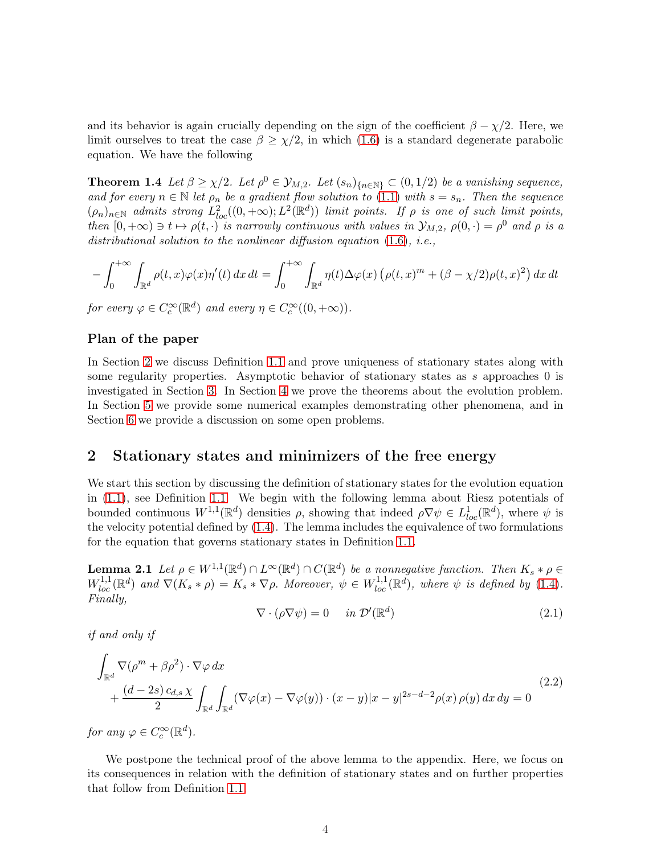and its behavior is again crucially depending on the sign of the coefficient  $\beta - \chi/2$ . Here, we limit ourselves to treat the case  $\beta \geq \chi/2$ , in which [\(1.6\)](#page-2-0) is a standard degenerate parabolic equation. We have the following

<span id="page-3-3"></span>**Theorem 1.4** Let  $\beta \geq \chi/2$ . Let  $\rho^0 \in \mathcal{Y}_{M,2}$ . Let  $(s_n)_{n \in \mathbb{N}} \subset (0,1/2)$  be a vanishing sequence, and for every  $n \in \mathbb{N}$  let  $\rho_n$  be a gradient flow solution to [\(1.1\)](#page-0-0) with  $s = s_n$ . Then the sequence  $(\rho_n)_{n \in \mathbb{N}}$  admits strong  $L^2_{loc}((0, +\infty); L^2(\mathbb{R}^d))$  limit points. If  $\rho$  is one of such limit points, then  $[0, +\infty) \ni t \mapsto \rho(t, \cdot)$  is narrowly continuous with values in  $\mathcal{Y}_{M,2}$ ,  $\rho(0, \cdot) = \rho^0$  and  $\rho$  is a distributional solution to the nonlinear diffusion equation  $(1.6)$ , *i.e.*,

$$
-\int_0^{+\infty}\int_{\mathbb{R}^d}\rho(t,x)\varphi(x)\eta'(t)\,dx\,dt=\int_0^{+\infty}\int_{\mathbb{R}^d}\eta(t)\Delta\varphi(x)\left(\rho(t,x)^m+(\beta-\chi/2)\rho(t,x)^2\right)dx\,dt
$$

for every  $\varphi \in C_c^{\infty}(\mathbb{R}^d)$  and every  $\eta \in C_c^{\infty}((0, +\infty))$ .

#### Plan of the paper

In Section [2](#page-3-0) we discuss Definition [1.1](#page-1-0) and prove uniqueness of stationary states along with some regularity properties. Asymptotic behavior of stationary states as s approaches 0 is investigated in Section [3.](#page-10-0) In Section [4](#page-18-0) we prove the theorems about the evolution problem. In Section [5](#page-36-0) we provide some numerical examples demonstrating other phenomena, and in Section [6](#page-39-0) we provide a discussion on some open problems.

## <span id="page-3-0"></span>2 Stationary states and minimizers of the free energy

We start this section by discussing the definition of stationary states for the evolution equation in [\(1.1\)](#page-0-0), see Definition [1.1.](#page-1-0) We begin with the following lemma about Riesz potentials of bounded continuous  $W^{1,1}(\mathbb{R}^d)$  densities  $\rho$ , showing that indeed  $\rho \nabla \psi \in L^1_{loc}(\mathbb{R}^d)$ , where  $\psi$  is the velocity potential defined by [\(1.4\)](#page-0-1). The lemma includes the equivalence of two formulations for the equation that governs stationary states in Definition [1.1.](#page-1-0)

<span id="page-3-1"></span>**Lemma 2.1** Let  $\rho \in W^{1,1}(\mathbb{R}^d) \cap L^{\infty}(\mathbb{R}^d) \cap C(\mathbb{R}^d)$  be a nonnegative function. Then  $K_s * \rho \in$  $W_{loc}^{1,1}(\mathbb{R}^d)$  and  $\nabla(K_s*\rho)=K_s*\nabla\rho$ . Moreover,  $\psi\in W_{loc}^{1,1}(\mathbb{R}^d)$ , where  $\psi$  is defined by [\(1.4\)](#page-0-1). Finally,

<span id="page-3-2"></span>
$$
\nabla \cdot (\rho \nabla \psi) = 0 \quad in \mathcal{D}'(\mathbb{R}^d)
$$
\n(2.1)

if and only if

<span id="page-3-4"></span>
$$
\int_{\mathbb{R}^d} \nabla(\rho^m + \beta \rho^2) \cdot \nabla \varphi \, dx
$$
\n
$$
+ \frac{(d-2s)c_{d,s} \chi}{2} \int_{\mathbb{R}^d} \int_{\mathbb{R}^d} (\nabla \varphi(x) - \nabla \varphi(y)) \cdot (x - y)|x - y|^{2s - d - 2} \rho(x) \rho(y) \, dx \, dy = 0
$$
\n(2.2)

for any  $\varphi \in C_c^{\infty}(\mathbb{R}^d)$ .

We postpone the technical proof of the above lemma to the appendix. Here, we focus on its consequences in relation with the definition of stationary states and on further properties that follow from Definition [1.1.](#page-1-0)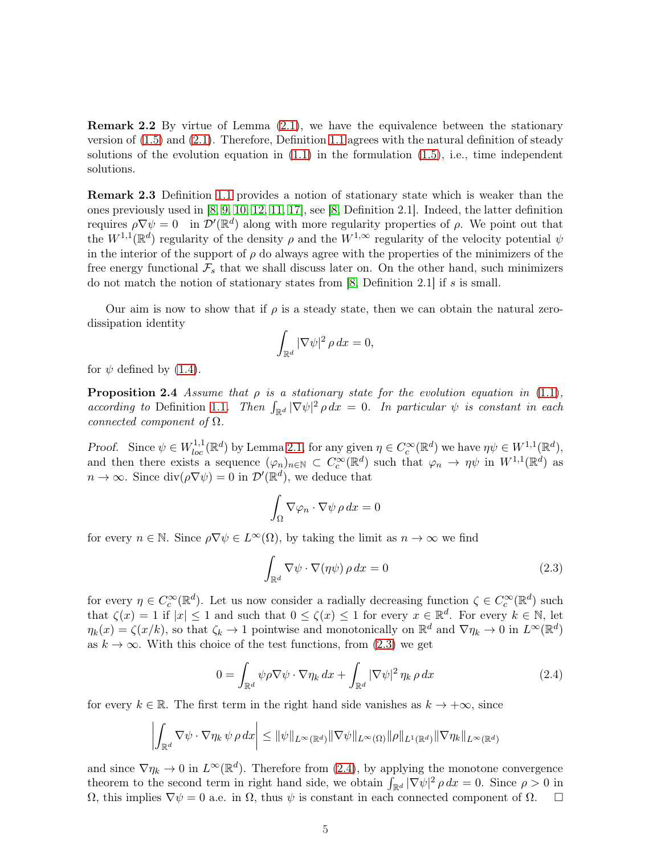Remark 2.2 By virtue of Lemma [\(2.1\)](#page-3-1), we have the equivalence between the stationary version of [\(1.5\)](#page-2-1) and [\(2.1\)](#page-3-2). Therefore, Definition [1.1](#page-1-0) agrees with the natural definition of steady solutions of the evolution equation in  $(1.1)$  in the formulation  $(1.5)$ , i.e., time independent solutions.

Remark 2.3 Definition [1.1](#page-1-0) provides a notion of stationary state which is weaker than the ones previously used in [\[8,](#page-45-0) [9,](#page-45-1) [10,](#page-45-3) [12,](#page-45-2) [11,](#page-45-6) [17\]](#page-45-5), see [\[8,](#page-45-0) Definition 2.1]. Indeed, the latter definition requires  $\rho \nabla \psi = 0$  in  $\mathcal{D}'(\mathbb{R}^d)$  along with more regularity properties of  $\rho$ . We point out that the  $W^{1,1}(\mathbb{R}^d)$  regularity of the density  $\rho$  and the  $W^{1,\infty}$  regularity of the velocity potential  $\psi$ in the interior of the support of  $\rho$  do always agree with the properties of the minimizers of the free energy functional  $\mathcal{F}_s$  that we shall discuss later on. On the other hand, such minimizers do not match the notion of stationary states from [\[8,](#page-45-0) Definition 2.1] if s is small.

Our aim is now to show that if  $\rho$  is a steady state, then we can obtain the natural zerodissipation identity

<span id="page-4-2"></span>
$$
\int_{\mathbb{R}^d} |\nabla \psi|^2 \, \rho \, dx = 0,
$$

for  $\psi$  defined by [\(1.4\)](#page-0-1).

**Proposition 2.4** Assume that  $\rho$  is a stationary state for the evolution equation in [\(1.1\)](#page-0-0), according to Definition [1.1](#page-1-0). Then  $\int_{\mathbb{R}^d} |\nabla \psi|^2 \rho dx = 0$ . In particular  $\psi$  is constant in each connected component of  $\Omega$ .

Proof. Since  $\psi \in W^{1,1}_{loc}(\mathbb{R}^d)$  by Lemma [2.1,](#page-3-1) for any given  $\eta \in C_c^{\infty}(\mathbb{R}^d)$  we have  $\eta \psi \in W^{1,1}(\mathbb{R}^d)$ , and then there exists a sequence  $(\varphi_n)_{n\in\mathbb{N}}\subset C_c^{\infty}(\mathbb{R}^d)$  such that  $\varphi_n \to \eta\psi$  in  $W^{1,1}(\mathbb{R}^d)$  as  $n \to \infty$ . Since  $\text{div}(\rho \nabla \psi) = 0$  in  $\mathcal{D}'(\mathbb{R}^d)$ , we deduce that

$$
\int_{\Omega} \nabla \varphi_n \cdot \nabla \psi \, \rho \, dx = 0
$$

for every  $n \in \mathbb{N}$ . Since  $\rho \nabla \psi \in L^{\infty}(\Omega)$ , by taking the limit as  $n \to \infty$  we find

<span id="page-4-0"></span>
$$
\int_{\mathbb{R}^d} \nabla \psi \cdot \nabla (\eta \psi) \, \rho \, dx = 0 \tag{2.3}
$$

for every  $\eta \in C_c^{\infty}(\mathbb{R}^d)$ . Let us now consider a radially decreasing function  $\zeta \in C_c^{\infty}(\mathbb{R}^d)$  such that  $\zeta(x) = 1$  if  $|x| \leq 1$  and such that  $0 \leq \zeta(x) \leq 1$  for every  $x \in \mathbb{R}^d$ . For every  $k \in \mathbb{N}$ , let  $\eta_k(x) = \zeta(x/k)$ , so that  $\zeta_k \to 1$  pointwise and monotonically on  $\mathbb{R}^d$  and  $\nabla \eta_k \to 0$  in  $L^\infty(\mathbb{R}^d)$ as  $k \to \infty$ . With this choice of the test functions, from [\(2.3\)](#page-4-0) we get

<span id="page-4-1"></span>
$$
0 = \int_{\mathbb{R}^d} \psi \rho \nabla \psi \cdot \nabla \eta_k \, dx + \int_{\mathbb{R}^d} |\nabla \psi|^2 \, \eta_k \, \rho \, dx \tag{2.4}
$$

for every  $k \in \mathbb{R}$ . The first term in the right hand side vanishes as  $k \to +\infty$ , since

$$
\left| \int_{\mathbb{R}^d} \nabla \psi \cdot \nabla \eta_k \, \psi \, \rho \, dx \right| \leq \|\psi\|_{L^\infty(\mathbb{R}^d)} \|\nabla \psi\|_{L^\infty(\Omega)} \|\rho\|_{L^1(\mathbb{R}^d)} \|\nabla \eta_k\|_{L^\infty(\mathbb{R}^d)}
$$

and since  $\nabla \eta_k \to 0$  in  $L^{\infty}(\mathbb{R}^d)$ . Therefore from [\(2.4\)](#page-4-1), by applying the monotone convergence theorem to the second term in right hand side, we obtain  $\int_{\mathbb{R}^d} |\nabla \psi|^2 \rho dx = 0$ . Since  $\rho > 0$  in  $Ω$ , this implies  $∇ψ = 0$  a.e. in  $Ω$ , thus  $ψ$  is constant in each connected component of  $Ω$ .  $□$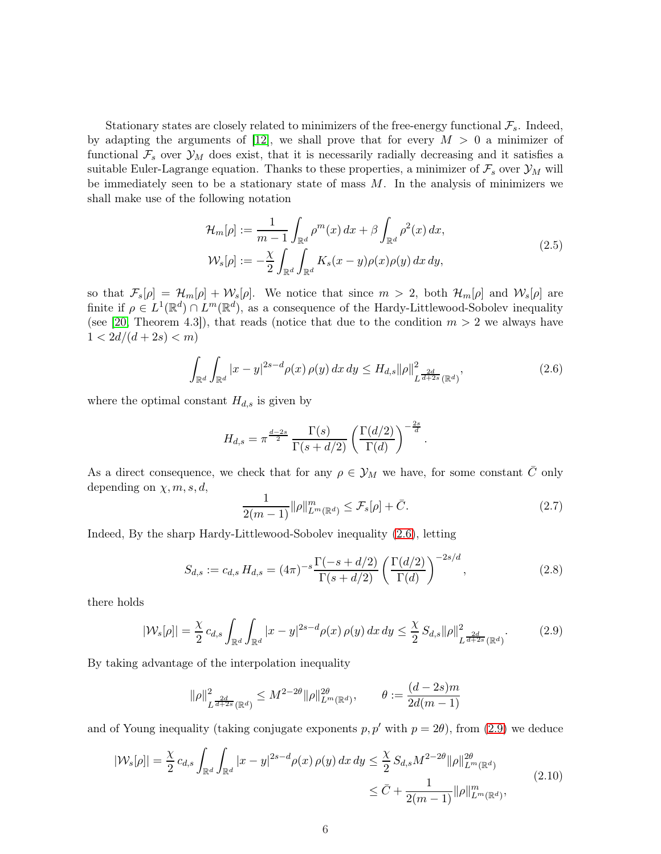Stationary states are closely related to minimizers of the free-energy functional  $\mathcal{F}_s$ . Indeed, by adapting the arguments of [\[12\]](#page-45-2), we shall prove that for every  $M > 0$  a minimizer of functional  $\mathcal{F}_s$  over  $\mathcal{Y}_M$  does exist, that it is necessarily radially decreasing and it satisfies a suitable Euler-Lagrange equation. Thanks to these properties, a minimizer of  $\mathcal{F}_s$  over  $\mathcal{Y}_M$  will be immediately seen to be a stationary state of mass  $M$ . In the analysis of minimizers we shall make use of the following notation

<span id="page-5-5"></span>
$$
\mathcal{H}_m[\rho] := \frac{1}{m-1} \int_{\mathbb{R}^d} \rho^m(x) dx + \beta \int_{\mathbb{R}^d} \rho^2(x) dx,
$$
\n
$$
\mathcal{W}_s[\rho] := -\frac{\chi}{2} \int_{\mathbb{R}^d} \int_{\mathbb{R}^d} K_s(x-y) \rho(x) \rho(y) dx dy,
$$
\n(2.5)

so that  $\mathcal{F}_s[\rho] = \mathcal{H}_m[\rho] + \mathcal{W}_s[\rho]$ . We notice that since  $m > 2$ , both  $\mathcal{H}_m[\rho]$  and  $\mathcal{W}_s[\rho]$  are finite if  $\rho \in L^1(\mathbb{R}^d) \cap L^m(\mathbb{R}^d)$ , as a consequence of the Hardy-Littlewood-Sobolev inequality (see [\[20,](#page-45-9) Theorem 4.3]), that reads (notice that due to the condition  $m > 2$  we always have  $1 < 2d/(d+2s) < m$ 

<span id="page-5-0"></span>
$$
\int_{\mathbb{R}^d} \int_{\mathbb{R}^d} |x - y|^{2s - d} \rho(x) \, \rho(y) \, dx \, dy \le H_{d,s} \|\rho\|_{L^{\frac{2d}{d + 2s}}(\mathbb{R}^d)}^2,
$$
\n(2.6)

where the optimal constant  $H_{d,s}$  is given by

$$
H_{d,s} = \pi^{\frac{d-2s}{2}} \frac{\Gamma(s)}{\Gamma(s+d/2)} \left( \frac{\Gamma(d/2)}{\Gamma(d)} \right)^{-\frac{2s}{d}}.
$$

As a direct consequence, we check that for any  $\rho \in \mathcal{Y}_M$  we have, for some constant  $\overline{C}$  only depending on  $\chi, m, s, d$ ,

<span id="page-5-2"></span>
$$
\frac{1}{2(m-1)} \|\rho\|_{L^m(\mathbb{R}^d)}^m \le \mathcal{F}_s[\rho] + \bar{C}.\tag{2.7}
$$

Indeed, By the sharp Hardy-Littlewood-Sobolev inequality [\(2.6\)](#page-5-0), letting

<span id="page-5-4"></span>
$$
S_{d,s} := c_{d,s} H_{d,s} = (4\pi)^{-s} \frac{\Gamma(-s + d/2)}{\Gamma(s + d/2)} \left(\frac{\Gamma(d/2)}{\Gamma(d)}\right)^{-2s/d}, \qquad (2.8)
$$

there holds

<span id="page-5-1"></span>
$$
|\mathcal{W}_s[\rho]| = \frac{\chi}{2} c_{d,s} \int_{\mathbb{R}^d} \int_{\mathbb{R}^d} |x - y|^{2s - d} \rho(x) \, \rho(y) \, dx \, dy \le \frac{\chi}{2} S_{d,s} \|\rho\|_{L^{\frac{2d}{d + 2s}}(\mathbb{R}^d)}^2. \tag{2.9}
$$

By taking advantage of the interpolation inequality

$$
\|\rho\|_{L^{\frac{2d}{d+2s}}(\mathbb{R}^d)}^2 \le M^{2-2\theta} \|\rho\|_{L^m(\mathbb{R}^d)}^{2\theta}, \qquad \theta := \frac{(d-2s)m}{2d(m-1)}
$$

and of Young inequality (taking conjugate exponents  $p, p'$  with  $p = 2\theta$ ), from [\(2.9\)](#page-5-1) we deduce

<span id="page-5-3"></span>
$$
|\mathcal{W}_s[\rho]| = \frac{\chi}{2} c_{d,s} \int_{\mathbb{R}^d} \int_{\mathbb{R}^d} |x - y|^{2s - d} \rho(x) \, \rho(y) \, dx \, dy \leq \frac{\chi}{2} S_{d,s} M^{2 - 2\theta} ||\rho||_{L^m(\mathbb{R}^d)}^{2\theta} \\
\leq \bar{C} + \frac{1}{2(m-1)} ||\rho||_{L^m(\mathbb{R}^d)}^m,
$$
\n(2.10)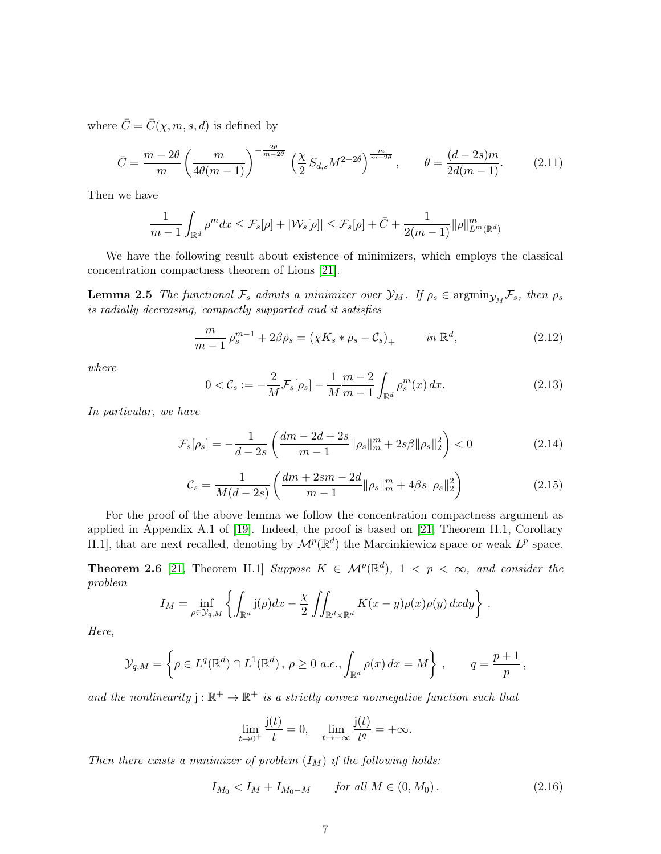where  $\overline{C} = \overline{C}(\chi, m, s, d)$  is defined by

<span id="page-6-8"></span>
$$
\bar{C} = \frac{m - 2\theta}{m} \left( \frac{m}{4\theta(m - 1)} \right)^{-\frac{2\theta}{m - 2\theta}} \left( \frac{\chi}{2} S_{d,s} M^{2 - 2\theta} \right)^{\frac{m}{m - 2\theta}}, \qquad \theta = \frac{(d - 2s)m}{2d(m - 1)}.
$$
 (2.11)

Then we have

$$
\frac{1}{m-1}\int_{\mathbb{R}^d}\rho^m dx \leq \mathcal{F}_s[\rho] + |\mathcal{W}_s[\rho]| \leq \mathcal{F}_s[\rho] + \bar{C} + \frac{1}{2(m-1)}\|\rho\|_{L^m(\mathbb{R}^d)}^m
$$

We have the following result about existence of minimizers, which employs the classical concentration compactness theorem of Lions [\[21\]](#page-45-10).

**Lemma 2.5** The functional  $\mathcal{F}_s$  admits a minimizer over  $\mathcal{Y}_M$ . If  $\rho_s \in \text{argmin}_{\mathcal{Y}_M} \mathcal{F}_s$ , then  $\rho_s$ is radially decreasing, compactly supported and it satisfies

<span id="page-6-4"></span><span id="page-6-1"></span>
$$
\frac{m}{m-1} \rho_s^{m-1} + 2\beta \rho_s = (\chi K_s * \rho_s - C_s)_+ \qquad in \ \mathbb{R}^d,
$$
\n(2.12)

where

<span id="page-6-5"></span>
$$
0 < \mathcal{C}_s := -\frac{2}{M} \mathcal{F}_s[\rho_s] - \frac{1}{M} \frac{m-2}{m-1} \int_{\mathbb{R}^d} \rho_s^m(x) \, dx. \tag{2.13}
$$

In particular, we have

<span id="page-6-6"></span>
$$
\mathcal{F}_s[\rho_s] = -\frac{1}{d-2s} \left( \frac{dm - 2d + 2s}{m-1} ||\rho_s||_m^m + 2s\beta ||\rho_s||_2^2 \right) < 0 \tag{2.14}
$$

<span id="page-6-7"></span>
$$
C_s = \frac{1}{M(d-2s)} \left( \frac{dm + 2sm - 2d}{m-1} ||\rho_s||_m^m + 4\beta s ||\rho_s||_2^2 \right) \tag{2.15}
$$

For the proof of the above lemma we follow the concentration compactness argument as applied in Appendix A.1 of [\[19\]](#page-45-11). Indeed, the proof is based on [\[21,](#page-45-10) Theorem II.1, Corollary II.1], that are next recalled, denoting by  $\mathcal{M}^p(\mathbb{R}^d)$  the Marcinkiewicz space or weak  $L^p$  space.

**Theorem 2.6** [\[21,](#page-45-10) Theorem II.1] Suppose  $K \in \mathcal{M}^p(\mathbb{R}^d)$ ,  $1 \lt p \lt \infty$ , and consider the problem

$$
I_M = \inf_{\rho \in \mathcal{Y}_{q,M}} \left\{ \int_{\mathbb{R}^d} \mathsf{j}(\rho) dx - \frac{\chi}{2} \iint_{\mathbb{R}^d \times \mathbb{R}^d} K(x - y) \rho(x) \rho(y) dx dy \right\}.
$$

Here,

$$
\mathcal{Y}_{q,M} = \left\{ \rho \in L^q(\mathbb{R}^d) \cap L^1(\mathbb{R}^d), \ \rho \ge 0 \ a.e., \int_{\mathbb{R}^d} \rho(x) \, dx = M \right\}, \qquad q = \frac{p+1}{p},
$$

and the nonlinearity  $j : \mathbb{R}^+ \to \mathbb{R}^+$  is a strictly convex nonnegative function such that

<span id="page-6-3"></span>
$$
\lim_{t \to 0^+} \frac{\mathbf{j}(t)}{t} = 0, \quad \lim_{t \to +\infty} \frac{\mathbf{j}(t)}{t^q} = +\infty.
$$

<span id="page-6-2"></span>Then there exists a minimizer of problem  $(I_M)$  if the following holds:

<span id="page-6-0"></span>
$$
I_{M_0} < I_M + I_{M_0 - M} \qquad \text{for all } M \in (0, M_0). \tag{2.16}
$$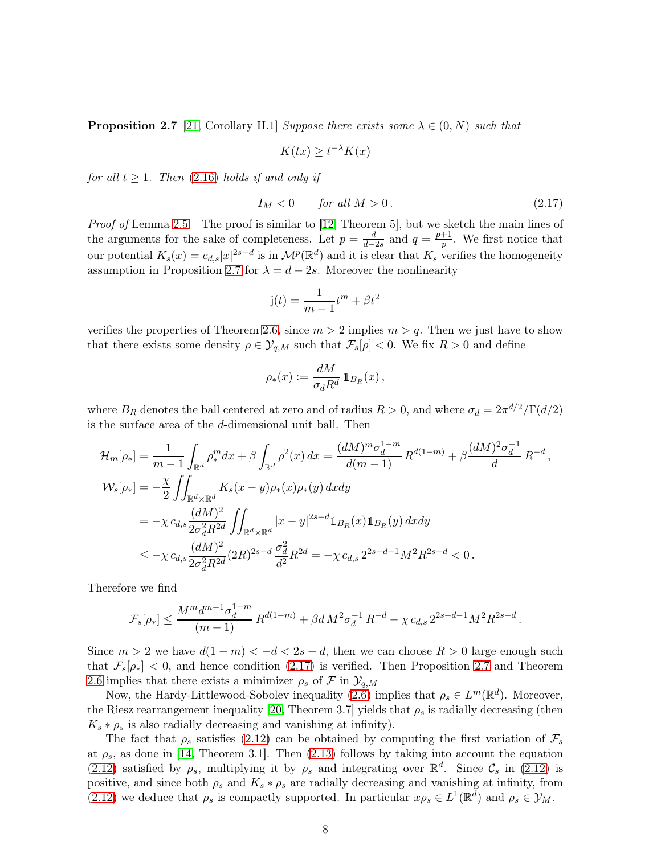**Proposition 2.7** [\[21,](#page-45-10) Corollary II.1] Suppose there exists some  $\lambda \in (0, N)$  such that

$$
K(tx) \ge t^{-\lambda} K(x)
$$

for all  $t \geq 1$ . Then [\(2.16\)](#page-6-0) holds if and only if

<span id="page-7-0"></span>
$$
I_M < 0 \qquad \text{for all } M > 0. \tag{2.17}
$$

Proof of Lemma [2.5.](#page-6-1) The proof is similar to [\[12,](#page-45-2) Theorem 5], but we sketch the main lines of the arguments for the sake of completeness. Let  $p = \frac{d}{d-p}$  $\frac{d}{d-2s}$  and  $q = \frac{p+1}{p}$  $\frac{+1}{p}$ . We first notice that our potential  $K_s(x) = c_{d,s}|x|^{2s-d}$  is in  $\mathcal{M}^p(\mathbb{R}^d)$  and it is clear that  $K_s$  verifies the homogeneity assumption in Proposition [2.7](#page-6-2) for  $\lambda = d - 2s$ . Moreover the nonlinearity

$$
\mathbf{j}(t) = \frac{1}{m-1}t^m + \beta t^2
$$

verifies the properties of Theorem [2.6,](#page-6-3) since  $m > 2$  implies  $m > q$ . Then we just have to show that there exists some density  $\rho \in \mathcal{Y}_{q,M}$  such that  $\mathcal{F}_s[\rho] < 0$ . We fix  $R > 0$  and define

$$
\rho_*(x) := \frac{dM}{\sigma_d R^d} \mathbb{1}_{B_R}(x) ,
$$

where  $B_R$  denotes the ball centered at zero and of radius  $R > 0$ , and where  $\sigma_d = 2\pi^{d/2}/\Gamma(d/2)$ is the surface area of the d-dimensional unit ball. Then

$$
\mathcal{H}_{m}[\rho_{*}] = \frac{1}{m-1} \int_{\mathbb{R}^{d}} \rho_{*}^{m} dx + \beta \int_{\mathbb{R}^{d}} \rho^{2}(x) dx = \frac{(dM)^{m} \sigma_{d}^{1-m}}{d(m-1)} R^{d(1-m)} + \beta \frac{(dM)^{2} \sigma_{d}^{-1}}{d} R^{-d},
$$
  
\n
$$
\mathcal{W}_{s}[\rho_{*}] = -\frac{\chi}{2} \iint_{\mathbb{R}^{d} \times \mathbb{R}^{d}} K_{s}(x-y) \rho_{*}(x) \rho_{*}(y) dx dy
$$
  
\n
$$
= -\chi c_{d,s} \frac{(dM)^{2}}{2\sigma_{d}^{2} R^{2d}} \iint_{\mathbb{R}^{d} \times \mathbb{R}^{d}} |x-y|^{2s-d} \mathbb{1}_{B_{R}}(x) \mathbb{1}_{B_{R}}(y) dx dy
$$
  
\n
$$
\leq -\chi c_{d,s} \frac{(dM)^{2}}{2\sigma_{d}^{2} R^{2d}} (2R)^{2s-d} \frac{\sigma_{d}^{2}}{d^{2}} R^{2d} = -\chi c_{d,s} 2^{2s-d-1} M^{2} R^{2s-d} < 0.
$$

Therefore we find

$$
\mathcal{F}_s[\rho_*] \leq \frac{M^m d^{m-1} \sigma_d^{1-m}}{(m-1)} \, R^{d(1-m)} + \beta d \, M^2 \sigma_d^{-1} \, R^{-d} - \chi \, c_{d,s} \, 2^{2s-d-1} M^2 R^{2s-d} \, .
$$

Since  $m > 2$  we have  $d(1 - m) < -d < 2s - d$ , then we can choose  $R > 0$  large enough such that  $\mathcal{F}_s[\rho_*] < 0$ , and hence condition [\(2.17\)](#page-7-0) is verified. Then Proposition [2.7](#page-6-2) and Theorem [2.6](#page-6-3) implies that there exists a minimizer  $\rho_s$  of F in  $\mathcal{Y}_{q,M}$ 

Now, the Hardy-Littlewood-Sobolev inequality [\(2.6\)](#page-5-0) implies that  $\rho_s \in L^m(\mathbb{R}^d)$ . Moreover, the Riesz rearrangement inequality [\[20,](#page-45-9) Theorem 3.7] yields that  $\rho_s$  is radially decreasing (then  $K_s * \rho_s$  is also radially decreasing and vanishing at infinity).

The fact that  $\rho_s$  satisfies [\(2.12\)](#page-6-4) can be obtained by computing the first variation of  $\mathcal{F}_s$ at  $\rho_s$ , as done in [\[14,](#page-45-12) Theorem 3.1]. Then [\(2.13\)](#page-6-5) follows by taking into account the equation [\(2.12\)](#page-6-4) satisfied by  $\rho_s$ , multiplying it by  $\rho_s$  and integrating over  $\mathbb{R}^d$ . Since  $\mathcal{C}_s$  in [\(2.12\)](#page-6-4) is positive, and since both  $\rho_s$  and  $K_s * \rho_s$  are radially decreasing and vanishing at infinity, from [\(2.12\)](#page-6-4) we deduce that  $\rho_s$  is compactly supported. In particular  $x\rho_s \in L^1(\mathbb{R}^d)$  and  $\rho_s \in \mathcal{Y}_M$ .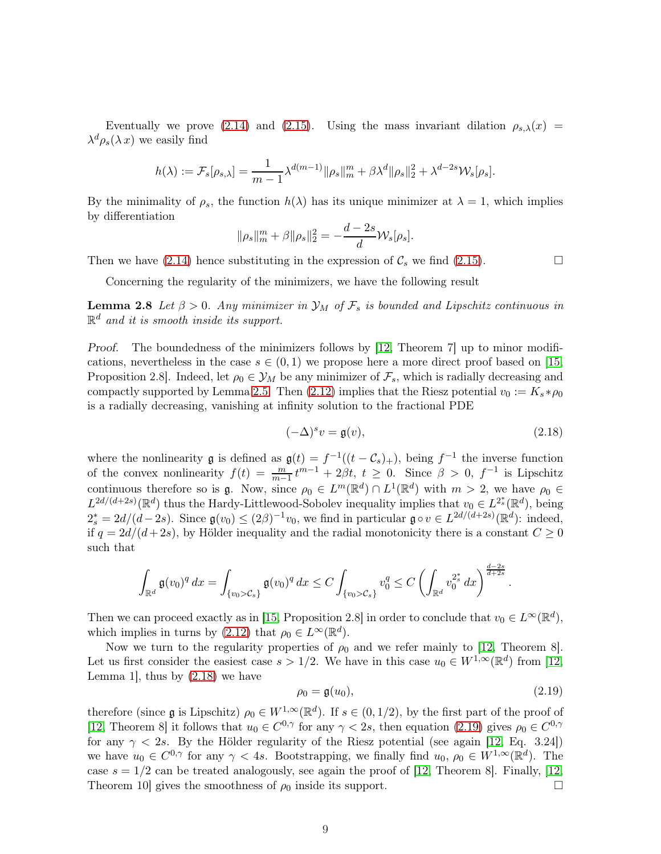Eventually we prove [\(2.14\)](#page-6-6) and [\(2.15\)](#page-6-7). Using the mass invariant dilation  $\rho_{s,\lambda}(x)$  =  $\lambda^d \rho_s(\lambda x)$  we easily find

$$
h(\lambda) := \mathcal{F}_s[\rho_{s,\lambda}] = \frac{1}{m-1} \lambda^{d(m-1)} ||\rho_s||_m^m + \beta \lambda^d ||\rho_s||_2^2 + \lambda^{d-2s} \mathcal{W}_s[\rho_s].
$$

By the minimality of  $\rho_s$ , the function  $h(\lambda)$  has its unique minimizer at  $\lambda = 1$ , which implies by differentiation

$$
\|\rho_s\|_m^m + \beta \|\rho_s\|_2^2 = -\frac{d-2s}{d} \mathcal{W}_s[\rho_s].
$$

Then we have [\(2.14\)](#page-6-6) hence substituting in the expression of  $\mathcal{C}_s$  we find [\(2.15\)](#page-6-7).

Concerning the regularity of the minimizers, we have the following result

**Lemma 2.8** Let  $\beta > 0$ . Any minimizer in  $\mathcal{Y}_M$  of  $\mathcal{F}_s$  is bounded and Lipschitz continuous in  $\mathbb{R}^d$  and it is smooth inside its support.

Proof. The boundedness of the minimizers follows by [\[12,](#page-45-2) Theorem 7] up to minor modifications, nevertheless in the case  $s \in (0,1)$  we propose here a more direct proof based on [\[15,](#page-45-4) Proposition 2.8]. Indeed, let  $\rho_0 \in \mathcal{Y}_M$  be any minimizer of  $\mathcal{F}_s$ , which is radially decreasing and compactly supported by Lemma [2.5.](#page-6-1) Then [\(2.12\)](#page-6-4) implies that the Riesz potential  $v_0 := K_s * \rho_0$ is a radially decreasing, vanishing at infinity solution to the fractional PDE

<span id="page-8-0"></span>
$$
(-\Delta)^s v = \mathfrak{g}(v),\tag{2.18}
$$

where the nonlinearity **g** is defined as  $\mathfrak{g}(t) = f^{-1}((t - \mathcal{C}_s)_+)$ , being  $f^{-1}$  the inverse function of the convex nonlinearity  $f(t) = \frac{m}{m-1} t^{m-1} + 2\beta t$ ,  $t \ge 0$ . Since  $\beta > 0$ ,  $f^{-1}$  is Lipschitz continuous therefore so is  $\mathfrak{g}$ . Now, since  $\rho_0 \in L^m(\mathbb{R}^d) \cap L^1(\mathbb{R}^d)$  with  $m > 2$ , we have  $\rho_0 \in L^2(\mathbb{R}^d)$  $L^{2d/(d+2s)}(\mathbb{R}^d)$  thus the Hardy-Littlewood-Sobolev inequality implies that  $v_0 \in L^{2_s^*}(\mathbb{R}^d)$ , being  $2_s^* = 2d/(d-2s)$ . Since  $\mathfrak{g}(v_0) \leq (2\beta)^{-1}v_0$ , we find in particular  $\mathfrak{g} \circ v \in L^{2d/(d+2s)}(\mathbb{R}^d)$ : indeed, if  $q = 2d/(d+2s)$ , by Hölder inequality and the radial monotonicity there is a constant  $C \geq 0$ such that

$$
\int_{\mathbb{R}^d} \mathfrak{g}(v_0)^q \, dx = \int_{\{v_0 > C_s\}} \mathfrak{g}(v_0)^q \, dx \leq C \int_{\{v_0 > C_s\}} v_0^q \leq C \left( \int_{\mathbb{R}^d} v_0^{2^*_s} \, dx \right)^{\frac{d-2s}{d+2s}}.
$$

Then we can proceed exactly as in [\[15,](#page-45-4) Proposition 2.8] in order to conclude that  $v_0 \in L^{\infty}(\mathbb{R}^d)$ , which implies in turns by [\(2.12\)](#page-6-4) that  $\rho_0 \in L^{\infty}(\mathbb{R}^d)$ .

Now we turn to the regularity properties of  $\rho_0$  and we refer mainly to [\[12,](#page-45-2) Theorem 8]. Let us first consider the easiest case  $s > 1/2$ . We have in this case  $u_0 \in W^{1,\infty}(\mathbb{R}^d)$  from [\[12,](#page-45-2) Lemma 1, thus by  $(2.18)$  we have

<span id="page-8-1"></span>
$$
\rho_0 = \mathfrak{g}(u_0),\tag{2.19}
$$

<span id="page-8-3"></span>therefore (since  $\mathfrak g$  is Lipschitz)  $\rho_0 \in W^{1,\infty}(\mathbb R^d)$ . If  $s \in (0,1/2)$ , by the first part of the proof of [\[12,](#page-45-2) Theorem 8] it follows that  $u_0 \in C^{0,\gamma}$  for any  $\gamma < 2s$ , then equation [\(2.19\)](#page-8-1) gives  $\rho_0 \in C^{0,\gamma}$ for any  $\gamma$  < 2s. By the Hölder regularity of the Riesz potential (see again [\[12,](#page-45-2) Eq. 3.24]) we have  $u_0 \in C^{0,\gamma}$  for any  $\gamma < 4s$ . Bootstrapping, we finally find  $u_0, \rho_0 \in W^{1,\infty}(\mathbb{R}^d)$ . The case  $s = 1/2$  can be treated analogously, see again the proof of [\[12,](#page-45-2) Theorem 8]. Finally, [12, Theorem 10 gives the smoothness of  $\rho_0$  inside its support.

<span id="page-8-2"></span>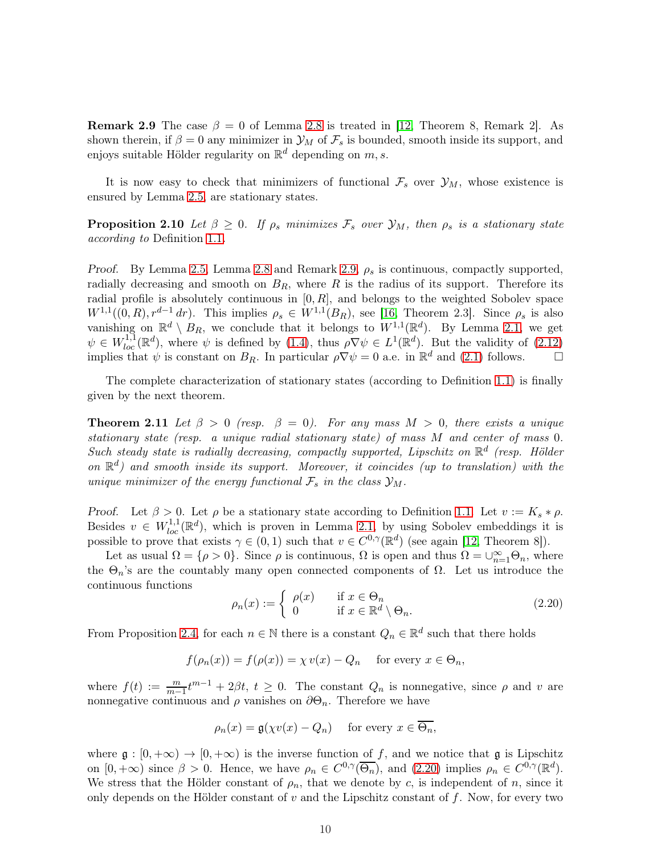**Remark 2.9** The case  $\beta = 0$  of Lemma [2.8](#page-8-2) is treated in [\[12,](#page-45-2) Theorem 8, Remark 2]. As shown therein, if  $\beta = 0$  any minimizer in  $\mathcal{Y}_M$  of  $\mathcal{F}_s$  is bounded, smooth inside its support, and enjoys suitable Hölder regularity on  $\mathbb{R}^d$  depending on  $m, s$ .

<span id="page-9-1"></span>It is now easy to check that minimizers of functional  $\mathcal{F}_s$  over  $\mathcal{Y}_M$ , whose existence is ensured by Lemma [2.5,](#page-6-1) are stationary states.

**Proposition 2.10** Let  $\beta \geq 0$ . If  $\rho_s$  minimizes  $\mathcal{F}_s$  over  $\mathcal{Y}_M$ , then  $\rho_s$  is a stationary state according to Definition [1.1](#page-1-0).

*Proof.* By Lemma [2.5,](#page-6-1) Lemma [2.8](#page-8-2) and Remark [2.9,](#page-8-3)  $\rho_s$  is continuous, compactly supported, radially decreasing and smooth on  $B_R$ , where R is the radius of its support. Therefore its radial profile is absolutely continuous in  $[0, R]$ , and belongs to the weighted Sobolev space  $W^{1,1}((0,R), r^{d-1} dr)$ . This implies  $\rho_s \in W^{1,1}(B_R)$ , see [\[16,](#page-45-13) Theorem 2.3]. Since  $\rho_s$  is also vanishing on  $\mathbb{R}^d \setminus B_R$ , we conclude that it belongs to  $W^{1,1}(\mathbb{R}^d)$ . By Lemma [2.1,](#page-3-1) we get  $\psi \in W_{loc}^{1,1}(\mathbb{R}^d)$ , where  $\psi$  is defined by [\(1.4\)](#page-0-1), thus  $\rho \nabla \psi \in L^1(\mathbb{R}^d)$ . But the validity of [\(2.12\)](#page-6-4) implies that  $\psi$  is constant on  $B_R$ . In particular  $\rho \nabla \psi = 0$  a.e. in  $\mathbb{R}^d$  and [\(2.1\)](#page-3-2) follows.

<span id="page-9-2"></span>The complete characterization of stationary states (according to Definition [1.1\)](#page-1-0) is finally given by the next theorem.

**Theorem 2.11** Let  $\beta > 0$  (resp.  $\beta = 0$ ). For any mass  $M > 0$ , there exists a unique stationary state (resp. a unique radial stationary state) of mass M and center of mass 0. Such steady state is radially decreasing, compactly supported, Lipschitz on  $\mathbb{R}^d$  (resp. Hölder on  $\mathbb{R}^d$ ) and smooth inside its support. Moreover, it coincides (up to translation) with the unique minimizer of the energy functional  $\mathcal{F}_s$  in the class  $\mathcal{Y}_M$ .

Proof. Let  $\beta > 0$ . Let  $\rho$  be a stationary state according to Definition [1.1.](#page-1-0) Let  $v := K_s * \rho$ . Besides  $v \in W^{1,1}_{loc}(\mathbb{R}^d)$ , which is proven in Lemma [2.1,](#page-3-1) by using Sobolev embeddings it is possible to prove that exists  $\gamma \in (0, 1)$  such that  $v \in C^{0,\gamma}(\mathbb{R}^d)$  (see again [\[12,](#page-45-2) Theorem 8]).

Let as usual  $\Omega = \{\rho > 0\}$ . Since  $\rho$  is continuous,  $\Omega$  is open and thus  $\Omega = \bigcup_{n=1}^{\infty} \Theta_n$ , where the  $\Theta_n$ 's are the countably many open connected components of  $\Omega$ . Let us introduce the continuous functions

<span id="page-9-0"></span>
$$
\rho_n(x) := \begin{cases} \rho(x) & \text{if } x \in \Theta_n \\ 0 & \text{if } x \in \mathbb{R}^d \setminus \Theta_n. \end{cases}
$$
\n(2.20)

From Proposition [2.4,](#page-4-2) for each  $n \in \mathbb{N}$  there is a constant  $Q_n \in \mathbb{R}^d$  such that there holds

$$
f(\rho_n(x)) = f(\rho(x)) = \chi v(x) - Q_n \quad \text{for every } x \in \Theta_n,
$$

where  $f(t) := \frac{m}{m-1}t^{m-1} + 2\beta t$ ,  $t \ge 0$ . The constant  $Q_n$  is nonnegative, since  $\rho$  and v are nonnegative continuous and  $\rho$  vanishes on  $\partial \Theta_n$ . Therefore we have

$$
\rho_n(x) = \mathfrak{g}(\chi v(x) - Q_n) \quad \text{for every } x \in \overline{\Theta_n},
$$

where  $\mathfrak{g}: [0, +\infty) \to [0, +\infty)$  is the inverse function of f, and we notice that  $\mathfrak{g}$  is Lipschitz on  $[0, +\infty)$  since  $\beta > 0$ . Hence, we have  $\rho_n \in C^{0,\gamma}(\overline{\Theta_n})$ , and  $(2.20)$  implies  $\rho_n \in C^{0,\gamma}(\mathbb{R}^d)$ . We stress that the Hölder constant of  $\rho_n$ , that we denote by c, is independent of n, since it only depends on the Hölder constant of  $v$  and the Lipschitz constant of  $f$ . Now, for every two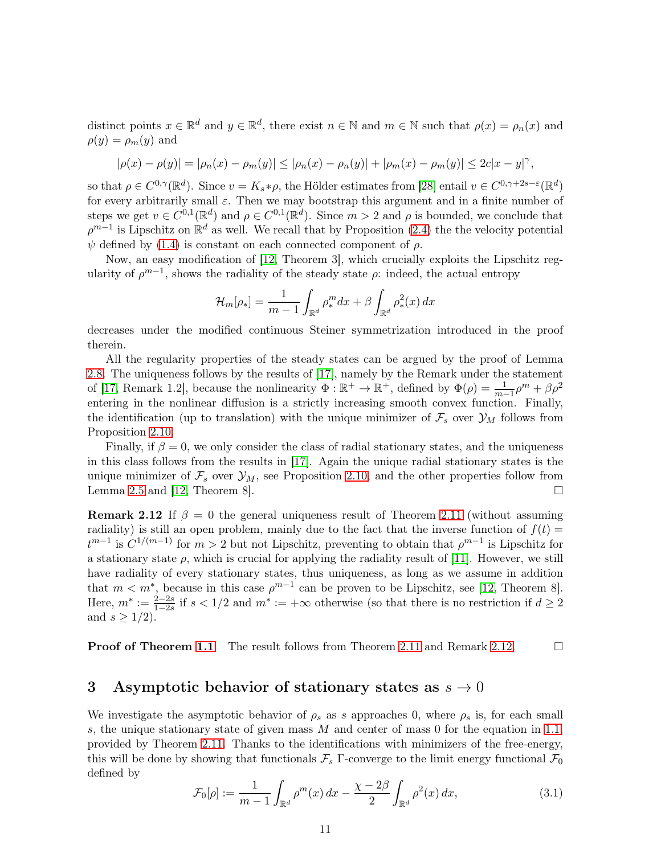distinct points  $x \in \mathbb{R}^d$  and  $y \in \mathbb{R}^d$ , there exist  $n \in \mathbb{N}$  and  $m \in \mathbb{N}$  such that  $\rho(x) = \rho_n(x)$  and  $\rho(y) = \rho_m(y)$  and

$$
|\rho(x) - \rho(y)| = |\rho_n(x) - \rho_m(y)| \le |\rho_n(x) - \rho_n(y)| + |\rho_m(x) - \rho_m(y)| \le 2c|x - y|^{\gamma},
$$

so that  $\rho \in C^{0,\gamma}(\mathbb{R}^d)$ . Since  $v = K_s * \rho$ , the Hölder estimates from [\[28\]](#page-46-1) entail  $v \in C^{0,\gamma+2s-\varepsilon}(\mathbb{R}^d)$ for every arbitrarily small  $\varepsilon$ . Then we may bootstrap this argument and in a finite number of steps we get  $v \in C^{0,1}(\mathbb{R}^d)$  and  $\rho \in C^{0,1}(\mathbb{R}^d)$ . Since  $m > 2$  and  $\rho$  is bounded, we conclude that  $\rho^{m-1}$  is Lipschitz on  $\mathbb{R}^d$  as well. We recall that by Proposition [\(2.4\)](#page-4-2) the the velocity potential  $\psi$  defined by [\(1.4\)](#page-0-1) is constant on each connected component of  $\rho$ .

Now, an easy modification of [\[12,](#page-45-2) Theorem 3], which crucially exploits the Lipschitz regularity of  $\rho^{m-1}$ , shows the radiality of the steady state  $\rho$ : indeed, the actual entropy

$$
\mathcal{H}_m[\rho_*] = \frac{1}{m-1} \int_{\mathbb{R}^d} \rho_*^m dx + \beta \int_{\mathbb{R}^d} \rho_*^2(x) dx
$$

decreases under the modified continuous Steiner symmetrization introduced in the proof therein.

All the regularity properties of the steady states can be argued by the proof of Lemma [2.8.](#page-8-2) The uniqueness follows by the results of [\[17\]](#page-45-5), namely by the Remark under the statement of [\[17,](#page-45-5) Remark 1.2], because the nonlinearity  $\Phi : \mathbb{R}^+ \to \mathbb{R}^+$ , defined by  $\Phi(\rho) = \frac{1}{m-1}\rho^m + \beta \rho^2$ entering in the nonlinear diffusion is a strictly increasing smooth convex function. Finally, the identification (up to translation) with the unique minimizer of  $\mathcal{F}_s$  over  $\mathcal{Y}_M$  follows from Proposition [2.10.](#page-9-1)

Finally, if  $\beta = 0$ , we only consider the class of radial stationary states, and the uniqueness in this class follows from the results in [\[17\]](#page-45-5). Again the unique radial stationary states is the unique minimizer of  $\mathcal{F}_s$  over  $\mathcal{Y}_M$ , see Proposition [2.10,](#page-9-1) and the other properties follow from Lemma [2.5](#page-6-1) and [\[12,](#page-45-2) Theorem 8].  $\square$ 

<span id="page-10-2"></span>**Remark 2.12** If  $\beta = 0$  the general uniqueness result of Theorem [2.11](#page-9-2) (without assuming radiality) is still an open problem, mainly due to the fact that the inverse function of  $f(t) =$  $t^{m-1}$  is  $C^{1/(m-1)}$  for  $m>2$  but not Lipschitz, preventing to obtain that  $\rho^{m-1}$  is Lipschitz for a stationary state  $\rho$ , which is crucial for applying the radiality result of [\[11\]](#page-45-6). However, we still have radiality of every stationary states, thus uniqueness, as long as we assume in addition that  $m < m^*$ , because in this case  $\rho^{m-1}$  can be proven to be Lipschitz, see [\[12,](#page-45-2) Theorem 8]. Here,  $m^* := \frac{2-2s}{1-2s}$  if  $s < 1/2$  and  $m^* := +\infty$  otherwise (so that there is no restriction if  $d \geq 2$ and  $s \geq 1/2$ .

**Proof of Theorem [1.1](#page-1-1).** The result follows from Theorem [2.11](#page-9-2) and Remark [2.12.](#page-10-2)  $\Box$ 

## <span id="page-10-0"></span>3 Asymptotic behavior of stationary states as  $s \to 0$

We investigate the asymptotic behavior of  $\rho_s$  as s approaches 0, where  $\rho_s$  is, for each small s, the unique stationary state of given mass  $M$  and center of mass 0 for the equation in [1.1,](#page-0-0) provided by Theorem [2.11.](#page-9-2) Thanks to the identifications with minimizers of the free-energy, this will be done by showing that functionals  $\mathcal{F}_s$  Γ-converge to the limit energy functional  $\mathcal{F}_0$ defined by

<span id="page-10-1"></span>
$$
\mathcal{F}_0[\rho] := \frac{1}{m-1} \int_{\mathbb{R}^d} \rho^m(x) \, dx - \frac{\chi - 2\beta}{2} \int_{\mathbb{R}^d} \rho^2(x) \, dx,\tag{3.1}
$$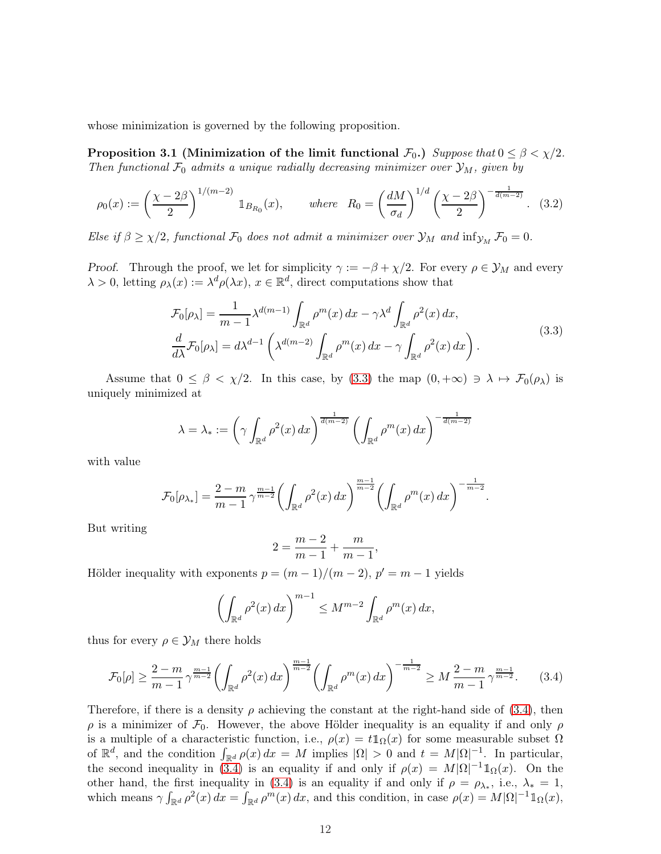<span id="page-11-3"></span>whose minimization is governed by the following proposition.

Proposition 3.1 (Minimization of the limit functional  $\mathcal{F}_0$ .) Suppose that  $0 \leq \beta < \chi/2$ . Then functional  $\mathcal{F}_0$  admits a unique radially decreasing minimizer over  $\mathcal{Y}_M$ , given by

<span id="page-11-2"></span>
$$
\rho_0(x) := \left(\frac{\chi - 2\beta}{2}\right)^{1/(m-2)} \mathbb{1}_{B_{R_0}}(x), \qquad \text{where} \quad R_0 = \left(\frac{dM}{\sigma_d}\right)^{1/d} \left(\frac{\chi - 2\beta}{2}\right)^{-\frac{1}{d(m-2)}}. \tag{3.2}
$$

Else if  $\beta \geq \chi/2$ , functional  $\mathcal{F}_0$  does not admit a minimizer over  $\mathcal{Y}_M$  and  $\inf_{\mathcal{Y}_M} \mathcal{F}_0 = 0$ .

*Proof.* Through the proof, we let for simplicity  $\gamma := -\beta + \chi/2$ . For every  $\rho \in \mathcal{Y}_M$  and every  $\lambda > 0$ , letting  $\rho_{\lambda}(x) := \lambda^d \rho(\lambda x)$ ,  $x \in \mathbb{R}^d$ , direct computations show that

<span id="page-11-0"></span>
$$
\mathcal{F}_0[\rho_\lambda] = \frac{1}{m-1} \lambda^{d(m-1)} \int_{\mathbb{R}^d} \rho^m(x) dx - \gamma \lambda^d \int_{\mathbb{R}^d} \rho^2(x) dx,
$$
\n
$$
\frac{d}{d\lambda} \mathcal{F}_0[\rho_\lambda] = d\lambda^{d-1} \left( \lambda^{d(m-2)} \int_{\mathbb{R}^d} \rho^m(x) dx - \gamma \int_{\mathbb{R}^d} \rho^2(x) dx \right).
$$
\n(3.3)

Assume that  $0 \le \beta < \chi/2$ . In this case, by [\(3.3\)](#page-11-0) the map  $(0, +\infty) \ni \lambda \mapsto \mathcal{F}_0(\rho_{\lambda})$  is uniquely minimized at

$$
\lambda = \lambda_* := \left(\gamma \int_{\mathbb{R}^d} \rho^2(x) \, dx\right)^{\frac{1}{d(m-2)}} \left(\int_{\mathbb{R}^d} \rho^m(x) \, dx\right)^{-\frac{1}{d(m-2)}}
$$

with value

$$
\mathcal{F}_0[\rho_{\lambda_*}] = \frac{2-m}{m-1} \gamma^{\frac{m-1}{m-2}} \bigg( \int_{\mathbb{R}^d} \rho^2(x) \, dx \bigg)^{\frac{m-1}{m-2}} \bigg( \int_{\mathbb{R}^d} \rho^m(x) \, dx \bigg)^{-\frac{1}{m-2}}.
$$

But writing

$$
2 = \frac{m-2}{m-1} + \frac{m}{m-1},
$$

Hölder inequality with exponents  $p = (m-1)/(m-2)$ ,  $p' = m-1$  yields

$$
\left(\int_{\mathbb{R}^d} \rho^2(x) \, dx\right)^{m-1} \le M^{m-2} \int_{\mathbb{R}^d} \rho^m(x) \, dx,
$$

thus for every  $\rho \in \mathcal{Y}_M$  there holds

<span id="page-11-1"></span>
$$
\mathcal{F}_0[\rho] \ge \frac{2-m}{m-1} \gamma^{\frac{m-1}{m-2}} \left( \int_{\mathbb{R}^d} \rho^2(x) \, dx \right)^{\frac{m-1}{m-2}} \left( \int_{\mathbb{R}^d} \rho^m(x) \, dx \right)^{-\frac{1}{m-2}} \ge M \frac{2-m}{m-1} \gamma^{\frac{m-1}{m-2}}. \tag{3.4}
$$

Therefore, if there is a density  $\rho$  achieving the constant at the right-hand side of [\(3.4\)](#page-11-1), then  $ρ$  is a minimizer of  $\mathcal{F}_0$ . However, the above Hölder inequality is an equality if and only  $ρ$ is a multiple of a characteristic function, i.e.,  $\rho(x) = t \mathbb{1}_{\Omega}(x)$  for some measurable subset  $\Omega$ of  $\mathbb{R}^d$ , and the condition  $\int_{\mathbb{R}^d} \rho(x) dx = M$  implies  $|\Omega| > 0$  and  $t = M |\Omega|^{-1}$ . In particular, the second inequality in [\(3.4\)](#page-11-1) is an equality if and only if  $\rho(x) = M|\Omega|^{-1} \mathbb{1}_{\Omega}(x)$ . On the other hand, the first inequality in [\(3.4\)](#page-11-1) is an equality if and only if  $\rho = \rho_{\lambda_*}$ , i.e.,  $\lambda_* = 1$ , which means  $\gamma \int_{\mathbb{R}^d} \rho^2(x) dx = \int_{\mathbb{R}^d} \rho^m(x) dx$ , and this condition, in case  $\rho(x) = M |\Omega|^{-1} \mathbb{1}_{\Omega}(x)$ ,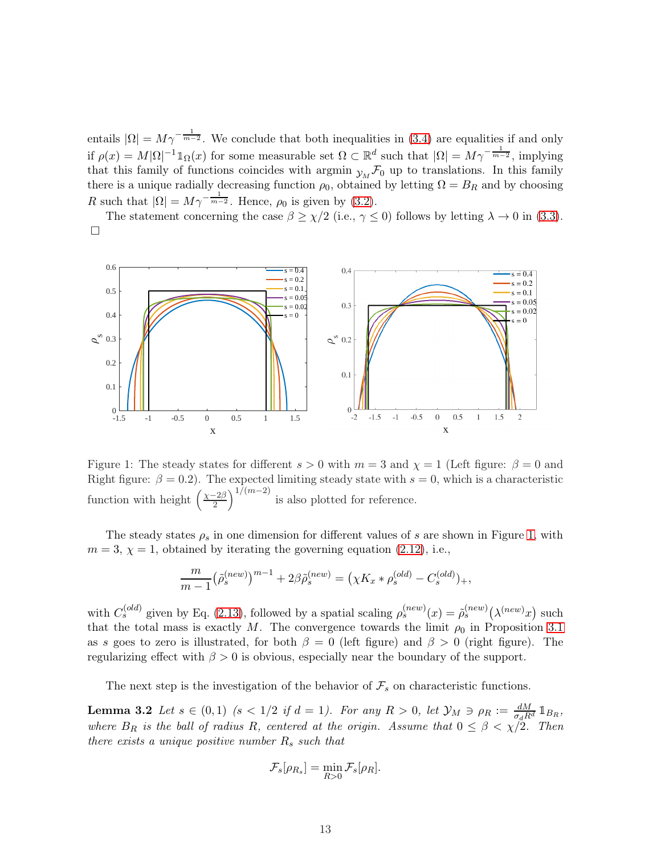entails  $|\Omega| = M \gamma^{-\frac{1}{m-2}}$ . We conclude that both inequalities in [\(3.4\)](#page-11-1) are equalities if and only if  $\rho(x) = M|\Omega|^{-1} \mathbb{1}_{\Omega}(x)$  for some measurable set  $\Omega \subset \mathbb{R}^d$  such that  $|\Omega| = M\gamma^{-\frac{1}{m-2}}$ , implying that this family of functions coincides with argmin  $y_M \mathcal{F}_0$  up to translations. In this family there is a unique radially decreasing function  $\rho_0$ , obtained by letting  $\Omega = B_R$  and by choosing R such that  $|\Omega| = M \gamma^{-\frac{1}{m-2}}$ . Hence,  $\rho_0$  is given by [\(3.2\)](#page-11-2).

The statement concerning the case  $\beta \geq \chi/2$  (i.e.,  $\gamma \leq 0$ ) follows by letting  $\lambda \to 0$  in [\(3.3\)](#page-11-0).  $\Box$ 

<span id="page-12-0"></span>

Figure 1: The steady states for different  $s > 0$  with  $m = 3$  and  $\chi = 1$  (Left figure:  $\beta = 0$  and Right figure:  $\beta = 0.2$ ). The expected limiting steady state with  $s = 0$ , which is a characteristic function with height  $\left(\frac{\chi-2\beta}{2}\right)$  $\left(\frac{-2\beta}{2}\right)^{1/(m-2)}$  is also plotted for reference.

The steady states  $\rho_s$  in one dimension for different values of s are shown in Figure [1,](#page-12-0) with  $m = 3$ ,  $\chi = 1$ , obtained by iterating the governing equation [\(2.12\)](#page-6-4), i.e.,

$$
\frac{m}{m-1} (\tilde{\rho}_s^{(new)})^{m-1} + 2\beta \tilde{\rho}_s^{(new)} = (\chi K_x * \rho_s^{(old)} - C_s^{(old)})_+,
$$

with  $C_s^{(old)}$  given by Eq. [\(2.13\)](#page-6-5), followed by a spatial scaling  $\rho_s^{(new)}(x) = \tilde{\rho}_s^{(new)}(\lambda^{(new)}x)$  such that the total mass is exactly M. The convergence towards the limit  $\rho_0$  in Proposition [3.1](#page-11-3) as s goes to zero is illustrated, for both  $\beta = 0$  (left figure) and  $\beta > 0$  (right figure). The regularizing effect with  $\beta > 0$  is obvious, especially near the boundary of the support.

The next step is the investigation of the behavior of  $\mathcal{F}_s$  on characteristic functions.

**Lemma 3.2** Let  $s \in (0,1)$   $(s < 1/2$  if  $d = 1)$ . For any  $R > 0$ , let  $\mathcal{Y}_M \ni \rho_R := \frac{dM}{\sigma_d R^d} \mathbb{1}_{B_R}$ , where  $B_R$  is the ball of radius R, centered at the origin. Assume that  $0 \leq \beta \leq \chi/2$ . Then there exists a unique positive number  $R_s$  such that

<span id="page-12-1"></span>
$$
\mathcal{F}_s[\rho_{R_s}] = \min_{R>0} \mathcal{F}_s[\rho_R].
$$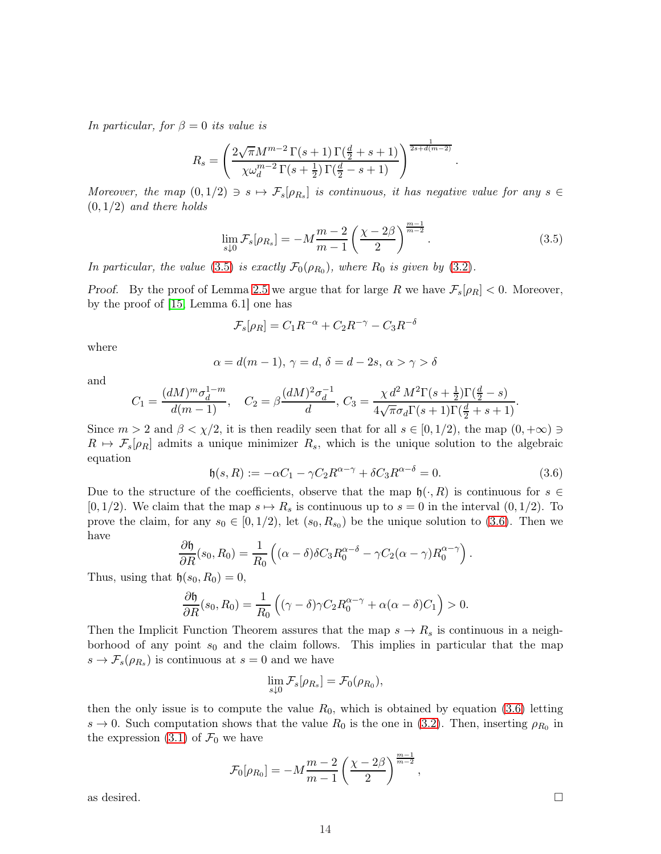In particular, for  $\beta = 0$  its value is

$$
R_s = \left(\frac{2\sqrt{\pi}M^{m-2}\Gamma(s+1)\Gamma(\frac{d}{2}+s+1)}{\chi\omega_d^{m-2}\Gamma(s+\frac{1}{2})\Gamma(\frac{d}{2}-s+1)}\right)^{\frac{1}{2s+d(m-2)}}
$$

Moreover, the map  $(0,1/2) \ni s \mapsto \mathcal{F}_s[\rho_{R_s}]$  is continuous, it has negative value for any  $s \in$  $(0, 1/2)$  and there holds

<span id="page-13-0"></span>
$$
\lim_{s \downarrow 0} \mathcal{F}_s[\rho_{R_s}] = -M \frac{m-2}{m-1} \left( \frac{\chi - 2\beta}{2} \right)^{\frac{m-1}{m-2}}.
$$
\n(3.5)

.

In particular, the value [\(3.5\)](#page-13-0) is exactly  $\mathcal{F}_0(\rho_{R_0})$ , where  $R_0$  is given by [\(3.2\)](#page-11-2).

*Proof.* By the proof of Lemma [2.5](#page-6-1) we argue that for large R we have  $\mathcal{F}_s[\rho_R] < 0$ . Moreover, by the proof of [\[15,](#page-45-4) Lemma 6.1] one has

$$
\mathcal{F}_s[\rho_R] = C_1 R^{-\alpha} + C_2 R^{-\gamma} - C_3 R^{-\delta}
$$

where

$$
\alpha = d(m-1), \, \gamma = d, \, \delta = d-2s, \, \alpha > \gamma > \delta
$$

and

$$
C_1 = \frac{(dM)^m \sigma_d^{1-m}}{d(m-1)}, \quad C_2 = \beta \frac{(dM)^2 \sigma_d^{-1}}{d}, \quad C_3 = \frac{\chi d^2 M^2 \Gamma(s + \frac{1}{2}) \Gamma(\frac{d}{2} - s)}{4\sqrt{\pi} \sigma_d \Gamma(s + 1) \Gamma(\frac{d}{2} + s + 1)}.
$$

Since  $m > 2$  and  $\beta < \chi/2$ , it is then readily seen that for all  $s \in [0, 1/2)$ , the map  $(0, +\infty) \ni$  $R \mapsto \mathcal{F}_s[\rho_R]$  admits a unique minimizer  $R_s$ , which is the unique solution to the algebraic equation

<span id="page-13-1"></span>
$$
\mathfrak{h}(s,R) := -\alpha C_1 - \gamma C_2 R^{\alpha - \gamma} + \delta C_3 R^{\alpha - \delta} = 0.
$$
\n(3.6)

Due to the structure of the coefficients, observe that the map  $\mathfrak{h}(\cdot, R)$  is continuous for  $s \in \mathbb{R}$ [0, 1/2). We claim that the map  $s \mapsto R_s$  is continuous up to  $s = 0$  in the interval  $(0, 1/2)$ . To prove the claim, for any  $s_0 \in [0, 1/2)$ , let  $(s_0, R_{s_0})$  be the unique solution to [\(3.6\)](#page-13-1). Then we have

$$
\frac{\partial \mathfrak{h}}{\partial R}(s_0, R_0) = \frac{1}{R_0} \left( (\alpha - \delta) \delta C_3 R_0^{\alpha - \delta} - \gamma C_2 (\alpha - \gamma) R_0^{\alpha - \gamma} \right).
$$

Thus, using that  $\mathfrak{h}(s_0, R_0) = 0$ ,

$$
\frac{\partial \mathfrak{h}}{\partial R}(s_0, R_0) = \frac{1}{R_0} \left( (\gamma - \delta) \gamma C_2 R_0^{\alpha - \gamma} + \alpha (\alpha - \delta) C_1 \right) > 0.
$$

Then the Implicit Function Theorem assures that the map  $s \to R_s$  is continuous in a neighborhood of any point  $s_0$  and the claim follows. This implies in particular that the map  $s \to \mathcal{F}_s(\rho_{R_s})$  is continuous at  $s=0$  and we have

$$
\lim_{s \downarrow 0} \mathcal{F}_s[\rho_{R_s}] = \mathcal{F}_0(\rho_{R_0}),
$$

then the only issue is to compute the value  $R_0$ , which is obtained by equation [\(3.6\)](#page-13-1) letting  $s \to 0$ . Such computation shows that the value  $R_0$  is the one in [\(3.2\)](#page-11-2). Then, inserting  $\rho_{R_0}$  in the expression [\(3.1\)](#page-10-1) of  $\mathcal{F}_0$  we have

$$
\mathcal{F}_0[\rho_{R_0}]=-M\frac{m-2}{m-1}\left(\frac{\chi-2\beta}{2}\right)^{\frac{m-1}{m-2}},
$$
 as desired. 
$$
\qquad \qquad \square
$$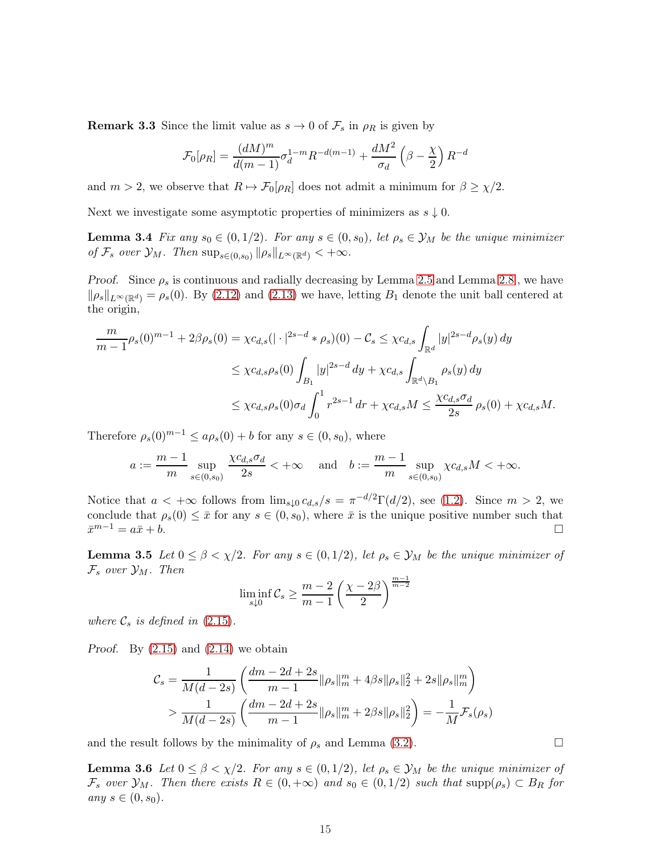**Remark 3.3** Since the limit value as  $s \to 0$  of  $\mathcal{F}_s$  in  $\rho_R$  is given by

$$
\mathcal{F}_0[\rho_R] = \frac{(dM)^m}{d(m-1)} \sigma_d^{1-m} R^{-d(m-1)} + \frac{dM^2}{\sigma_d} \left(\beta - \frac{\chi}{2}\right) R^{-d}
$$

and  $m > 2$ , we observe that  $R \mapsto \mathcal{F}_0[\rho_R]$  does not admit a minimum for  $\beta \geq \chi/2$ .

<span id="page-14-2"></span>Next we investigate some asymptotic properties of minimizers as  $s \downarrow 0$ .

**Lemma 3.4** Fix any  $s_0 \in (0, 1/2)$ . For any  $s \in (0, s_0)$ , let  $\rho_s \in \mathcal{Y}_M$  be the unique minimizer of  $\mathcal{F}_s$  over  $\mathcal{Y}_M$ . Then  $\sup_{s\in(0,s_0)} \|\rho_s\|_{L^\infty(\mathbb{R}^d)} < +\infty$ .

*Proof.* Since  $\rho_s$  is continuous and radially decreasing by Lemma [2.5](#page-6-1) and Lemma [2.8](#page-8-2), we have  $\|\rho_s\|_{L^{\infty}(\mathbb{R}^d)} = \rho_s(0)$ . By [\(2.12\)](#page-6-4) and [\(2.13\)](#page-6-5) we have, letting  $B_1$  denote the unit ball centered at the origin,

$$
\frac{m}{m-1}\rho_s(0)^{m-1} + 2\beta \rho_s(0) = \chi c_{d,s}(|\cdot|^{2s-d} * \rho_s)(0) - C_s \le \chi c_{d,s} \int_{\mathbb{R}^d} |y|^{2s-d} \rho_s(y) dy
$$
  

$$
\le \chi c_{d,s} \rho_s(0) \int_{B_1} |y|^{2s-d} dy + \chi c_{d,s} \int_{\mathbb{R}^d \setminus B_1} \rho_s(y) dy
$$
  

$$
\le \chi c_{d,s} \rho_s(0) \sigma_d \int_0^1 r^{2s-1} dr + \chi c_{d,s} M \le \frac{\chi c_{d,s} \sigma_d}{2s} \rho_s(0) + \chi c_{d,s} M.
$$

Therefore  $\rho_s(0)^{m-1} \le a\rho_s(0) + b$  for any  $s \in (0, s_0)$ , where

$$
a := \frac{m-1}{m} \sup_{s \in (0,s_0)} \frac{\chi c_{d,s} \sigma_d}{2s} < +\infty \quad \text{and} \quad b := \frac{m-1}{m} \sup_{s \in (0,s_0)} \chi c_{d,s} M < +\infty.
$$

Notice that  $a < +\infty$  follows from  $\lim_{s\downarrow 0} c_{d,s}/s = \pi^{-d/2}\Gamma(d/2)$ , see [\(1.2\)](#page-0-2). Since  $m > 2$ , we conclude that  $\rho_s(0) \leq \bar{x}$  for any  $s \in (0, s_0)$ , where  $\bar{x}$  is the unique positive number such that  $\bar{x}^{m-1} = a\bar{x} + b$ .  $\bar{x}^{m-1} = a\bar{x} + b.$ 

<span id="page-14-0"></span>**Lemma 3.5** Let  $0 \le \beta < \chi/2$ . For any  $s \in (0, 1/2)$ , let  $\rho_s \in \mathcal{Y}_M$  be the unique minimizer of  $\mathcal{F}_s$  over  $\mathcal{Y}_M$ . Then

$$
\liminf_{s \downarrow 0} \mathcal{C}_s \ge \frac{m-2}{m-1} \left(\frac{\chi - 2\beta}{2}\right)^{\frac{m-1}{m-2}}
$$

where  $\mathcal{C}_s$  is defined in [\(2.15\)](#page-6-7).

*Proof.* By  $(2.15)$  and  $(2.14)$  we obtain

$$
\mathcal{C}_{s} = \frac{1}{M(d-2s)} \left( \frac{dm - 2d + 2s}{m-1} ||\rho_{s}||_{m}^{m} + 4\beta s ||\rho_{s}||_{2}^{2} + 2s ||\rho_{s}||_{m}^{m} \right)
$$
  
> 
$$
\frac{1}{M(d-2s)} \left( \frac{dm - 2d + 2s}{m-1} ||\rho_{s}||_{m}^{m} + 2\beta s ||\rho_{s}||_{2}^{2} \right) = -\frac{1}{M} \mathcal{F}_{s}(\rho_{s})
$$

<span id="page-14-1"></span>and the result follows by the minimality of  $\rho_s$  and Lemma [\(3.2\)](#page-12-1).

**Lemma 3.6** Let  $0 \le \beta < \chi/2$ . For any  $s \in (0, 1/2)$ , let  $\rho_s \in \mathcal{Y}_M$  be the unique minimizer of  $\mathcal{F}_s$  over  $\mathcal{Y}_M$ . Then there exists  $R \in (0, +\infty)$  and  $s_0 \in (0, 1/2)$  such that  $\text{supp}(\rho_s) \subset B_R$  for any  $s \in (0, s_0)$ .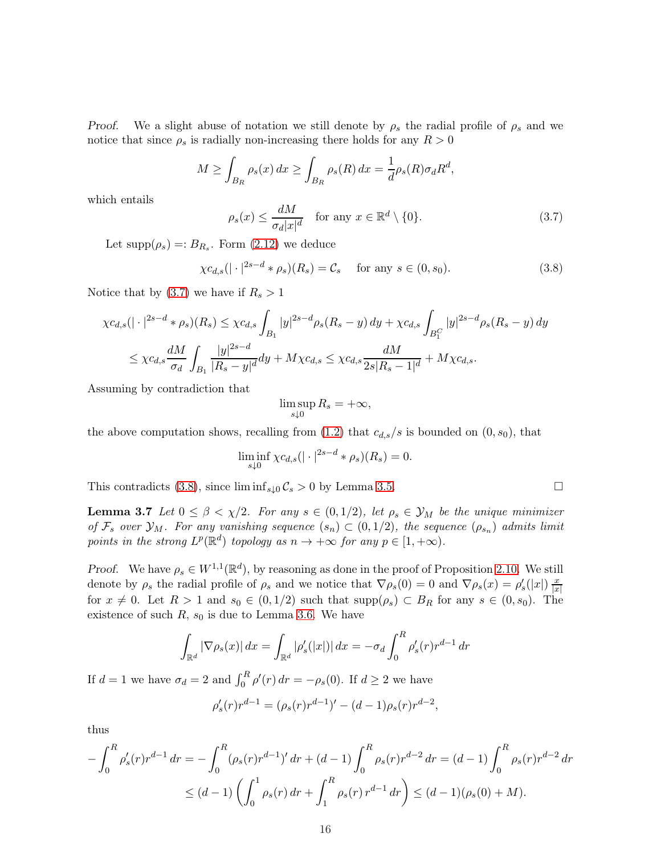Proof. We a slight abuse of notation we still denote by  $\rho_s$  the radial profile of  $\rho_s$  and we notice that since  $\rho_s$  is radially non-increasing there holds for any  $R > 0$ 

$$
M \ge \int_{B_R} \rho_s(x) dx \ge \int_{B_R} \rho_s(R) dx = \frac{1}{d} \rho_s(R) \sigma_d R^d,
$$

which entails

<span id="page-15-0"></span>
$$
\rho_s(x) \le \frac{dM}{\sigma_d |x|^d} \quad \text{for any } x \in \mathbb{R}^d \setminus \{0\}. \tag{3.7}
$$

Let  $\text{supp}(\rho_s) =: B_{R_s}$ . Form  $(2.12)$  we deduce

<span id="page-15-1"></span>
$$
\chi c_{d,s}(|\cdot|^{2s-d} * \rho_s)(R_s) = \mathcal{C}_s \quad \text{for any } s \in (0, s_0). \tag{3.8}
$$

Notice that by  $(3.7)$  we have if  $R_s > 1$ 

$$
\chi c_{d,s}(|\cdot|^{2s-d} * \rho_s)(R_s) \leq \chi c_{d,s} \int_{B_1} |y|^{2s-d} \rho_s(R_s - y) dy + \chi c_{d,s} \int_{B_1^C} |y|^{2s-d} \rho_s(R_s - y) dy
$$
  

$$
\leq \chi c_{d,s} \frac{dM}{\sigma_d} \int_{B_1} \frac{|y|^{2s-d}}{|R_s - y|^d} dy + M \chi c_{d,s} \leq \chi c_{d,s} \frac{dM}{2s|R_s - 1|^d} + M \chi c_{d,s}.
$$

Assuming by contradiction that

$$
\limsup_{s\downarrow 0} R_s = +\infty,
$$

the above computation shows, recalling from  $(1.2)$  that  $c_{d,s}/s$  is bounded on  $(0, s_0)$ , that

$$
\liminf_{s\downarrow 0} \chi c_{d,s}(|\cdot|^{2s-d} * \rho_s)(R_s) = 0.
$$

<span id="page-15-2"></span>This contradicts [\(3.8\)](#page-15-1), since  $\liminf_{s\downarrow 0} C_s > 0$  by Lemma [3.5.](#page-14-0)

**Lemma 3.7** Let  $0 \le \beta < \chi/2$ . For any  $s \in (0, 1/2)$ , let  $\rho_s \in \mathcal{Y}_M$  be the unique minimizer of  $\mathcal{F}_s$  over  $\mathcal{Y}_M$ . For any vanishing sequence  $(s_n) \subset (0,1/2)$ , the sequence  $(\rho_{s_n})$  admits limit points in the strong  $L^p(\mathbb{R}^d)$  topology as  $n \to +\infty$  for any  $p \in [1, +\infty)$ .

Proof. We have  $\rho_s \in W^{1,1}(\mathbb{R}^d)$ , by reasoning as done in the proof of Proposition [2.10.](#page-9-1) We still denote by  $\rho_s$  the radial profile of  $\rho_s$  and we notice that  $\nabla \rho_s(0) = 0$  and  $\nabla \rho_s(x) = \rho_s'(|x|) \frac{x}{|x|}$  $|x|$ for  $x \neq 0$ . Let  $R > 1$  and  $s_0 \in (0, 1/2)$  such that  $\text{supp}(\rho_s) \subset B_R$  for any  $s \in (0, s_0)$ . The existence of such  $R$ ,  $s_0$  is due to Lemma [3.6.](#page-14-1) We have

$$
\int_{\mathbb{R}^d} |\nabla \rho_s(x)| \, dx = \int_{\mathbb{R}^d} |\rho'_s(|x|)| \, dx = -\sigma_d \int_0^R \rho'_s(r) r^{d-1} \, dr
$$

If  $d = 1$  we have  $\sigma_d = 2$  and  $\int_0^R \rho'(r) dr = -\rho_s(0)$ . If  $d \geq 2$  we have

$$
\rho_s'(r)r^{d-1} = (\rho_s(r)r^{d-1})' - (d-1)\rho_s(r)r^{d-2},
$$

thus

$$
-\int_0^R \rho_s'(r)r^{d-1} dr = -\int_0^R (\rho_s(r)r^{d-1})' dr + (d-1)\int_0^R \rho_s(r)r^{d-2} dr = (d-1)\int_0^R \rho_s(r)r^{d-2} dr
$$
  

$$
\leq (d-1)\left(\int_0^1 \rho_s(r) dr + \int_1^R \rho_s(r)r^{d-1} dr\right) \leq (d-1)(\rho_s(0) + M).
$$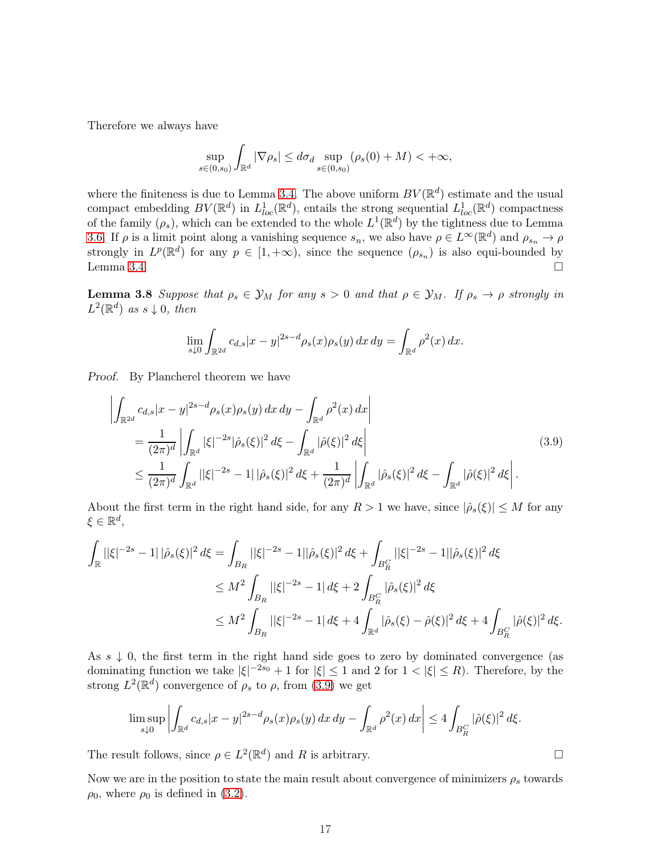Therefore we always have

$$
\sup_{s\in(0,s_0)}\int_{\mathbb{R}^d} |\nabla \rho_s| \leq d\sigma_d \sup_{s\in(0,s_0)} (\rho_s(0) + M) < +\infty,
$$

where the finiteness is due to Lemma [3.4.](#page-14-2) The above uniform  $BV(\mathbb{R}^d)$  estimate and the usual compact embedding  $BV(\mathbb{R}^d)$  in  $L^1_{loc}(\mathbb{R}^d)$ , entails the strong sequential  $L^1_{loc}(\mathbb{R}^d)$  compactness of the family  $(\rho_s)$ , which can be extended to the whole  $L^1(\mathbb{R}^d)$  by the tightness due to Lemma [3.6.](#page-14-1) If  $\rho$  is a limit point along a vanishing sequence  $s_n$ , we also have  $\rho \in L^{\infty}(\mathbb{R}^d)$  and  $\rho_{s_n} \to \rho$ strongly in  $L^p(\mathbb{R}^d)$  for any  $p \in [1, +\infty)$ , since the sequence  $(\rho_{s_n})$  is also equi-bounded by Lemma [3.4.](#page-14-2)

<span id="page-16-1"></span>**Lemma 3.8** Suppose that  $\rho_s \in \mathcal{Y}_M$  for any  $s > 0$  and that  $\rho \in \mathcal{Y}_M$ . If  $\rho_s \to \rho$  strongly in  $L^2(\mathbb{R}^d)$  as  $s \downarrow 0$ , then

$$
\lim_{s\downarrow 0}\int_{\mathbb{R}^{2d}}c_{d,s}|x-y|^{2s-d}\rho_s(x)\rho_s(y)\,dx\,dy=\int_{\mathbb{R}^d}\rho^2(x)\,dx.
$$

Proof. By Plancherel theorem we have

<span id="page-16-0"></span>
$$
\left| \int_{\mathbb{R}^{2d}} c_{d,s} |x - y|^{2s - d} \rho_s(x) \rho_s(y) \, dx \, dy - \int_{\mathbb{R}^d} \rho^2(x) \, dx \right|
$$
\n
$$
= \frac{1}{(2\pi)^d} \left| \int_{\mathbb{R}^d} |\xi|^{-2s} |\hat{\rho}_s(\xi)|^2 \, d\xi - \int_{\mathbb{R}^d} |\hat{\rho}(\xi)|^2 \, d\xi \right|
$$
\n
$$
\leq \frac{1}{(2\pi)^d} \int_{\mathbb{R}^d} ||\xi|^{-2s} - 1| |\hat{\rho}_s(\xi)|^2 \, d\xi + \frac{1}{(2\pi)^d} \left| \int_{\mathbb{R}^d} |\hat{\rho}_s(\xi)|^2 \, d\xi - \int_{\mathbb{R}^d} |\hat{\rho}(\xi)|^2 \, d\xi \right|.
$$
\n(3.9)

About the first term in the right hand side, for any  $R > 1$  we have, since  $|\hat{\rho}_s(\xi)| \leq M$  for any  $\xi \in \mathbb{R}^d$ ,

$$
\int_{\mathbb{R}} ||\xi|^{-2s} - 1||\hat{\rho}_s(\xi)|^2 d\xi = \int_{B_R} ||\xi|^{-2s} - 1||\hat{\rho}_s(\xi)|^2 d\xi + \int_{B_R^C} ||\xi|^{-2s} - 1||\hat{\rho}_s(\xi)|^2 d\xi
$$
  
\n
$$
\leq M^2 \int_{B_R} ||\xi|^{-2s} - 1| d\xi + 2 \int_{B_R^C} |\hat{\rho}_s(\xi)|^2 d\xi
$$
  
\n
$$
\leq M^2 \int_{B_R} ||\xi|^{-2s} - 1| d\xi + 4 \int_{\mathbb{R}^d} |\hat{\rho}_s(\xi) - \hat{\rho}(\xi)|^2 d\xi + 4 \int_{B_R^C} |\hat{\rho}(\xi)|^2 d\xi.
$$

As  $s \downarrow 0$ , the first term in the right hand side goes to zero by dominated convergence (as dominating function we take  $|\xi|^{-2s_0} + 1$  for  $|\xi| \leq 1$  and 2 for  $1 < |\xi| \leq R$ ). Therefore, by the strong  $L^2(\mathbb{R}^d)$  convergence of  $\rho_s$  to  $\rho$ , from [\(3.9\)](#page-16-0) we get

$$
\limsup_{s\downarrow 0} \left| \int_{\mathbb{R}^d} c_{d,s} |x-y|^{2s-d} \rho_s(x) \rho_s(y) \, dx \, dy - \int_{\mathbb{R}^d} \rho^2(x) \, dx \right| \le 4 \int_{B_R^C} |\hat{\rho}(\xi)|^2 \, d\xi.
$$

The result follows, since  $\rho \in L^2(\mathbb{R}^d)$  and R is arbitrary.

<span id="page-16-2"></span>Now we are in the position to state the main result about convergence of minimizers  $\rho_s$  towards  $\rho_0$ , where  $\rho_0$  is defined in [\(3.2\)](#page-11-2).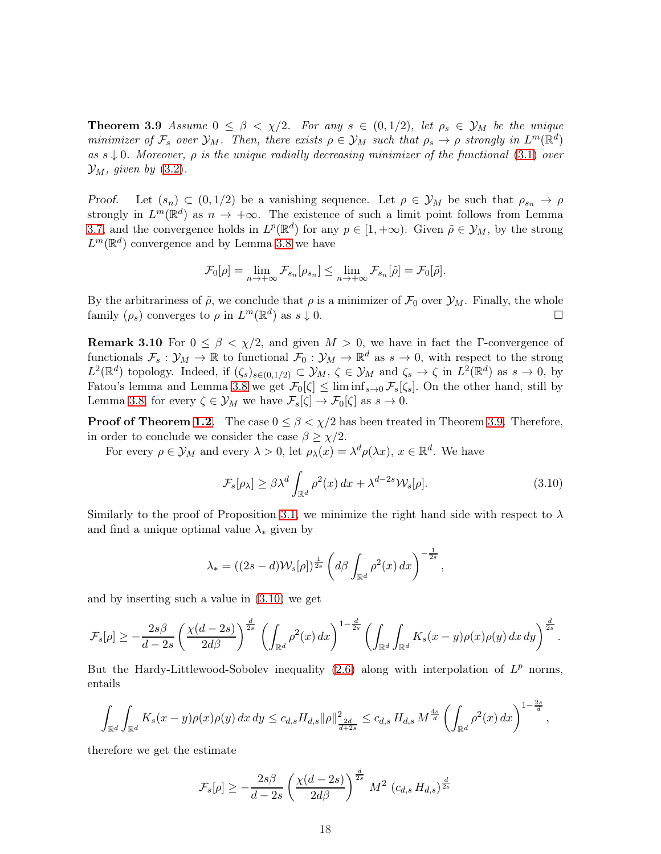**Theorem 3.9** Assume  $0 \le \beta \le \chi/2$ . For any  $s \in (0,1/2)$ , let  $\rho_s \in \mathcal{Y}_M$  be the unique minimizer of  $\mathcal{F}_s$  over  $\mathcal{Y}_M$ . Then, there exists  $\rho \in \mathcal{Y}_M$  such that  $\rho_s \to \rho$  strongly in  $L^m(\mathbb{R}^d)$ as  $s \downarrow 0$ . Moreover,  $\rho$  is the unique radially decreasing minimizer of the functional [\(3.1\)](#page-10-1) over  $\mathcal{Y}_M$ , given by [\(3.2\)](#page-11-2).

Proof. Let  $(s_n) \subset (0, 1/2)$  be a vanishing sequence. Let  $\rho \in \mathcal{Y}_M$  be such that  $\rho_{s_n} \to \rho$ strongly in  $L^m(\mathbb{R}^d)$  as  $n \to +\infty$ . The existence of such a limit point follows from Lemma [3.7,](#page-15-2) and the convergence holds in  $L^p(\mathbb{R}^d)$  for any  $p \in [1, +\infty)$ . Given  $\tilde{\rho} \in \mathcal{Y}_M$ , by the strong  $L^m(\mathbb{R}^d)$  convergence and by Lemma [3.8](#page-16-1) we have

$$
\mathcal{F}_0[\rho] = \lim_{n \to +\infty} \mathcal{F}_{s_n}[\rho_{s_n}] \le \lim_{n \to +\infty} \mathcal{F}_{s_n}[\tilde{\rho}] = \mathcal{F}_0[\tilde{\rho}].
$$

By the arbitrariness of  $\tilde{\rho}$ , we conclude that  $\rho$  is a minimizer of  $\mathcal{F}_0$  over  $\mathcal{Y}_M$ . Finally, the whole family  $(\rho_{\varepsilon})$  converges to  $\rho$  in  $L^m(\mathbb{R}^d)$  as  $s \downarrow 0$ . family  $(\rho_s)$  converges to  $\rho$  in  $L^m(\mathbb{R}^d)$  as  $s \downarrow 0$ .

**Remark 3.10** For  $0 \le \beta \le \chi/2$ , and given  $M > 0$ , we have in fact the Γ-convergence of functionals  $\mathcal{F}_s : \mathcal{Y}_M \to \mathbb{R}$  to functional  $\mathcal{F}_0 : \mathcal{Y}_M \to \mathbb{R}^d$  as  $s \to 0$ , with respect to the strong  $L^2(\mathbb{R}^d)$  topology. Indeed, if  $(\zeta_s)_{s\in(0,1/2)}\subset\mathcal{Y}_M$ ,  $\zeta\in\mathcal{Y}_M$  and  $\zeta_s\to\zeta$  in  $L^2(\mathbb{R}^d)$  as  $s\to 0$ , by Fatou's lemma and Lemma [3.8](#page-16-1) we get  $\mathcal{F}_0[\zeta] \leq \liminf_{s\to 0} \mathcal{F}_s[\zeta_s]$ . On the other hand, still by Lemma [3.8,](#page-16-1) for every  $\zeta \in \mathcal{Y}_M$  we have  $\mathcal{F}_s[\zeta] \to \mathcal{F}_0[\zeta]$  as  $s \to 0$ .

**Proof of Theorem [1.2](#page-1-2).** The case  $0 \leq \beta < \chi/2$  has been treated in Theorem [3.9.](#page-16-2) Therefore, in order to conclude we consider the case  $\beta \geq \chi/2$ .

For every  $\rho \in \mathcal{Y}_M$  and every  $\lambda > 0$ , let  $\rho_\lambda(x) = \lambda^d \rho(\lambda x)$ ,  $x \in \mathbb{R}^d$ . We have

<span id="page-17-0"></span>
$$
\mathcal{F}_s[\rho_\lambda] \ge \beta \lambda^d \int_{\mathbb{R}^d} \rho^2(x) \, dx + \lambda^{d-2s} \mathcal{W}_s[\rho]. \tag{3.10}
$$

Similarly to the proof of Proposition [3.1,](#page-11-3) we minimize the right hand side with respect to  $\lambda$ and find a unique optimal value  $\lambda_*$  given by

$$
\lambda_* = ((2s-d)\mathcal{W}_s[\rho])^{\frac{1}{2s}} \left( d\beta \int_{\mathbb{R}^d} \rho^2(x) \, dx \right)^{-\frac{1}{2s}},
$$

and by inserting such a value in [\(3.10\)](#page-17-0) we get

$$
\mathcal{F}_s[\rho] \geq -\frac{2s\beta}{d-2s} \left(\frac{\chi(d-2s)}{2d\beta}\right)^{\frac{d}{2s}} \left(\int_{\mathbb{R}^d} \rho^2(x) \, dx\right)^{1-\frac{d}{2s}} \left(\int_{\mathbb{R}^d} \int_{\mathbb{R}^d} K_s(x-y)\rho(x)\rho(y) \, dx \, dy\right)^{\frac{d}{2s}}.
$$

But the Hardy-Littlewood-Sobolev inequality  $(2.6)$  along with interpolation of  $L^p$  norms, entails

$$
\int_{\mathbb{R}^d} \int_{\mathbb{R}^d} K_s(x-y) \rho(x) \rho(y) \, dx \, dy \leq c_{d,s} H_{d,s} \|\rho\|_{\frac{2d}{d+2s}}^2 \leq c_{d,s} H_{d,s} M^{\frac{4s}{d}} \left( \int_{\mathbb{R}^d} \rho^2(x) \, dx \right)^{1-\frac{2s}{d}},
$$

therefore we get the estimate

$$
\mathcal{F}_s[\rho] \ge -\frac{2s\beta}{d-2s} \left(\frac{\chi(d-2s)}{2d\beta}\right)^{\frac{d}{2s}} M^2 \left(c_{d,s} H_{d,s}\right)^{\frac{d}{2s}}
$$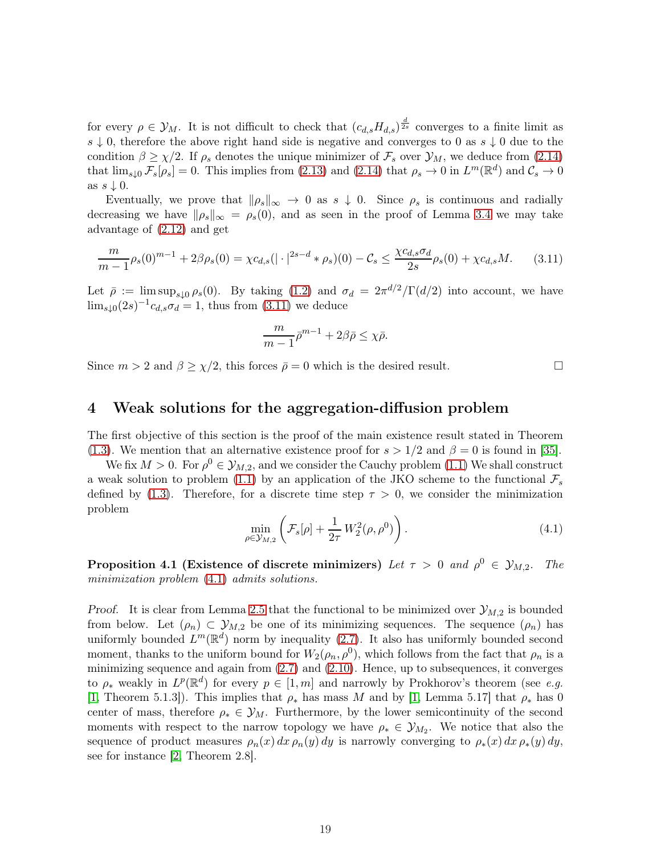for every  $\rho \in \mathcal{Y}_M$ . It is not difficult to check that  $(c_{d,s}H_{d,s})^{\frac{d}{2s}}$  converges to a finite limit as s  $\downarrow$  0, therefore the above right hand side is negative and converges to 0 as s  $\downarrow$  0 due to the condition  $\beta \geq \chi/2$ . If  $\rho_s$  denotes the unique minimizer of  $\mathcal{F}_s$  over  $\mathcal{Y}_M$ , we deduce from [\(2.14\)](#page-6-6) that  $\lim_{s\downarrow 0} \mathcal{F}_s[\rho_s] = 0$ . This implies from [\(2.13\)](#page-6-5) and [\(2.14\)](#page-6-6) that  $\rho_s \to 0$  in  $L^m(\mathbb{R}^d)$  and  $\mathcal{C}_s \to 0$ as  $s \downarrow 0$ .

Eventually, we prove that  $\|\rho_s\|_{\infty} \to 0$  as  $s \downarrow 0$ . Since  $\rho_s$  is continuous and radially decreasing we have  $\|\rho_s\|_{\infty} = \rho_s(0)$ , and as seen in the proof of Lemma [3.4](#page-14-2) we may take advantage of [\(2.12\)](#page-6-4) and get

<span id="page-18-1"></span>
$$
\frac{m}{m-1}\rho_s(0)^{m-1} + 2\beta \rho_s(0) = \chi c_{d,s}(|\cdot|^{2s-d} * \rho_s)(0) - C_s \le \frac{\chi c_{d,s}\sigma_d}{2s}\rho_s(0) + \chi c_{d,s}M. \tag{3.11}
$$

Let  $\bar{\rho} := \limsup_{s \downarrow 0} \rho_s(0)$ . By taking [\(1.2\)](#page-0-2) and  $\sigma_d = 2\pi^{d/2}/\Gamma(d/2)$  into account, we have  $\lim_{s\downarrow 0} (2s)^{-1}c_{d,s}\sigma_d=1$ , thus from  $(3.11)$  we deduce

$$
\frac{m}{m-1}\bar{\rho}^{m-1} + 2\beta\bar{\rho} \le \chi\bar{\rho}.
$$

Since  $m > 2$  and  $\beta \geq \chi/2$ , this forces  $\bar{\rho} = 0$  which is the desired result.

## <span id="page-18-0"></span>4 Weak solutions for the aggregation-diffusion problem

The first objective of this section is the proof of the main existence result stated in Theorem [\(1.3\)](#page-2-2). We mention that an alternative existence proof for  $s > 1/2$  and  $\beta = 0$  is found in [\[35\]](#page-46-2).

We fix  $M > 0$ . For  $\rho^0 \in \mathcal{Y}_{M,2}$ , and we consider the Cauchy problem [\(1.1\)](#page-0-0) We shall construct a weak solution to problem [\(1.1\)](#page-0-0) by an application of the JKO scheme to the functional  $\mathcal{F}_s$ defined by [\(1.3\)](#page-0-3). Therefore, for a discrete time step  $\tau > 0$ , we consider the minimization problem

<span id="page-18-2"></span>
$$
\min_{\rho \in \mathcal{Y}_{M,2}} \left( \mathcal{F}_s[\rho] + \frac{1}{2\tau} W_2^2(\rho, \rho^0) \right). \tag{4.1}
$$

<span id="page-18-3"></span>Proposition 4.1 (Existence of discrete minimizers) Let  $\tau > 0$  and  $\rho^0 \in \mathcal{Y}_{M,2}$ . The minimization problem  $(4.1)$  admits solutions.

Proof. It is clear from Lemma [2.5](#page-6-1) that the functional to be minimized over  $\mathcal{Y}_{M,2}$  is bounded from below. Let  $(\rho_n) \subset \mathcal{Y}_{M,2}$  be one of its minimizing sequences. The sequence  $(\rho_n)$  has uniformly bounded  $L^m(\mathbb{R}^d)$  norm by inequality [\(2.7\)](#page-5-2). It also has uniformly bounded second moment, thanks to the uniform bound for  $W_2(\rho_n, \rho^0)$ , which follows from the fact that  $\rho_n$  is a minimizing sequence and again from  $(2.7)$  and  $(2.10)$ . Hence, up to subsequences, it converges to  $\rho_*$  weakly in  $L^p(\mathbb{R}^d)$  for every  $p \in [1, m]$  and narrowly by Prokhorov's theorem (see e.g. [\[1,](#page-44-5) Theorem 5.1.3]). This implies that  $\rho_*$  has mass M and by [\[1,](#page-44-5) Lemma 5.17] that  $\rho_*$  has 0 center of mass, therefore  $\rho_* \in \mathcal{Y}_M$ . Furthermore, by the lower semicontinuity of the second moments with respect to the narrow topology we have  $\rho_* \in \mathcal{Y}_{M_2}$ . We notice that also the sequence of product measures  $\rho_n(x) dx \rho_n(y) dy$  is narrowly converging to  $\rho_*(x) dx \rho_*(y) dy$ , see for instance [\[2,](#page-44-6) Theorem 2.8].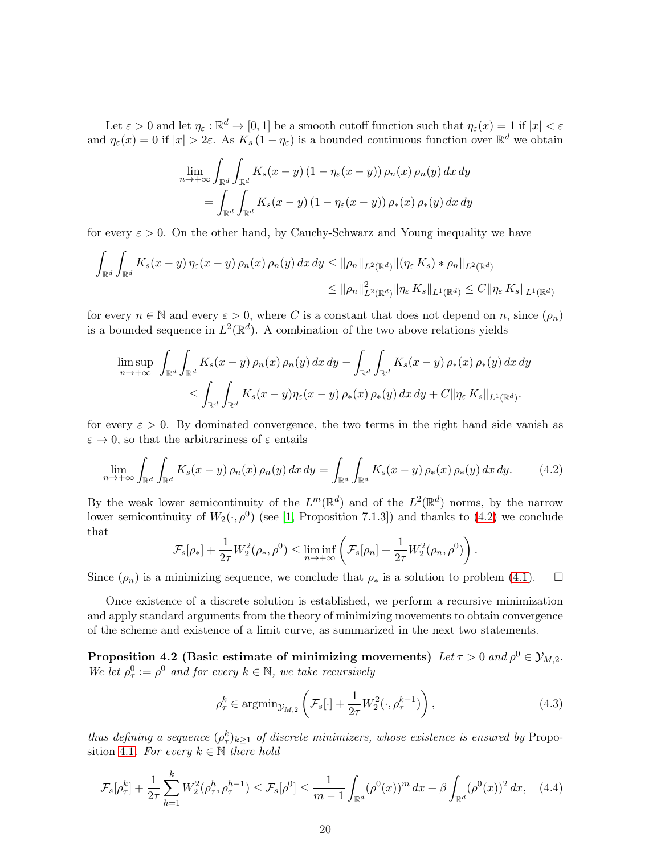Let  $\varepsilon > 0$  and let  $\eta_{\varepsilon} : \mathbb{R}^d \to [0, 1]$  be a smooth cutoff function such that  $\eta_{\varepsilon}(x) = 1$  if  $|x| < \varepsilon$ and  $\eta_{\varepsilon}(x) = 0$  if  $|x| > 2\varepsilon$ . As  $K_s(1 - \eta_{\varepsilon})$  is a bounded continuous function over  $\mathbb{R}^d$  we obtain

$$
\lim_{n \to +\infty} \int_{\mathbb{R}^d} \int_{\mathbb{R}^d} K_s(x - y) (1 - \eta_{\varepsilon}(x - y)) \rho_n(x) \rho_n(y) dx dy
$$

$$
= \int_{\mathbb{R}^d} \int_{\mathbb{R}^d} K_s(x - y) (1 - \eta_{\varepsilon}(x - y)) \rho_*(x) \rho_*(y) dx dy
$$

for every  $\varepsilon > 0$ . On the other hand, by Cauchy-Schwarz and Young inequality we have

$$
\int_{\mathbb{R}^d} \int_{\mathbb{R}^d} K_s(x - y) \eta_{\varepsilon}(x - y) \rho_n(x) \rho_n(y) dx dy \leq \|\rho_n\|_{L^2(\mathbb{R}^d)} \|(\eta_{\varepsilon} K_s) * \rho_n\|_{L^2(\mathbb{R}^d)}
$$
  

$$
\leq \|\rho_n\|_{L^2(\mathbb{R}^d)}^2 \|\eta_{\varepsilon} K_s\|_{L^1(\mathbb{R}^d)} \leq C \|\eta_{\varepsilon} K_s\|_{L^1(\mathbb{R}^d)}
$$

for every  $n \in \mathbb{N}$  and every  $\varepsilon > 0$ , where C is a constant that does not depend on n, since  $(\rho_n)$ is a bounded sequence in  $L^2(\mathbb{R}^d)$ . A combination of the two above relations yields

$$
\limsup_{n \to +\infty} \left| \int_{\mathbb{R}^d} \int_{\mathbb{R}^d} K_s(x - y) \, \rho_n(x) \, \rho_n(y) \, dx \, dy - \int_{\mathbb{R}^d} \int_{\mathbb{R}^d} K_s(x - y) \, \rho_*(x) \, \rho_*(y) \, dx \, dy \right| \leq \int_{\mathbb{R}^d} \int_{\mathbb{R}^d} K_s(x - y) \eta_{\varepsilon}(x - y) \, \rho_*(x) \, \rho_*(y) \, dx \, dy + C \| \eta_{\varepsilon} \, K_s \|_{L^1(\mathbb{R}^d)}.
$$

for every  $\varepsilon > 0$ . By dominated convergence, the two terms in the right hand side vanish as  $\varepsilon \to 0$ , so that the arbitrariness of  $\varepsilon$  entails

<span id="page-19-0"></span>
$$
\lim_{n \to +\infty} \int_{\mathbb{R}^d} \int_{\mathbb{R}^d} K_s(x - y) \rho_n(x) \rho_n(y) dx dy = \int_{\mathbb{R}^d} \int_{\mathbb{R}^d} K_s(x - y) \rho_*(x) \rho_*(y) dx dy.
$$
 (4.2)

By the weak lower semicontinuity of the  $L^m(\mathbb{R}^d)$  and of the  $L^2(\mathbb{R}^d)$  norms, by the narrow lower semicontinuity of  $W_2(\cdot, \rho^0)$  (see [\[1,](#page-44-5) Proposition 7.1.3]) and thanks to [\(4.2\)](#page-19-0) we conclude that

$$
\mathcal{F}_s[\rho_*] + \frac{1}{2\tau} W_2^2(\rho_*, \rho^0) \le \liminf_{n \to +\infty} \left( \mathcal{F}_s[\rho_n] + \frac{1}{2\tau} W_2^2(\rho_n, \rho^0) \right)
$$

Since  $(\rho_n)$  is a minimizing sequence, we conclude that  $\rho_*$  is a solution to problem [\(4.1\)](#page-18-2).  $\Box$ 

Once existence of a discrete solution is established, we perform a recursive minimization and apply standard arguments from the theory of minimizing movements to obtain convergence of the scheme and existence of a limit curve, as summarized in the next two statements.

<span id="page-19-3"></span>Proposition 4.2 (Basic estimate of minimizing movements) Let  $\tau > 0$  and  $\rho^0 \in \mathcal{Y}_{M,2}$ . We let  $\rho^0_\tau := \rho^0$  and for every  $k \in \mathbb{N}$ , we take recursively

<span id="page-19-2"></span>
$$
\rho_{\tau}^{k} \in \operatorname{argmin}_{\mathcal{Y}_{M,2}}\left(\mathcal{F}_{s}[\cdot] + \frac{1}{2\tau}W_{2}^{2}(\cdot,\rho_{\tau}^{k-1})\right),\tag{4.3}
$$

.

thus defining a sequence  $(\rho_{\tau}^k)_{k\geq 1}$  of discrete minimizers, whose existence is ensured by Propo-sition [4.1](#page-18-3). For every  $k \in \mathbb{N}$  there hold

<span id="page-19-1"></span>
$$
\mathcal{F}_s[\rho_\tau^k] + \frac{1}{2\tau} \sum_{h=1}^k W_2^2(\rho_\tau^h, \rho_\tau^{h-1}) \le \mathcal{F}_s[\rho^0] \le \frac{1}{m-1} \int_{\mathbb{R}^d} (\rho^0(x))^m dx + \beta \int_{\mathbb{R}^d} (\rho^0(x))^2 dx, \quad (4.4)
$$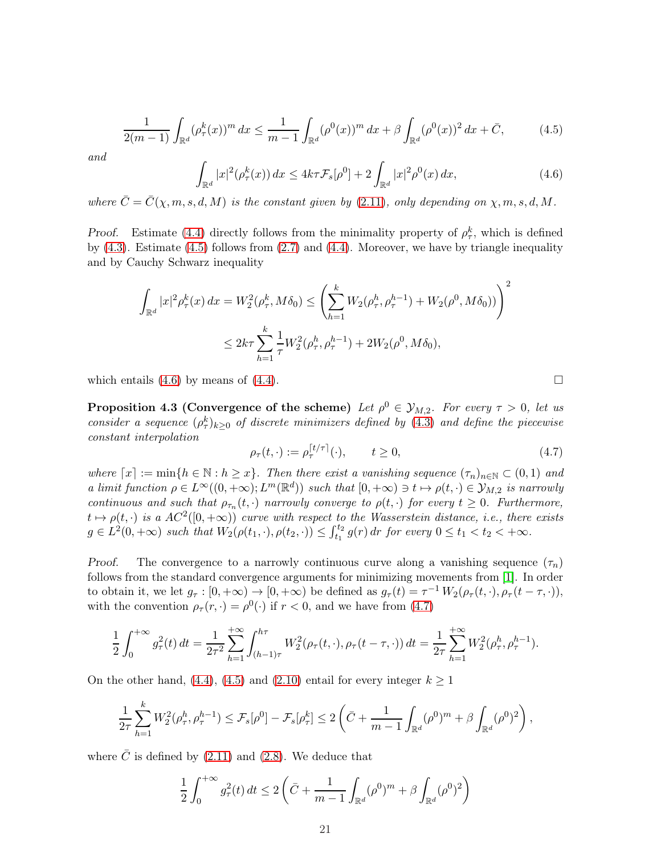<span id="page-20-0"></span>
$$
\frac{1}{2(m-1)} \int_{\mathbb{R}^d} (\rho_\tau^k(x))^m dx \le \frac{1}{m-1} \int_{\mathbb{R}^d} (\rho^0(x))^m dx + \beta \int_{\mathbb{R}^d} (\rho^0(x))^2 dx + \bar{C}, \tag{4.5}
$$

and

<span id="page-20-1"></span>
$$
\int_{\mathbb{R}^d} |x|^2 (\rho_\tau^k(x)) dx \le 4k\tau \mathcal{F}_s[\rho^0] + 2 \int_{\mathbb{R}^d} |x|^2 \rho^0(x) dx,
$$
\n(4.6)

where  $\bar{C} = \bar{C}(\chi, m, s, d, M)$  is the constant given by [\(2.11\)](#page-6-8), only depending on  $\chi, m, s, d, M$ .

Proof. Estimate [\(4.4\)](#page-19-1) directly follows from the minimality property of  $\rho_{\tau}^k$ , which is defined by  $(4.3)$ . Estimate  $(4.5)$  follows from  $(2.7)$  and  $(4.4)$ . Moreover, we have by triangle inequality and by Cauchy Schwarz inequality

$$
\int_{\mathbb{R}^d} |x|^2 \rho_\tau^k(x) dx = W_2^2(\rho_\tau^k, M\delta_0) \le \left(\sum_{h=1}^k W_2(\rho_\tau^h, \rho_\tau^{h-1}) + W_2(\rho^0, M\delta_0))\right)^2
$$
  

$$
\le 2k\tau \sum_{h=1}^k \frac{1}{\tau} W_2^2(\rho_\tau^h, \rho_\tau^{h-1}) + 2W_2(\rho^0, M\delta_0),
$$

<span id="page-20-3"></span>which entails  $(4.6)$  by means of  $(4.4)$ .

**Proposition 4.3 (Convergence of the scheme)** Let  $\rho^0 \in \mathcal{Y}_{M,2}$ . For every  $\tau > 0$ , let us consider a sequence  $(\rho_{\tau}^k)_{k\geq 0}$  of discrete minimizers defined by [\(4.3\)](#page-19-2) and define the piecewise constant interpolation

<span id="page-20-2"></span>
$$
\rho_{\tau}(t,\cdot) := \rho_{\tau}^{[t/\tau]}(\cdot), \qquad t \ge 0,
$$
\n(4.7)

where  $[x] := \min\{h \in \mathbb{N} : h \geq x\}$ . Then there exist a vanishing sequence  $(\tau_n)_{n \in \mathbb{N}} \subset (0,1)$  and a limit function  $\rho \in L^{\infty}((0, +\infty); L^m(\mathbb{R}^d))$  such that  $[0, +\infty) \ni t \mapsto \rho(t, \cdot) \in \mathcal{Y}_{M,2}$  is narrowly continuous and such that  $\rho_{\tau_n}(t, \cdot)$  narrowly converge to  $\rho(t, \cdot)$  for every  $t \geq 0$ . Furthermore,  $t \mapsto \rho(t, \cdot)$  is a  $AC^2([0, +\infty))$  curve with respect to the Wasserstein distance, i.e., there exists  $g \in L^2(0, +\infty)$  such that  $W_2(\rho(t_1, \cdot), \rho(t_2, \cdot)) \leq \int_{t_1}^{t_2} g(r) dr$  for every  $0 \leq t_1 < t_2 < +\infty$ .

Proof. The convergence to a narrowly continuous curve along a vanishing sequence  $(\tau_n)$ follows from the standard convergence arguments for minimizing movements from [\[1\]](#page-44-5). In order to obtain it, we let  $g_{\tau} : [0, +\infty) \to [0, +\infty)$  be defined as  $g_{\tau}(t) = \tau^{-1} W_2(\rho_{\tau}(t, \cdot), \rho_{\tau}(t - \tau, \cdot)),$ with the convention  $\rho_{\tau}(r, \cdot) = \rho^0(\cdot)$  if  $r < 0$ , and we have from [\(4.7\)](#page-20-2)

$$
\frac{1}{2} \int_0^{+\infty} g_\tau^2(t) dt = \frac{1}{2\tau^2} \sum_{h=1}^{+\infty} \int_{(h-1)\tau}^{h\tau} W_2^2(\rho_\tau(t, \cdot), \rho_\tau(t-\tau, \cdot)) dt = \frac{1}{2\tau} \sum_{h=1}^{+\infty} W_2^2(\rho_\tau^h, \rho_\tau^{h-1}).
$$

On the other hand, [\(4.4\)](#page-19-1), [\(4.5\)](#page-20-0) and [\(2.10\)](#page-5-3) entail for every integer  $k \ge 1$ 

$$
\frac{1}{2\tau}\sum_{h=1}^k W_2^2(\rho_\tau^h, \rho_\tau^{h-1}) \leq \mathcal{F}_s[\rho^0] - \mathcal{F}_s[\rho_\tau^k] \leq 2\left(\bar{C} + \frac{1}{m-1}\int_{\mathbb{R}^d} (\rho^0)^m + \beta \int_{\mathbb{R}^d} (\rho^0)^2\right),
$$

where  $\overline{C}$  is defined by [\(2.11\)](#page-6-8) and [\(2.8\)](#page-5-4). We deduce that

$$
\frac{1}{2} \int_0^{+\infty} g_\tau^2(t) dt \le 2 \left( \bar{C} + \frac{1}{m-1} \int_{\mathbb{R}^d} (\rho^0)^m + \beta \int_{\mathbb{R}^d} (\rho^0)^2 \right)
$$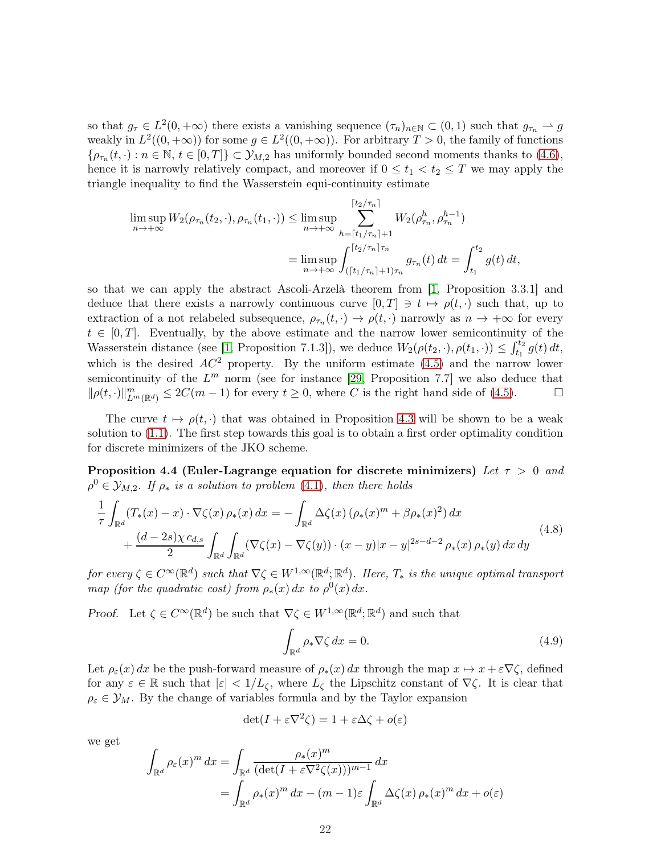so that  $g_{\tau} \in L^2(0, +\infty)$  there exists a vanishing sequence  $(\tau_n)_{n \in \mathbb{N}} \subset (0, 1)$  such that  $g_{\tau_n} \to g$ weakly in  $L^2((0, +\infty))$  for some  $g \in L^2((0, +\infty))$ . For arbitrary  $T > 0$ , the family of functions  $\{\rho_{\tau_n}(t,\cdot):n\in\mathbb{N},\,t\in[0,T]\}\subset\mathcal{Y}_{M,2}$  has uniformly bounded second moments thanks to  $(4.6)$ , hence it is narrowly relatively compact, and moreover if  $0 \le t_1 < t_2 \le T$  we may apply the triangle inequality to find the Wasserstein equi-continuity estimate

$$
\limsup_{n \to +\infty} W_2(\rho_{\tau_n}(t_2, \cdot), \rho_{\tau_n}(t_1, \cdot)) \le \limsup_{n \to +\infty} \sum_{h=\lceil t_1/\tau_n \rceil + 1}^{\lceil t_2/\tau_n \rceil} W_2(\rho_{\tau_n}^h, \rho_{\tau_n}^{h-1})
$$
\n
$$
= \limsup_{n \to +\infty} \int_{(\lceil t_1/\tau_n \rceil + 1)\tau_n}^{\lceil t_2/\tau_n \rceil + 1} g_{\tau_n}(t) dt = \int_{t_1}^{t_2} g(t) dt,
$$

so that we can apply the abstract Ascoli-Arzelà theorem from [\[1,](#page-44-5) Proposition 3.3.1] and deduce that there exists a narrowly continuous curve  $[0, T] \ni t \mapsto \rho(t, \cdot)$  such that, up to extraction of a not relabeled subsequence,  $\rho_{\tau_n}(t, \cdot) \to \rho(t, \cdot)$  narrowly as  $n \to +\infty$  for every  $t \in [0, T]$ . Eventually, by the above estimate and the narrow lower semicontinuity of the Wasserstein distance (see [\[1,](#page-44-5) Proposition 7.1.3]), we deduce  $W_2(\rho(t_2, \cdot), \rho(t_1, \cdot)) \leq \int_{t_1}^{t_2} g(t) dt$ , which is the desired  $AC^2$  property. By the uniform estimate [\(4.5\)](#page-20-0) and the narrow lower semicontinuity of the  $L^m$  norm (see for instance [\[29,](#page-46-3) Proposition 7.7] we also deduce that  $\|\rho(t, \cdot)\|_{L^m(\mathbb{R}^d)}^m \leq 2C(m-1)$  for every  $t \geq 0$ , where C is the right hand side of [\(4.5\)](#page-20-0).

The curve  $t \mapsto \rho(t, \cdot)$  that was obtained in Proposition [4.3](#page-20-3) will be shown to be a weak solution to [\(1.1\)](#page-0-0). The first step towards this goal is to obtain a first order optimality condition for discrete minimizers of the JKO scheme.

Proposition 4.4 (Euler-Lagrange equation for discrete minimizers) Let  $\tau > 0$  and  $\rho^0 \in \mathcal{Y}_{M,2}$ . If  $\rho_*$  is a solution to problem [\(4.1\)](#page-18-2), then there holds

<span id="page-21-1"></span>
$$
\frac{1}{\tau} \int_{\mathbb{R}^d} (T_*(x) - x) \cdot \nabla \zeta(x) \, \rho_*(x) \, dx = - \int_{\mathbb{R}^d} \Delta \zeta(x) \left( \rho_*(x)^m + \beta \rho_*(x)^2 \right) dx \n+ \frac{(d - 2s)\chi \, c_{d,s}}{2} \int_{\mathbb{R}^d} \int_{\mathbb{R}^d} (\nabla \zeta(x) - \nabla \zeta(y)) \cdot (x - y) |x - y|^{2s - d - 2} \, \rho_*(x) \, \rho_*(y) \, dx \, dy
$$
\n(4.8)

for every  $\zeta \in C^{\infty}(\mathbb{R}^d)$  such that  $\nabla \zeta \in W^{1,\infty}(\mathbb{R}^d;\mathbb{R}^d)$ . Here,  $T_*$  is the unique optimal transport map (for the quadratic cost) from  $\rho_*(x) dx$  to  $\rho^0(x) dx$ .

Proof. Let  $\zeta \in C^{\infty}(\mathbb{R}^d)$  be such that  $\nabla \zeta \in W^{1,\infty}(\mathbb{R}^d; \mathbb{R}^d)$  and such that

<span id="page-21-0"></span>
$$
\int_{\mathbb{R}^d} \rho_* \nabla \zeta \, dx = 0. \tag{4.9}
$$

Let  $\rho_{\varepsilon}(x) dx$  be the push-forward measure of  $\rho_*(x) dx$  through the map  $x \mapsto x + \varepsilon \nabla \zeta$ , defined for any  $\varepsilon \in \mathbb{R}$  such that  $|\varepsilon| < 1/L_{\zeta}$ , where  $L_{\zeta}$  the Lipschitz constant of  $\nabla \zeta$ . It is clear that  $\rho_{\varepsilon} \in \mathcal{Y}_M$ . By the change of variables formula and by the Taylor expansion

$$
\det(I + \varepsilon \nabla^2 \zeta) = 1 + \varepsilon \Delta \zeta + o(\varepsilon)
$$

we get

$$
\int_{\mathbb{R}^d} \rho_{\varepsilon}(x)^m dx = \int_{\mathbb{R}^d} \frac{\rho_*(x)^m}{(\det(I + \varepsilon \nabla^2 \zeta(x)))^{m-1}} dx
$$
  
= 
$$
\int_{\mathbb{R}^d} \rho_*(x)^m dx - (m-1)\varepsilon \int_{\mathbb{R}^d} \Delta \zeta(x) \rho_*(x)^m dx + o(\varepsilon)
$$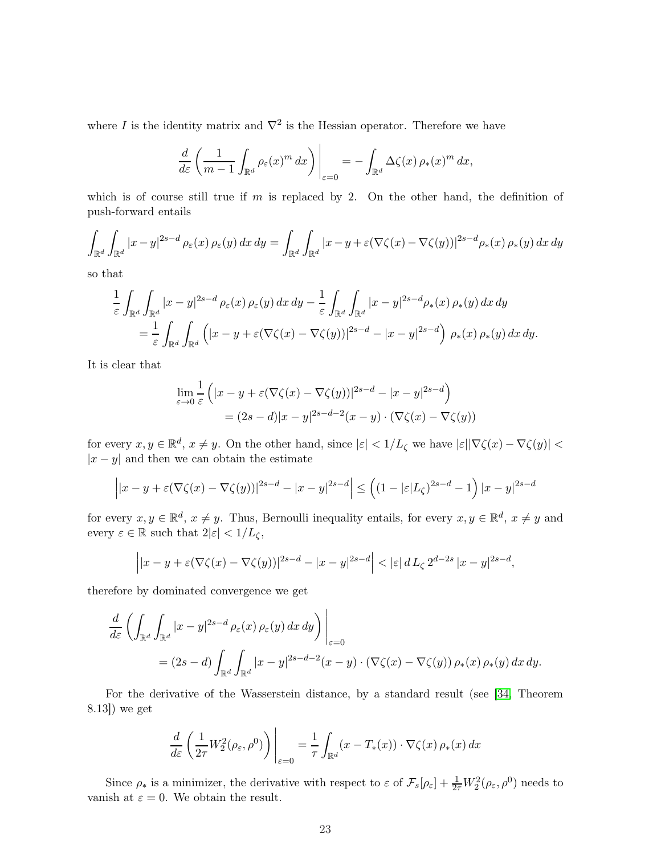where I is the identity matrix and  $\nabla^2$  is the Hessian operator. Therefore we have

$$
\frac{d}{d\varepsilon}\left(\frac{1}{m-1}\int_{\mathbb{R}^d}\rho_{\varepsilon}(x)^m\,dx\right)\bigg|_{\varepsilon=0}=-\int_{\mathbb{R}^d}\Delta\zeta(x)\,\rho_*(x)^m\,dx,
$$

which is of course still true if  $m$  is replaced by 2. On the other hand, the definition of push-forward entails

$$
\int_{\mathbb{R}^d} \int_{\mathbb{R}^d} |x - y|^{2s - d} \rho_{\varepsilon}(x) \rho_{\varepsilon}(y) dx dy = \int_{\mathbb{R}^d} \int_{\mathbb{R}^d} |x - y + \varepsilon(\nabla \zeta(x) - \nabla \zeta(y))|^{2s - d} \rho_*(x) \rho_*(y) dx dy
$$

so that

$$
\frac{1}{\varepsilon} \int_{\mathbb{R}^d} \int_{\mathbb{R}^d} |x - y|^{2s - d} \rho_{\varepsilon}(x) \rho_{\varepsilon}(y) dx dy - \frac{1}{\varepsilon} \int_{\mathbb{R}^d} \int_{\mathbb{R}^d} |x - y|^{2s - d} \rho_*(x) \rho_*(y) dx dy \n= \frac{1}{\varepsilon} \int_{\mathbb{R}^d} \int_{\mathbb{R}^d} \left( |x - y + \varepsilon(\nabla \zeta(x) - \nabla \zeta(y))|^{2s - d} - |x - y|^{2s - d} \right) \rho_*(x) \rho_*(y) dx dy.
$$

It is clear that

$$
\lim_{\varepsilon \to 0} \frac{1}{\varepsilon} \left( |x - y + \varepsilon(\nabla \zeta(x) - \nabla \zeta(y))|^{2s-d} - |x - y|^{2s-d} \right)
$$

$$
= (2s - d)|x - y|^{2s - d - 2}(x - y) \cdot (\nabla \zeta(x) - \nabla \zeta(y))
$$

for every  $x, y \in \mathbb{R}^d$ ,  $x \neq y$ . On the other hand, since  $|\varepsilon| < 1/L_{\zeta}$  we have  $|\varepsilon| |\nabla \zeta(x) - \nabla \zeta(y)|$  $|x - y|$  and then we can obtain the estimate

$$
\left| |x-y+\varepsilon(\nabla \zeta(x)-\nabla \zeta(y))|^{2s-d} - |x-y|^{2s-d} \right| \le \left( (1-|\varepsilon|L_\zeta)^{2s-d} - 1 \right) |x-y|^{2s-d}
$$

for every  $x, y \in \mathbb{R}^d$ ,  $x \neq y$ . Thus, Bernoulli inequality entails, for every  $x, y \in \mathbb{R}^d$ ,  $x \neq y$  and every  $\varepsilon \in \mathbb{R}$  such that  $2|\varepsilon| < 1/L_{\zeta}$ ,

$$
\left| |x - y + \varepsilon(\nabla \zeta(x) - \nabla \zeta(y))|^{2s-d} - |x - y|^{2s-d} \right| < |\varepsilon| d L_{\zeta} 2^{d-2s} |x - y|^{2s-d},
$$

therefore by dominated convergence we get

$$
\frac{d}{d\varepsilon} \left( \int_{\mathbb{R}^d} \int_{\mathbb{R}^d} |x - y|^{2s - d} \rho_{\varepsilon}(x) \rho_{\varepsilon}(y) dx dy \right) \Big|_{\varepsilon = 0}
$$
  
=  $(2s - d) \int_{\mathbb{R}^d} \int_{\mathbb{R}^d} |x - y|^{2s - d - 2} (x - y) \cdot (\nabla \zeta(x) - \nabla \zeta(y)) \rho_*(x) \rho_*(y) dx dy.$ 

For the derivative of the Wasserstein distance, by a standard result (see [\[34,](#page-46-4) Theorem 8.13]) we get

$$
\frac{d}{d\varepsilon} \left( \frac{1}{2\tau} W_2^2(\rho_\varepsilon, \rho^0) \right) \Bigg|_{\varepsilon=0} = \frac{1}{\tau} \int_{\mathbb{R}^d} (x - T_*(x)) \cdot \nabla \zeta(x) \, \rho_*(x) \, dx
$$

Since  $\rho_*$  is a minimizer, the derivative with respect to  $\varepsilon$  of  $\mathcal{F}_s[\rho_{\varepsilon}] + \frac{1}{2\tau} W_2^2(\rho_{\varepsilon}, \rho^0)$  needs to vanish at  $\varepsilon = 0$ . We obtain the result.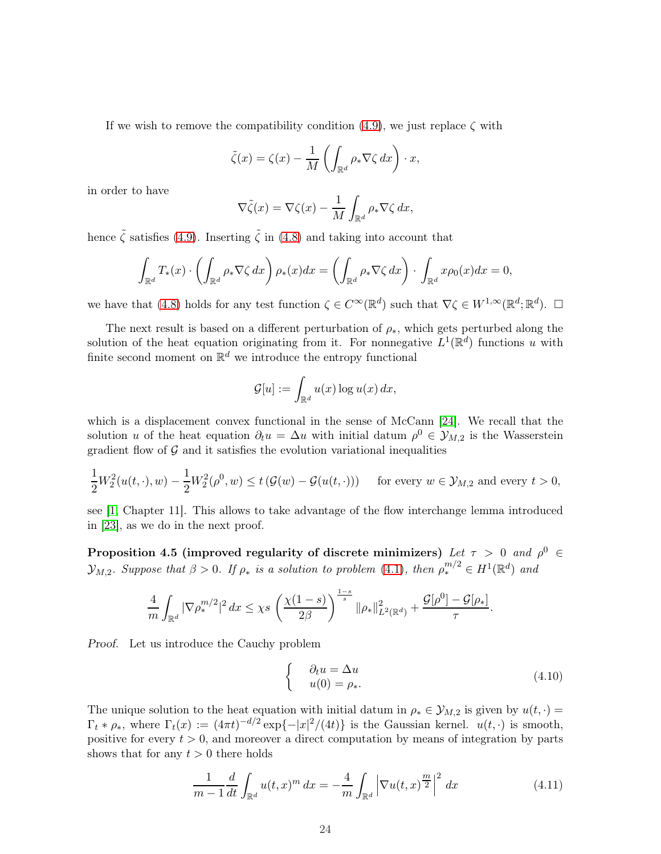If we wish to remove the compatibility condition [\(4.9\)](#page-21-0), we just replace  $\zeta$  with

$$
\tilde{\zeta}(x) = \zeta(x) - \frac{1}{M} \left( \int_{\mathbb{R}^d} \rho_* \nabla \zeta \, dx \right) \cdot x,
$$

in order to have

$$
\nabla \tilde{\zeta}(x) = \nabla \zeta(x) - \frac{1}{M} \int_{\mathbb{R}^d} \rho_* \nabla \zeta \, dx,
$$

hence  $\tilde{\zeta}$  satisfies [\(4.9\)](#page-21-0). Inserting  $\tilde{\zeta}$  in [\(4.8\)](#page-21-1) and taking into account that

$$
\int_{\mathbb{R}^d} T_*(x) \cdot \left( \int_{\mathbb{R}^d} \rho_* \nabla \zeta \, dx \right) \rho_*(x) dx = \left( \int_{\mathbb{R}^d} \rho_* \nabla \zeta \, dx \right) \cdot \int_{\mathbb{R}^d} x \rho_0(x) dx = 0,
$$

we have that  $(4.8)$  holds for any test function  $\zeta \in C^{\infty}(\mathbb{R}^d)$  such that  $\nabla \zeta \in W^{1,\infty}(\mathbb{R}^d;\mathbb{R}^d)$ .  $\square$ 

The next result is based on a different perturbation of  $\rho_*$ , which gets perturbed along the solution of the heat equation originating from it. For nonnegative  $L^1(\mathbb{R}^d)$  functions u with finite second moment on  $\mathbb{R}^d$  we introduce the entropy functional

$$
\mathcal{G}[u] := \int_{\mathbb{R}^d} u(x) \log u(x) \, dx,
$$

which is a displacement convex functional in the sense of McCann [\[24\]](#page-46-5). We recall that the solution u of the heat equation  $\partial_t u = \Delta u$  with initial datum  $\rho^0 \in \mathcal{Y}_{M,2}$  is the Wasserstein gradient flow of  $\mathcal G$  and it satisfies the evolution variational inequalities

$$
\frac{1}{2}W_2^2(u(t,\cdot),w) - \frac{1}{2}W_2^2(\rho^0,w) \le t\left(\mathcal{G}(w) - \mathcal{G}(u(t,\cdot))\right) \quad \text{for every } w \in \mathcal{Y}_{M,2} \text{ and every } t > 0,
$$

<span id="page-23-2"></span>see [\[1,](#page-44-5) Chapter 11]. This allows to take advantage of the flow interchange lemma introduced in [\[23\]](#page-45-14), as we do in the next proof.

Proposition 4.5 (improved regularity of discrete minimizers) Let  $\tau > 0$  and  $\rho^0 \in$  $\mathcal{Y}_{M,2}$ . Suppose that  $\beta > 0$ . If  $\rho_*$  is a solution to problem [\(4.1\)](#page-18-2), then  $\rho_*^{m/2} \in H^1(\mathbb{R}^d)$  and

$$
\frac{4}{m}\int_{\mathbb{R}^d} |\nabla \rho_*^{m/2}|^2 dx \leq \chi s \left(\frac{\chi(1-s)}{2\beta}\right)^{\frac{1-s}{s}} \|\rho_*\|_{L^2(\mathbb{R}^d)}^2 + \frac{\mathcal{G}[\rho^0] - \mathcal{G}[\rho_*]}{\tau}.
$$

Proof. Let us introduce the Cauchy problem

<span id="page-23-1"></span>
$$
\begin{cases}\n\partial_t u = \Delta u \\
u(0) = \rho_*.\n\end{cases}
$$
\n(4.10)

The unique solution to the heat equation with initial datum in  $\rho_* \in \mathcal{Y}_{M,2}$  is given by  $u(t, \cdot) =$  $\Gamma_t * \rho_*$ , where  $\Gamma_t(x) := (4\pi t)^{-d/2} \exp\{-|x|^2/(4t)\}\$ is the Gaussian kernel.  $u(t, \cdot)$  is smooth, positive for every  $t > 0$ , and moreover a direct computation by means of integration by parts shows that for any  $t > 0$  there holds

<span id="page-23-0"></span>
$$
\frac{1}{m-1} \frac{d}{dt} \int_{\mathbb{R}^d} u(t,x)^m \, dx = -\frac{4}{m} \int_{\mathbb{R}^d} \left| \nabla u(t,x)^{\frac{m}{2}} \right|^2 \, dx \tag{4.11}
$$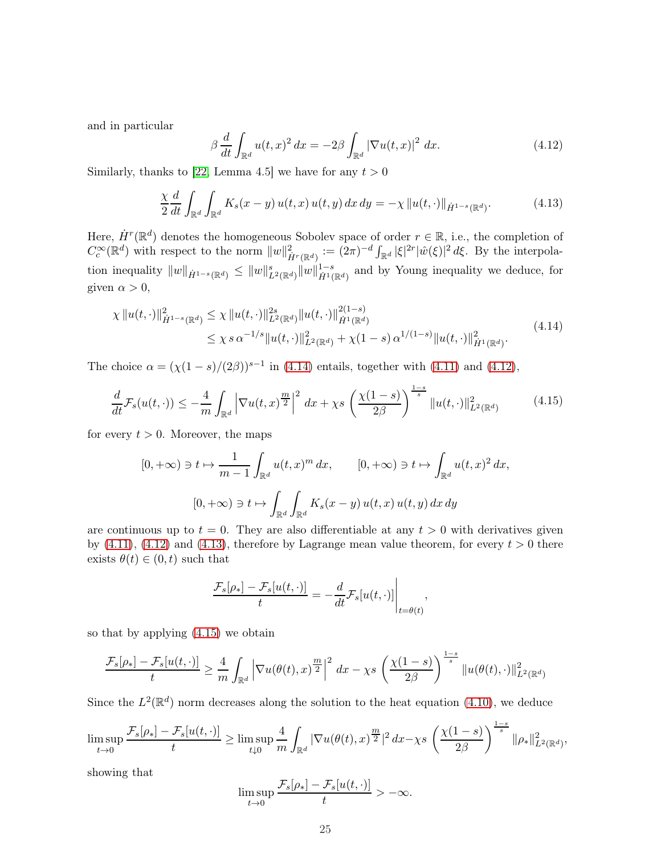and in particular

<span id="page-24-1"></span>
$$
\beta \frac{d}{dt} \int_{\mathbb{R}^d} u(t,x)^2 dx = -2\beta \int_{\mathbb{R}^d} |\nabla u(t,x)|^2 dx.
$$
 (4.12)

Similarly, thanks to [\[22,](#page-45-7) Lemma 4.5] we have for any  $t > 0$ 

<span id="page-24-2"></span>
$$
\frac{\chi}{2} \frac{d}{dt} \int_{\mathbb{R}^d} \int_{\mathbb{R}^d} K_s(x - y) u(t, x) u(t, y) dx dy = -\chi \| u(t, \cdot) \|_{\dot{H}^{1-s}(\mathbb{R}^d)}.
$$
 (4.13)

Here,  $\dot{H}^r(\mathbb{R}^d)$  denotes the homogeneous Sobolev space of order  $r \in \mathbb{R}$ , i.e., the completion of  $C_c^{\infty}(\mathbb{R}^d)$  with respect to the norm  $||w||^2_{\dot{H}^r(\mathbb{R}^d)} := (2\pi)^{-d} \int_{\mathbb{R}^d} |\xi|^{2r} |\hat{w}(\xi)|^2 d\xi$ . By the interpolation inequality  $||w||_{\dot{H}^{1-s}(\mathbb{R}^d)} \leq ||w||_{L^2(\mathbb{R}^d)}^s ||w||_{\dot{H}^{1}(\mathbb{R}^d)}^{1-s}$  and by Young inequality we deduce, for given  $\alpha > 0$ ,

<span id="page-24-0"></span>
$$
\chi \|u(t,\cdot)\|_{\dot{H}^{1-s}(\mathbb{R}^d)}^2 \leq \chi \|u(t,\cdot)\|_{L^2(\mathbb{R}^d)}^{2s} \|u(t,\cdot)\|_{\dot{H}^1(\mathbb{R}^d)}^{2(1-s)} \leq \chi \, s \, \alpha^{-1/s} \|u(t,\cdot)\|_{L^2(\mathbb{R}^d)}^2 + \chi(1-s) \, \alpha^{1/(1-s)} \|u(t,\cdot)\|_{\dot{H}^1(\mathbb{R}^d)}^2.
$$
\n
$$
(4.14)
$$

The choice  $\alpha = (\chi(1 - s)/(2\beta))^{s-1}$  in [\(4.14\)](#page-24-0) entails, together with [\(4.11\)](#page-23-0) and [\(4.12\)](#page-24-1),

<span id="page-24-3"></span>
$$
\frac{d}{dt}\mathcal{F}_s(u(t,\cdot)) \le -\frac{4}{m}\int_{\mathbb{R}^d} \left|\nabla u(t,x)^{\frac{m}{2}}\right|^2 dx + \chi s \left(\frac{\chi(1-s)}{2\beta}\right)^{\frac{1-s}{s}} \|u(t,\cdot)\|_{L^2(\mathbb{R}^d)}^2 \tag{4.15}
$$

for every  $t > 0$ . Moreover, the maps

$$
[0, +\infty) \ni t \mapsto \frac{1}{m-1} \int_{\mathbb{R}^d} u(t, x)^m dx, \qquad [0, +\infty) \ni t \mapsto \int_{\mathbb{R}^d} u(t, x)^2 dx,
$$

$$
[0, +\infty) \ni t \mapsto \int_{\mathbb{R}^d} \int_{\mathbb{R}^d} K_s(x - y) u(t, x) u(t, y) dx dy
$$

are continuous up to  $t = 0$ . They are also differentiable at any  $t > 0$  with derivatives given by  $(4.11)$ ,  $(4.12)$  and  $(4.13)$ , therefore by Lagrange mean value theorem, for every  $t > 0$  there exists  $\theta(t) \in (0, t)$  such that

$$
\frac{\mathcal{F}_s[\rho_*] - \mathcal{F}_s[u(t, \cdot)]}{t} = -\frac{d}{dt} \mathcal{F}_s[u(t, \cdot)] \Big|_{t = \theta(t)},
$$

so that by applying [\(4.15\)](#page-24-3) we obtain

$$
\frac{\mathcal{F}_s[\rho_*]-\mathcal{F}_s[u(t,\cdot)]}{t}\geq \frac{4}{m}\int_{\mathbb{R}^d}\left|\nabla u(\theta(t),x)^{\frac{m}{2}}\right|^2\,dx-\chi s\,\left(\frac{\chi(1-s)}{2\beta}\right)^{\frac{1-s}{s}}\|u(\theta(t),\cdot)\|_{L^2(\mathbb{R}^d)}^2
$$

Since the  $L^2(\mathbb{R}^d)$  norm decreases along the solution to the heat equation [\(4.10\)](#page-23-1), we deduce

$$
\limsup_{t\to 0}\frac{\mathcal{F}_s[\rho_*]-\mathcal{F}_s[u(t,\cdot)]}{t}\geq \limsup_{t\downarrow 0}\frac{4}{m}\int_{\mathbb{R}^d}|\nabla u(\theta(t),x)^{\frac{m}{2}}|^2\,dx-\chi s\,\left(\frac{\chi(1-s)}{2\beta}\right)^{\frac{1-s}{s}}\|\rho_*\|_{L^2(\mathbb{R}^d)}^2,
$$

showing that

$$
\limsup_{t\to 0}\frac{\mathcal{F}_s[\rho_*]-\mathcal{F}_s[u(t,\cdot)]}{t}>-\infty.
$$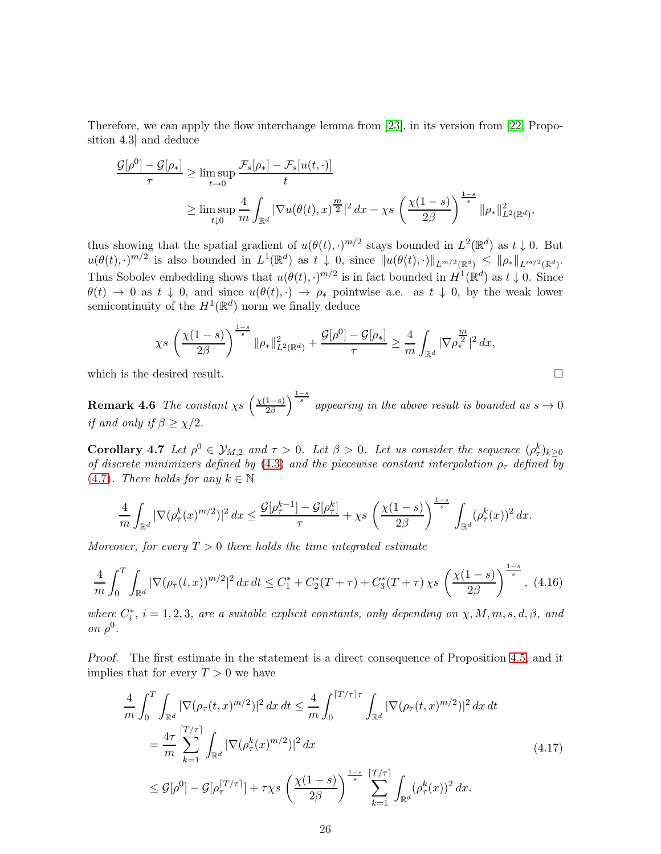Therefore, we can apply the flow interchange lemma from [\[23\]](#page-45-14), in its version from [\[22,](#page-45-7) Proposition 4.3] and deduce

$$
\frac{\mathcal{G}[\rho^0] - \mathcal{G}[\rho_*]}{\tau} \ge \limsup_{t \to 0} \frac{\mathcal{F}_s[\rho_*] - \mathcal{F}_s[u(t, \cdot)]}{t}
$$
  

$$
\ge \limsup_{t \downarrow 0} \frac{4}{m} \int_{\mathbb{R}^d} |\nabla u(\theta(t), x)|^{\frac{m}{2}} |^2 dx - \chi s \left( \frac{\chi(1-s)}{2\beta} \right)^{\frac{1-s}{s}} ||\rho_*||^2_{L^2(\mathbb{R}^d)},
$$

thus showing that the spatial gradient of  $u(\theta(t), \cdot)^{m/2}$  stays bounded in  $L^2(\mathbb{R}^d)$  as  $t \downarrow 0$ . But  $u(\theta(t), \cdot)^{m/2}$  is also bounded in  $L^1(\mathbb{R}^d)$  as  $t \downarrow 0$ , since  $||u(\theta(t), \cdot)||_{L^{m/2}(\mathbb{R}^d)} \leq ||\rho_*||_{L^{m/2}(\mathbb{R}^d)}$ . Thus Sobolev embedding shows that  $u(\theta(t), \cdot)^{m/2}$  is in fact bounded in  $H^1(\mathbb{R}^d)$  as  $t \downarrow 0$ . Since  $\theta(t) \to 0$  as  $t \downarrow 0$ , and since  $u(\theta(t), \cdot) \to \rho_*$  pointwise a.e. as  $t \downarrow 0$ , by the weak lower semicontinuity of the  $H^1(\mathbb{R}^d)$  norm we finally deduce

$$
\chi s\,\left(\frac{\chi(1-s)}{2\beta}\right)^{\frac{1-s}{s}}\|\rho_*\|^2_{L^2(\mathbb{R}^d)}+\frac{\mathcal{G}[\rho^0]-\mathcal{G}[\rho_*]}{\tau}\geq \frac{4}{m}\int_{\mathbb{R}^d}|\nabla\rho_*^{\frac{m}{2}}|^2\,dx,
$$

<span id="page-25-3"></span>which is the desired result.  $\Box$ 

**Remark 4.6** The constant  $\chi s$   $\left(\frac{\chi(1-s)}{2\beta}\right)$  $\frac{(1-s)}{2\beta}\Big)^{\frac{1-s}{s}}$  appearing in the above result is bounded as  $s \to 0$ if and only if  $\beta \geq \chi/2$ .

<span id="page-25-1"></span>Corollary 4.7 Let  $\rho^0 \in \mathcal{Y}_{M,2}$  and  $\tau > 0$ . Let  $\beta > 0$ . Let us consider the sequence  $(\rho^k_\tau)_{k \geq 0}$ of discrete minimizers defined by [\(4.3\)](#page-19-2) and the piecewise constant interpolation  $\rho_{\tau}$  defined by [\(4.7\)](#page-20-2). There holds for any  $k \in \mathbb{N}$ 

$$
\frac{4}{m}\int_{\mathbb{R}^d}|\nabla(\rho^k_\tau(x)^{m/2})|^2\,dx \leq \frac{\mathcal{G}[\rho^{k-1}_\tau]-\mathcal{G}[\rho^k_\tau]}{\tau} + \chi s\,\left(\frac{\chi(1-s)}{2\beta}\right)^{\frac{1-s}{s}}\,\int_{\mathbb{R}^d}(\rho^k_\tau(x))^2\,dx.
$$

Moreover, for every  $T > 0$  there holds the time integrated estimate

<span id="page-25-2"></span>
$$
\frac{4}{m} \int_0^T \int_{\mathbb{R}^d} |\nabla (\rho_\tau(t,x))^{m/2}|^2 dx dt \le C_1^* + C_2^*(T+\tau) + C_3^*(T+\tau) \chi s \left(\frac{\chi(1-s)}{2\beta}\right)^{\frac{1-s}{s}}, (4.16)
$$

where  $C_i^*$ ,  $i = 1, 2, 3$ , are a suitable explicit constants, only depending on  $\chi, M, m, s, d, \beta$ , and on  $\rho^0$ .

Proof. The first estimate in the statement is a direct consequence of Proposition [4.5,](#page-23-2) and it implies that for every  $T > 0$  we have

<span id="page-25-0"></span>
$$
\frac{4}{m} \int_0^T \int_{\mathbb{R}^d} |\nabla(\rho_\tau(t, x)^{m/2})|^2 dx dt \le \frac{4}{m} \int_0^{\lceil T/\tau \rceil \tau} \int_{\mathbb{R}^d} |\nabla(\rho_\tau(t, x)^{m/2})|^2 dx dt \n= \frac{4\tau}{m} \sum_{k=1}^{\lceil T/\tau \rceil} \int_{\mathbb{R}^d} |\nabla(\rho_\tau^k(x)^{m/2})|^2 dx \n\le \mathcal{G}[\rho^0] - \mathcal{G}[\rho_\tau^{\lceil T/\tau \rceil}] + \tau \chi s \left( \frac{\chi(1-s)}{2\beta} \right)^{\frac{1-s}{s}} \sum_{k=1}^{\lceil T/\tau \rceil} \int_{\mathbb{R}^d} (\rho_\tau^k(x))^2 dx.
$$
\n(4.17)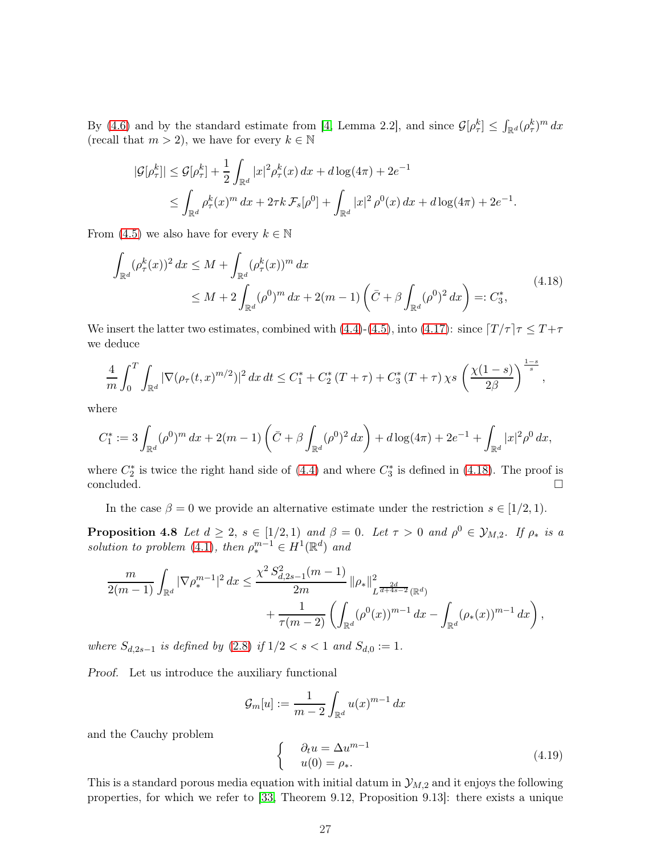By [\(4.6\)](#page-20-1) and by the standard estimate from [\[4,](#page-44-0) Lemma 2.2], and since  $\mathcal{G}[\rho_{\tau}^k] \leq \int_{\mathbb{R}^d} (\rho_{\tau}^k)^m dx$ (recall that  $m > 2$ ), we have for every  $k \in \mathbb{N}$ 

$$
|\mathcal{G}[\rho_\tau^k]| \leq \mathcal{G}[\rho_\tau^k] + \frac{1}{2} \int_{\mathbb{R}^d} |x|^2 \rho_\tau^k(x) dx + d \log(4\pi) + 2e^{-1}
$$
  

$$
\leq \int_{\mathbb{R}^d} \rho_\tau^k(x)^m dx + 2\tau k \mathcal{F}_s[\rho^0] + \int_{\mathbb{R}^d} |x|^2 \rho^0(x) dx + d \log(4\pi) + 2e^{-1}.
$$

From [\(4.5\)](#page-20-0) we also have for every  $k \in \mathbb{N}$ 

<span id="page-26-0"></span>
$$
\int_{\mathbb{R}^d} (\rho_\tau^k(x))^2 dx \le M + \int_{\mathbb{R}^d} (\rho_\tau^k(x))^m dx
$$
\n
$$
\le M + 2 \int_{\mathbb{R}^d} (\rho^0)^m dx + 2(m - 1) \left( \bar{C} + \beta \int_{\mathbb{R}^d} (\rho^0)^2 dx \right) =: C_3^*,
$$
\n(4.18)

We insert the latter two estimates, combined with [\(4.4\)](#page-19-1)-[\(4.5\)](#page-20-0), into [\(4.17\)](#page-25-0): since  $\lceil T/\tau \rceil \tau \leq T+\tau$ we deduce

$$
\frac{4}{m}\int_0^T \int_{\mathbb{R}^d} |\nabla (\rho_\tau(t,x)^{m/2})|^2 \, dx \, dt \le C_1^* + C_2^* (T+\tau) + C_3^* (T+\tau) \chi s \left(\frac{\chi(1-s)}{2\beta}\right)^{\frac{1-s}{s}},
$$

where

$$
C_1^* := 3 \int_{\mathbb{R}^d} (\rho^0)^m dx + 2(m-1) \left( \bar{C} + \beta \int_{\mathbb{R}^d} (\rho^0)^2 dx \right) + d \log(4\pi) + 2e^{-1} + \int_{\mathbb{R}^d} |x|^2 \rho^0 dx,
$$

where  $C_2^*$  is twice the right hand side of [\(4.4\)](#page-19-1) and where  $C_3^*$  is defined in [\(4.18\)](#page-26-0). The proof is concluded. □

In the case  $\beta = 0$  we provide an alternative estimate under the restriction  $s \in [1/2, 1)$ .

**Proposition 4.8** Let  $d \geq 2$ ,  $s \in [1/2, 1)$  and  $\beta = 0$ . Let  $\tau > 0$  and  $\rho^0 \in \mathcal{Y}_{M,2}$ . If  $\rho_*$  is a solution to problem [\(4.1\)](#page-18-2), then  $\rho_*^{m-1} \in H^1(\mathbb{R}^d)$  and

$$
\frac{m}{2(m-1)} \int_{\mathbb{R}^d} |\nabla \rho_*^{m-1}|^2 dx \le \frac{\chi^2 S_{d,2s-1}^2(m-1)}{2m} ||\rho_*||^2_{L^{\frac{2d}{d+4s-2}}(\mathbb{R}^d)} + \frac{1}{\tau(m-2)} \left( \int_{\mathbb{R}^d} (\rho^0(x))^{m-1} dx - \int_{\mathbb{R}^d} (\rho_*(x))^{m-1} dx \right),
$$

where  $S_{d,2s-1}$  is defined by [\(2.8\)](#page-5-4) if  $1/2 < s < 1$  and  $S_{d,0} := 1$ .

Proof. Let us introduce the auxiliary functional

<span id="page-26-2"></span>
$$
\mathcal{G}_m[u] := \frac{1}{m-2} \int_{\mathbb{R}^d} u(x)^{m-1} \, dx
$$

and the Cauchy problem

<span id="page-26-1"></span>
$$
\begin{cases}\n\partial_t u = \Delta u^{m-1} \\
u(0) = \rho_*.\n\end{cases}
$$
\n(4.19)

This is a standard porous media equation with initial datum in  $\mathcal{Y}_{M,2}$  and it enjoys the following properties, for which we refer to [\[33,](#page-46-6) Theorem 9.12, Proposition 9.13]: there exists a unique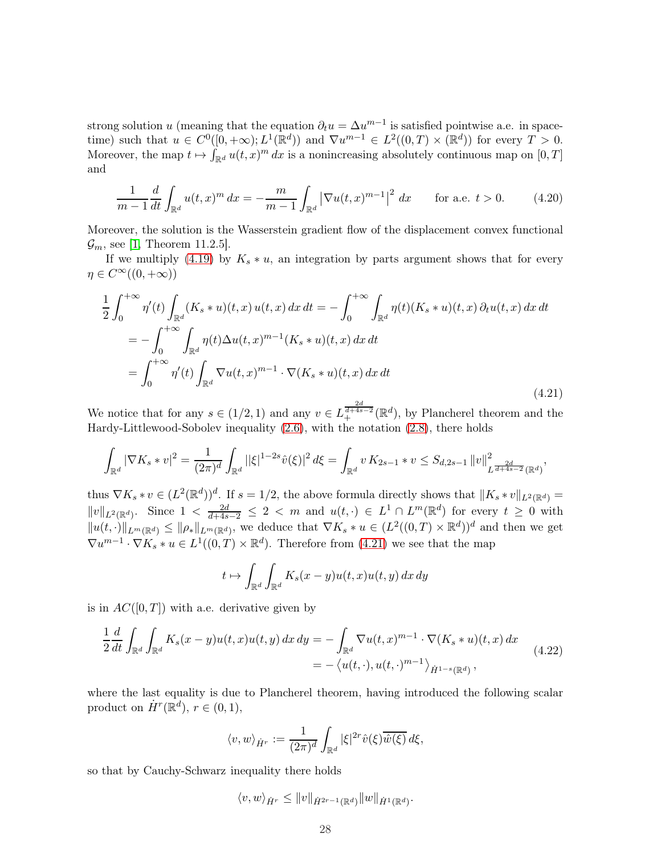strong solution u (meaning that the equation  $\partial_t u = \Delta u^{m-1}$  is satisfied pointwise a.e. in spacetime) such that  $u \in C^0([0, +\infty); L^1(\mathbb{R}^d))$  and  $\nabla u^{m-1} \in L^2((0, T) \times (\mathbb{R}^d))$  for every  $T > 0$ . Moreover, the map  $t \mapsto \int_{\mathbb{R}^d} u(t, x)^m dx$  is a nonincreasing absolutely continuous map on  $[0, T]$ and

<span id="page-27-1"></span>
$$
\frac{1}{m-1}\frac{d}{dt}\int_{\mathbb{R}^d} u(t,x)^m dx = -\frac{m}{m-1}\int_{\mathbb{R}^d} \left|\nabla u(t,x)^{m-1}\right|^2 dx \quad \text{for a.e. } t > 0. \tag{4.20}
$$

Moreover, the solution is the Wasserstein gradient flow of the displacement convex functional  $\mathcal{G}_m$ , see [\[1,](#page-44-5) Theorem 11.2.5].

If we multiply [\(4.19\)](#page-26-1) by  $K_s * u$ , an integration by parts argument shows that for every  $\eta \in C^{\infty}((0, +\infty))$ 

<span id="page-27-0"></span>
$$
\frac{1}{2} \int_0^{+\infty} \eta'(t) \int_{\mathbb{R}^d} (K_s * u)(t, x) u(t, x) dx dt = - \int_0^{+\infty} \int_{\mathbb{R}^d} \eta(t) (K_s * u)(t, x) du(t, x) dx dt \n= - \int_0^{+\infty} \int_{\mathbb{R}^d} \eta(t) \Delta u(t, x)^{m-1} (K_s * u)(t, x) dx dt \n= \int_0^{+\infty} \eta'(t) \int_{\mathbb{R}^d} \nabla u(t, x)^{m-1} \cdot \nabla (K_s * u)(t, x) dx dt
$$
\n(4.21)

We notice that for any  $s \in (1/2, 1)$  and any  $v \in L^{\frac{2d}{d+4s-2}}_+({\mathbb R}^d)$ , by Plancherel theorem and the Hardy-Littlewood-Sobolev inequality [\(2.6\)](#page-5-0), with the notation [\(2.8\)](#page-5-4), there holds

$$
\int_{\mathbb{R}^d} |\nabla K_s * v|^2 = \frac{1}{(2\pi)^d} \int_{\mathbb{R}^d} ||\xi|^{1-2s} \hat{v}(\xi)|^2 d\xi = \int_{\mathbb{R}^d} v \, K_{2s-1} * v \leq S_{d,2s-1} \|v\|_{L^{\frac{2d}{d+4s-2}}(\mathbb{R}^d)}^2,
$$

thus  $\nabla K_s * v \in (L^2(\mathbb{R}^d))^d$ . If  $s = 1/2$ , the above formula directly shows that  $||K_s * v||_{L^2(\mathbb{R}^d)} =$  $||v||_{L^2(\mathbb{R}^d)}$ . Since  $1 < \frac{2d}{d+4s-2} \leq 2 < m$  and  $u(t, \cdot) \in L^1 \cap L^m(\mathbb{R}^d)$  for every  $t \geq 0$  with  $||u(t, \cdot)||_{L^m(\mathbb{R}^d)} \le ||\rho_*||_{L^m(\mathbb{R}^d)}$ , we deduce that  $\nabla K_s * u \in (L^2((0,T) \times \mathbb{R}^d))^d$  and then we get  $\nabla u^{m-1} \cdot \nabla K_s * u \in L^1((0,T) \times \mathbb{R}^d)$ . Therefore from [\(4.21\)](#page-27-0) we see that the map

$$
t \mapsto \int_{\mathbb{R}^d} \int_{\mathbb{R}^d} K_s(x - y) u(t, x) u(t, y) dx dy
$$

is in  $AC([0,T])$  with a.e. derivative given by

<span id="page-27-2"></span>
$$
\frac{1}{2}\frac{d}{dt}\int_{\mathbb{R}^d}\int_{\mathbb{R}^d}K_s(x-y)u(t,x)u(t,y)\,dx\,dy = -\int_{\mathbb{R}^d}\nabla u(t,x)^{m-1}\cdot\nabla(K_s*u)(t,x)\,dx
$$
\n
$$
= -\left\langle u(t,\cdot),u(t,\cdot)^{m-1}\right\rangle_{\dot{H}^{1-s}(\mathbb{R}^d)},\tag{4.22}
$$

where the last equality is due to Plancherel theorem, having introduced the following scalar product on  $\dot{H}^r(\mathbb{R}^d)$ ,  $r \in (0,1)$ ,

$$
\langle v, w \rangle_{\dot{H}^r} := \frac{1}{(2\pi)^d} \int_{\mathbb{R}^d} |\xi|^{2r} \hat{v}(\xi) \overline{\hat{w}(\xi)} d\xi,
$$

so that by Cauchy-Schwarz inequality there holds

$$
\langle v, w \rangle_{\dot{H}^r} \leq ||v||_{\dot{H}^{2r-1}(\mathbb{R}^d)} ||w||_{\dot{H}^1(\mathbb{R}^d)}.
$$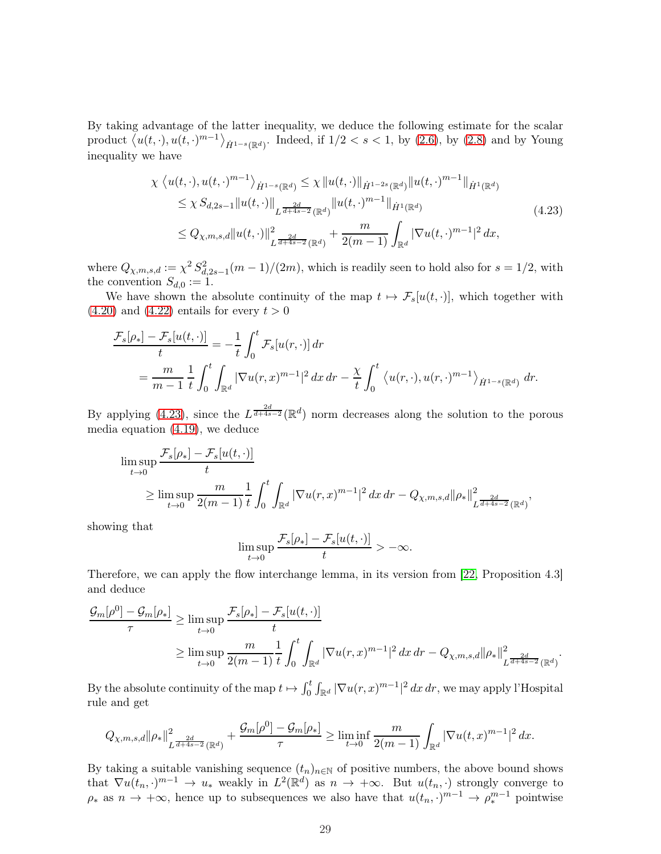By taking advantage of the latter inequality, we deduce the following estimate for the scalar product  $\langle u(t, \cdot), u(t, \cdot)^{m-1} \rangle_{\dot{H}^{1-s}(\mathbb{R}^d)}$ . Indeed, if  $1/2 < s < 1$ , by  $(2.6)$ , by  $(2.8)$  and by Young inequality we have

<span id="page-28-0"></span>
$$
\chi \langle u(t,\cdot), u(t,\cdot)^{m-1} \rangle_{\dot{H}^{1-s}(\mathbb{R}^d)} \leq \chi \| u(t,\cdot) \|_{\dot{H}^{1-2s}(\mathbb{R}^d)} \| u(t,\cdot)^{m-1} \|_{\dot{H}^{1}(\mathbb{R}^d)}
$$
  
\n
$$
\leq \chi S_{d,2s-1} \| u(t,\cdot) \|_{L^{\frac{2d}{d+4s-2}}(\mathbb{R}^d)} \| u(t,\cdot)^{m-1} \|_{\dot{H}^{1}(\mathbb{R}^d)}
$$
  
\n
$$
\leq Q_{\chi,m,s,d} \| u(t,\cdot) \|_{L^{\frac{2d}{d+4s-2}}(\mathbb{R}^d)}^2 + \frac{m}{2(m-1)} \int_{\mathbb{R}^d} |\nabla u(t,\cdot)^{m-1}|^2 dx,
$$
\n(4.23)

where  $Q_{\chi,m,s,d} := \chi^2 S_{d,2s-1}^2(m-1)/(2m)$ , which is readily seen to hold also for  $s = 1/2$ , with the convention  $S_{d,0} := 1$ .

We have shown the absolute continuity of the map  $t \mapsto \mathcal{F}_s[u(t, \cdot)]$ , which together with  $(4.20)$  and  $(4.22)$  entails for every  $t > 0$ 

$$
\frac{\mathcal{F}_s[\rho_*] - \mathcal{F}_s[u(t, \cdot)]}{t} = -\frac{1}{t} \int_0^t \mathcal{F}_s[u(r, \cdot)] dr
$$
  
= 
$$
\frac{m}{m-1} \frac{1}{t} \int_0^t \int_{\mathbb{R}^d} |\nabla u(r, x)^{m-1}|^2 dx dr - \frac{\chi}{t} \int_0^t \langle u(r, \cdot), u(r, \cdot)^{m-1} \rangle_{\dot{H}^{1-s}(\mathbb{R}^d)} dr.
$$

By applying [\(4.23\)](#page-28-0), since the  $L^{\frac{2d}{d+4s-2}}(\mathbb{R}^d)$  norm decreases along the solution to the porous media equation [\(4.19\)](#page-26-1), we deduce

$$
\limsup_{t \to 0} \frac{\mathcal{F}_s[\rho_*] - \mathcal{F}_s[u(t, \cdot)]}{t}
$$
\n
$$
\geq \limsup_{t \to 0} \frac{m}{2(m-1)} \frac{1}{t} \int_0^t \int_{\mathbb{R}^d} |\nabla u(r, x)^{m-1}|^2 \, dx \, dr - Q_{\chi, m, s, d} ||\rho_*||^2_{L^{\frac{2d}{d+4s-2}}(\mathbb{R}^d)},
$$

showing that

$$
\limsup_{t\to 0}\frac{\mathcal{F}_s[\rho_*]-\mathcal{F}_s[u(t,\cdot)]}{t}>-\infty.
$$

Therefore, we can apply the flow interchange lemma, in its version from [\[22,](#page-45-7) Proposition 4.3] and deduce

$$
\frac{\mathcal{G}_m[\rho^0] - \mathcal{G}_m[\rho_*]}{\tau} \ge \limsup_{t \to 0} \frac{\mathcal{F}_s[\rho_*] - \mathcal{F}_s[u(t, \cdot)]}{t}
$$
\n
$$
\ge \limsup_{t \to 0} \frac{m}{2(m-1)} \frac{1}{t} \int_0^t \int_{\mathbb{R}^d} |\nabla u(r, x)^{m-1}|^2 \, dx \, dr - Q_{\chi, m, s, d} ||\rho_*||^2_{L^{\frac{2d}{d+4s-2}}(\mathbb{R}^d)}.
$$

By the absolute continuity of the map  $t \mapsto \int_0^t \int_{\mathbb{R}^d} |\nabla u(r, x)^{m-1}|^2 dx dr$ , we may apply l'Hospital rule and get

$$
Q_{\chi,m,s,d} || \rho_* ||_{L^{\frac{2d}{d+4s-2}}(\mathbb{R}^d)}^2 + \frac{\mathcal{G}_m[\rho^0] - \mathcal{G}_m[\rho_*]}{\tau} \geq \liminf_{t \to 0} \frac{m}{2(m-1)} \int_{\mathbb{R}^d} |\nabla u(t,x)^{m-1}|^2 \, dx.
$$

By taking a suitable vanishing sequence  $(t_n)_{n\in\mathbb{N}}$  of positive numbers, the above bound shows that  $\nabla u(t_n, \cdot)^{m-1} \to u_*$  weakly in  $L^2(\mathbb{R}^d)$  as  $n \to +\infty$ . But  $u(t_n, \cdot)$  strongly converge to  $\rho_*$  as  $n \to +\infty$ , hence up to subsequences we also have that  $u(t_n, \cdot)^{m-1} \to \rho_*^{m-1}$  pointwise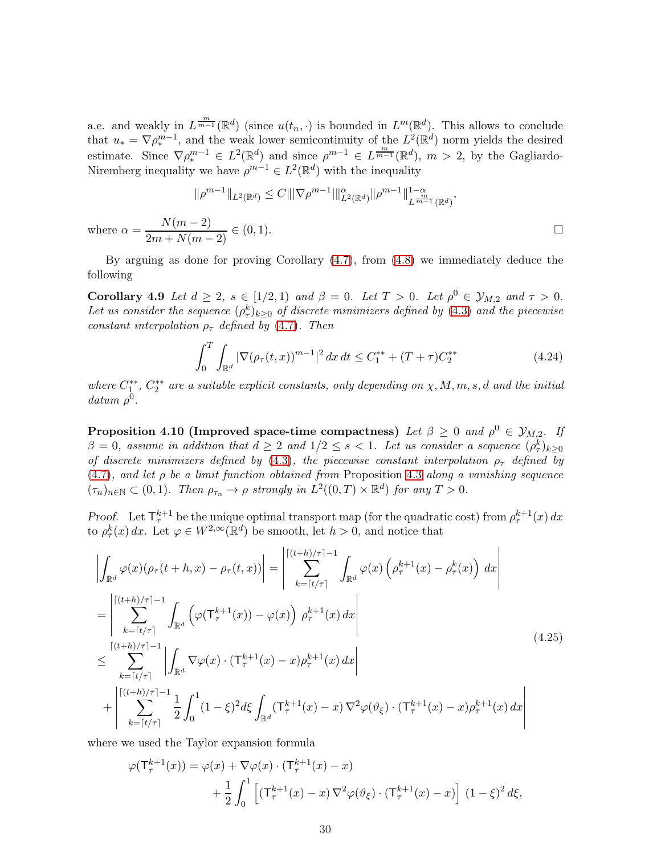a.e. and weakly in  $L^{\frac{m}{m-1}}(\mathbb{R}^d)$  (since  $u(t_n, \cdot)$  is bounded in  $L^m(\mathbb{R}^d)$ . This allows to conclude that  $u_* = \nabla \rho_*^{m-1}$ , and the weak lower semicontinuity of the  $L^2(\mathbb{R}^d)$  norm yields the desired estimate. Since  $\nabla \rho_*^{m-1} \in L^2(\mathbb{R}^d)$  and since  $\rho^{m-1} \in L^{\frac{m}{m-1}}(\mathbb{R}^d)$ ,  $m > 2$ , by the Gagliardo-Niremberg inequality we have  $\rho^{m-1} \in L^2(\mathbb{R}^d)$  with the inequality

$$
\|\rho^{m-1}\|_{L^2(\mathbb{R}^d)} \le C \|\nabla \rho^{m-1}\|_{L^2(\mathbb{R}^d)}^{\alpha} \|\rho^{m-1}\|_{L^{\frac{m}{m-1}}(\mathbb{R}^d)}^{1-\alpha},
$$
  
where  $\alpha = \frac{N(m-2)}{2m+N(m-2)} \in (0,1).$ 

<span id="page-29-1"></span>By arguing as done for proving Corollary [\(4.7\)](#page-25-1), from [\(4.8\)](#page-26-2) we immediately deduce the following

Corollary 4.9 Let  $d \geq 2$ ,  $s \in [1/2, 1)$  and  $\beta = 0$ . Let  $T > 0$ . Let  $\rho^0 \in \mathcal{Y}_{M,2}$  and  $\tau > 0$ . Let us consider the sequence  $(\rho^k_\tau)_{k\geq 0}$  of discrete minimizers defined by [\(4.3\)](#page-19-2) and the piecewise constant interpolation  $\rho_{\tau}$  defined by [\(4.7\)](#page-20-2). Then

<span id="page-29-3"></span>
$$
\int_0^T \int_{\mathbb{R}^d} |\nabla (\rho_\tau(t, x))^{m-1}|^2 dx dt \le C_1^{**} + (T + \tau) C_2^{**}
$$
\n(4.24)

<span id="page-29-2"></span>where  $C_1^{**}$ ,  $C_2^{**}$  are a suitable explicit constants, only depending on  $\chi, M, m, s, d$  and the initial  $\alpha$ datum  $\rho^0$ .

**Proposition 4.10 (Improved space-time compactness)** Let  $\beta \geq 0$  and  $\rho^0 \in \mathcal{Y}_{M,2}$ . If  $\beta = 0$ , assume in addition that  $d \geq 2$  and  $1/2 \leq s < 1$ . Let us consider a sequence  $(\rho_{\tau}^{k})_{k \geq 0}$ of discrete minimizers defined by [\(4.3\)](#page-19-2), the piecewise constant interpolation  $\rho_{\tau}$  defined by  $(4.7)$ , and let  $\rho$  be a limit function obtained from Proposition [4.3](#page-20-3) along a vanishing sequence  $(\tau_n)_{n \in \mathbb{N}} \subset (0,1)$ . Then  $\rho_{\tau_n} \to \rho$  strongly in  $L^2((0,T) \times \mathbb{R}^d)$  for any  $T > 0$ .

Proof. Let  $\mathsf{T}_{\tau}^{k+1}$  be the unique optimal transport map (for the quadratic cost) from  $\rho_{\tau}^{k+1}(x) dx$ to  $\rho^k_\tau(x) dx$ . Let  $\varphi \in W^{2,\infty}(\mathbb{R}^d)$  be smooth, let  $h > 0$ , and notice that

<span id="page-29-0"></span>
$$
\left| \int_{\mathbb{R}^d} \varphi(x) (\rho_\tau(t+h,x) - \rho_\tau(t,x)) \right| = \left| \sum_{k=\lceil t/\tau \rceil}^{\lceil (t+h)/\tau \rceil - 1} \int_{\mathbb{R}^d} \varphi(x) \left( \rho_\tau^{k+1}(x) - \rho_\tau^k(x) \right) dx \right|
$$
\n
$$
= \left| \sum_{k=\lceil t/\tau \rceil}^{\lceil (t+h)/\tau \rceil - 1} \int_{\mathbb{R}^d} \left( \varphi(\mathsf{T}^{k+1}_\tau(x)) - \varphi(x) \right) \rho_\tau^{k+1}(x) dx \right|
$$
\n
$$
\leq \sum_{k=\lceil t/\tau \rceil}^{\lceil (t+h)/\tau \rceil - 1} \left| \int_{\mathbb{R}^d} \nabla \varphi(x) \cdot (\mathsf{T}^{k+1}_\tau(x) - x) \rho_\tau^{k+1}(x) dx \right|
$$
\n
$$
+ \left| \sum_{k=\lceil t/\tau \rceil}^{\lceil (t+h)/\tau \rceil - 1} \frac{1}{2} \int_0^1 (1 - \xi)^2 d\xi \int_{\mathbb{R}^d} (\mathsf{T}^{k+1}_\tau(x) - x) \nabla^2 \varphi(\vartheta_\xi) \cdot (\mathsf{T}^{k+1}_\tau(x) - x) \rho_\tau^{k+1}(x) dx \right|
$$
\n(4.25)

where we used the Taylor expansion formula

$$
\varphi(\mathsf{T}_{\tau}^{k+1}(x)) = \varphi(x) + \nabla \varphi(x) \cdot (\mathsf{T}_{\tau}^{k+1}(x) - x)
$$

$$
+ \frac{1}{2} \int_0^1 \left[ (\mathsf{T}_{\tau}^{k+1}(x) - x) \nabla^2 \varphi(\vartheta_\xi) \cdot (\mathsf{T}_{\tau}^{k+1}(x) - x) \right] (1 - \xi)^2 d\xi,
$$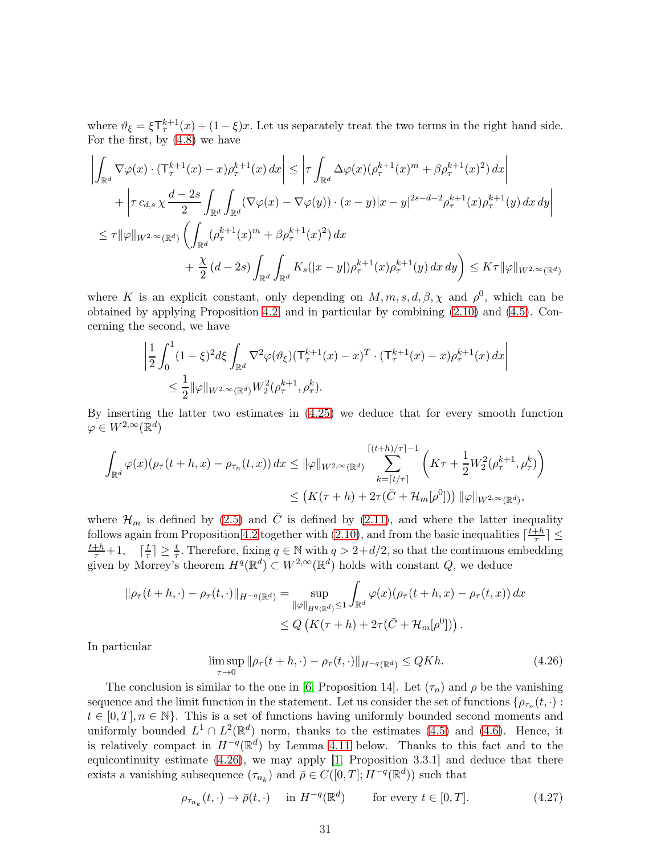where  $\vartheta_{\xi} = \xi T_{\tau}^{k+1}(x) + (1 - \xi)x$ . Let us separately treat the two terms in the right hand side. For the first, by [\(4.8\)](#page-21-1) we have

$$
\left| \int_{\mathbb{R}^d} \nabla \varphi(x) \cdot (\mathsf{T}_{\tau}^{k+1}(x) - x) \rho_{\tau}^{k+1}(x) dx \right| \leq \left| \tau \int_{\mathbb{R}^d} \Delta \varphi(x) (\rho_{\tau}^{k+1}(x)^m + \beta \rho_{\tau}^{k+1}(x)^2) dx \right| \n+ \left| \tau c_{d,s} \chi \frac{d-2s}{2} \int_{\mathbb{R}^d} \int_{\mathbb{R}^d} (\nabla \varphi(x) - \nabla \varphi(y)) \cdot (x - y) |x - y|^{2s - d - 2} \rho_{\tau}^{k+1}(x) \rho_{\tau}^{k+1}(y) dx dy \right| \n\leq \tau ||\varphi||_{W^{2,\infty}(\mathbb{R}^d)} \left( \int_{\mathbb{R}^d} (\rho_{\tau}^{k+1}(x)^m + \beta \rho_{\tau}^{k+1}(x)^2) dx \n+ \frac{\chi}{2} (d - 2s) \int_{\mathbb{R}^d} \int_{\mathbb{R}^d} K_s(|x - y|) \rho_{\tau}^{k+1}(x) \rho_{\tau}^{k+1}(y) dx dy \right) \leq K \tau ||\varphi||_{W^{2,\infty}(\mathbb{R}^d)}
$$

where K is an explicit constant, only depending on  $M, m, s, d, \beta, \chi$  and  $\rho^0$ , which can be obtained by applying Proposition [4.2,](#page-19-3) and in particular by combining [\(2.10\)](#page-5-3) and [\(4.5\)](#page-20-0). Concerning the second, we have

$$
\begin{aligned} & \left| \frac{1}{2} \int_0^1 (1-\xi)^2 d\xi \int_{\mathbb{R}^d} \nabla^2 \varphi(\vartheta_\xi) (\mathsf{T}^{k+1}_\tau(x) - x)^T \cdot (\mathsf{T}^{k+1}_\tau(x) - x) \rho_\tau^{k+1}(x) \, dx \right| \\ &\leq \frac{1}{2} ||\varphi||_{W^{2,\infty}(\mathbb{R}^d)} W_2^2(\rho_\tau^{k+1}, \rho_\tau^k). \end{aligned}
$$

By inserting the latter two estimates in [\(4.25\)](#page-29-0) we deduce that for every smooth function  $\varphi \in W^{2,\infty}(\mathbb{R}^d)$ 

$$
\int_{\mathbb{R}^d} \varphi(x) (\rho_\tau(t+h,x) - \rho_{\tau_n}(t,x)) dx \leq \|\varphi\|_{W^{2,\infty}(\mathbb{R}^d)} \sum_{k=\lceil t/\tau \rceil}^{\lceil (t+h)/\tau \rceil - 1} \left( K\tau + \frac{1}{2} W_2^2(\rho_\tau^{k+1}, \rho_\tau^k) \right) \leq \left( K(\tau+h) + 2\tau(\bar{C} + \mathcal{H}_m[\rho^0]) \right) \|\varphi\|_{W^{2,\infty}(\mathbb{R}^d)},
$$

where  $\mathcal{H}_m$  is defined by [\(2.5\)](#page-5-5) and  $\overline{C}$  is defined by [\(2.11\)](#page-6-8), and where the latter inequality follows again from Proposition [4.2](#page-19-3) together with [\(2.10\)](#page-5-3), and from the basic inequalities  $\lceil \frac{t+h}{\tau} \rceil$  $\frac{1}{\tau}$ |  $\leq$  $\frac{t+h}{\tau}+1$ ,  $\lceil \frac{t}{\tau} \rceil$  $\frac{t}{\tau}$   $\geq \frac{t}{\tau}$ . Therefore, fixing  $q \in \mathbb{N}$  with  $q > 2+d/2$ , so that the continuous embedding given by Morrey's theorem  $H^q(\mathbb{R}^d) \subset W^{2,\infty}(\mathbb{R}^d)$  holds with constant  $Q$ , we deduce

$$
\|\rho_{\tau}(t+h,\cdot)-\rho_{\tau}(t,\cdot)\|_{H^{-q}(\mathbb{R}^d)} = \sup_{\|\varphi\|_{H^{q}(\mathbb{R}^d)}\leq 1} \int_{\mathbb{R}^d} \varphi(x) (\rho_{\tau}(t+h,x) - \rho_{\tau}(t,x)) dx
$$
  

$$
\leq Q\left(K(\tau+h) + 2\tau(\bar{C} + \mathcal{H}_m[\rho^0])\right).
$$

In particular

<span id="page-30-0"></span>
$$
\limsup_{\tau \to 0} \|\rho_{\tau}(t+h,\cdot) - \rho_{\tau}(t,\cdot)\|_{H^{-q}(\mathbb{R}^d)} \le QKh. \tag{4.26}
$$

The conclusion is similar to the one in [\[6,](#page-44-2) Proposition 14]. Let  $(\tau_n)$  and  $\rho$  be the vanishing sequence and the limit function in the statement. Let us consider the set of functions  $\{\rho_{\tau_n}(t,\cdot):$  $t \in [0, T], n \in \mathbb{N}$ . This is a set of functions having uniformly bounded second moments and uniformly bounded  $L^1 \cap L^2(\mathbb{R}^d)$  norm, thanks to the estimates [\(4.5\)](#page-20-0) and [\(4.6\)](#page-20-1). Hence, it is relatively compact in  $H^{-q}(\mathbb{R}^d)$  by Lemma [4.11](#page-31-0) below. Thanks to this fact and to the equicontinuity estimate [\(4.26\)](#page-30-0), we may apply [\[1,](#page-44-5) Proposition 3.3.1] and deduce that there exists a vanishing subsequence  $(\tau_{n_k})$  and  $\bar{\rho} \in C([0,T];H^{-q}(\mathbb{R}^d))$  such that

<span id="page-30-1"></span>
$$
\rho_{\tau_{n_k}}(t, \cdot) \to \bar{\rho}(t, \cdot) \quad \text{ in } H^{-q}(\mathbb{R}^d) \qquad \text{ for every } t \in [0, T]. \tag{4.27}
$$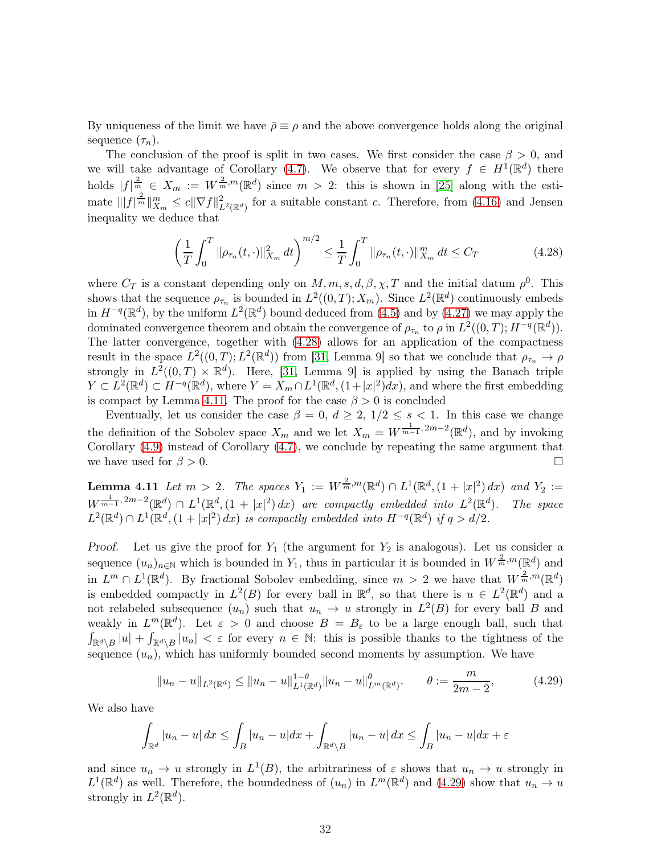By uniqueness of the limit we have  $\bar{\rho} \equiv \rho$  and the above convergence holds along the original sequence  $(\tau_n)$ .

The conclusion of the proof is split in two cases. We first consider the case  $\beta > 0$ , and we will take advantage of Corollary [\(4.7\)](#page-25-1). We observe that for every  $f \in H^1(\mathbb{R}^d)$  there holds  $|f|_{\frac{n}{2}}^{\frac{n}{2}} \in X_m := W^{\frac{2}{m},m}(\mathbb{R}^d)$  since  $m > 2$ : this is shown in [\[25\]](#page-46-7) along with the estimate  $|||f|^{\frac{2}{m}}||_{X_m}^m \leq c||\nabla f||^2_{L^2(\mathbb{R}^d)}$  for a suitable constant c. Therefore, from [\(4.16\)](#page-25-2) and Jensen inequality we deduce that

<span id="page-31-1"></span>
$$
\left(\frac{1}{T}\int_{0}^{T}\|\rho_{\tau_{n}}(t,\cdot)\|_{X_{m}}^{2}dt\right)^{m/2} \leq \frac{1}{T}\int_{0}^{T}\|\rho_{\tau_{n}}(t,\cdot)\|_{X_{m}}^{m}dt \leq C_{T}
$$
\n(4.28)

where  $C_T$  is a constant depending only on  $M, m, s, d, \beta, \chi, T$  and the initial datum  $\rho^0$ . This shows that the sequence  $\rho_{\tau_n}$  is bounded in  $L^2((0,T);X_m)$ . Since  $L^2(\mathbb{R}^d)$  continuously embeds in  $H^{-q}(\mathbb{R}^d)$ , by the uniform  $L^2(\mathbb{R}^d)$  bound deduced from [\(4.5\)](#page-20-0) and by [\(4.27\)](#page-30-1) we may apply the dominated convergence theorem and obtain the convergence of  $\rho_{\tau_n}$  to  $\rho$  in  $L^2((0,T); H^{-q}(\mathbb{R}^d))$ . The latter convergence, together with [\(4.28\)](#page-31-1) allows for an application of the compactness result in the space  $L^2((0,T);L^2(\mathbb{R}^d))$  from [\[31,](#page-46-8) Lemma 9] so that we conclude that  $\rho_{\tau_n} \to \rho$ strongly in  $L^2((0,T) \times \mathbb{R}^d)$ . Here, [\[31,](#page-46-8) Lemma 9] is applied by using the Banach triple  $Y \subset L^2(\mathbb{R}^d) \subset H^{-q}(\mathbb{R}^d)$ , where  $Y = X_m \cap L^1(\mathbb{R}^d, (1+|x|^2)dx)$ , and where the first embedding is compact by Lemma [4.11.](#page-31-0) The proof for the case  $\beta > 0$  is concluded

Eventually, let us consider the case  $\beta = 0, d \geq 2, 1/2 \leq s < 1$ . In this case we change the definition of the Sobolev space  $X_m$  and we let  $X_m = W^{\frac{1}{m-1}, 2m-2}(\mathbb{R}^d)$ , and by invoking Corollary [\(4.9\)](#page-29-1) instead of Corollary [\(4.7\)](#page-25-1), we conclude by repeating the same argument that we have used for  $\beta > 0$ .

<span id="page-31-0"></span>**Lemma 4.11** Let  $m > 2$ . The spaces  $Y_1 := W^{\frac{2}{m},m}(\mathbb{R}^d) \cap L^1(\mathbb{R}^d, (1 + |x|^2) dx)$  and  $Y_2 :=$  $W^{\frac{1}{m-1},2m-2}(\mathbb{R}^d) \cap L^1(\mathbb{R}^d,(1+|x|^2)dx)$  are compactly embedded into  $L^2(\mathbb{R}^d)$ ). The space  $L^2(\mathbb{R}^d) \cap L^1(\mathbb{R}^d, (1+|x|^2) dx)$  is compactly embedded into  $H^{-q}(\mathbb{R}^d)$  if  $q > d/2$ .

Proof. Let us give the proof for  $Y_1$  (the argument for  $Y_2$  is analogous). Let us consider a sequence  $(u_n)_{n\in\mathbb{N}}$  which is bounded in  $Y_1$ , thus in particular it is bounded in  $W^{\frac{2}{m},m}(\mathbb{R}^d)$  and in  $L^m \cap L^1(\mathbb{R}^d)$ . By fractional Sobolev embedding, since  $m > 2$  we have that  $W^{\frac{2}{m},m}(\mathbb{R}^d)$ is embedded compactly in  $L^2(B)$  for every ball in  $\mathbb{R}^d$ , so that there is  $u \in L^2(\mathbb{R}^d)$  and a not relabeled subsequence  $(u_n)$  such that  $u_n \to u$  strongly in  $L^2(B)$  for every ball B and weakly in  $L^m(\mathbb{R}^d)$ . Let  $\varepsilon > 0$  and choose  $B = B_{\varepsilon}$  to be a large enough ball, such that  $\int_{\mathbb{R}^d\setminus B} |u| + \int_{\mathbb{R}^d\setminus B} |u_n| < \varepsilon$  for every  $n \in \mathbb{N}$ : this is possible thanks to the tightness of the sequence  $(u_n)$ , which has uniformly bounded second moments by assumption. We have

<span id="page-31-2"></span>
$$
||u_n - u||_{L^2(\mathbb{R}^d)} \le ||u_n - u||_{L^1(\mathbb{R}^d)}^{1-\theta} ||u_n - u||_{L^m(\mathbb{R}^d)}^{\theta}.
$$
  $\theta := \frac{m}{2m - 2},$  (4.29)

We also have

$$
\int_{\mathbb{R}^d} |u_n - u| \, dx \le \int_B |u_n - u| \, dx + \int_{\mathbb{R}^d \setminus B} |u_n - u| \, dx \le \int_B |u_n - u| \, dx + \varepsilon
$$

and since  $u_n \to u$  strongly in  $L^1(B)$ , the arbitrariness of  $\varepsilon$  shows that  $u_n \to u$  strongly in  $L^1(\mathbb{R}^d)$  as well. Therefore, the boundedness of  $(u_n)$  in  $L^m(\mathbb{R}^d)$  and  $(4.29)$  show that  $u_n \to u$ strongly in  $L^2(\mathbb{R}^d)$ .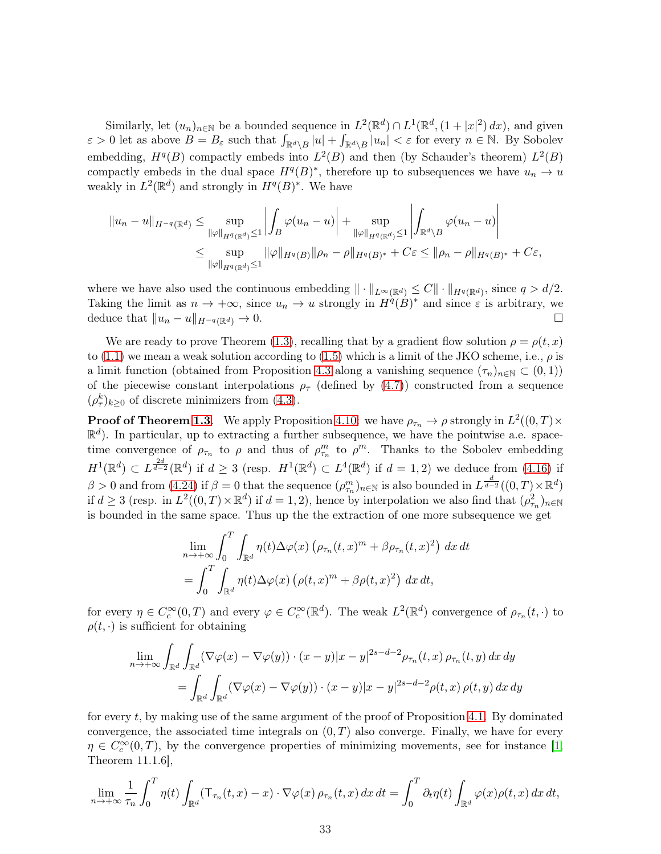Similarly, let  $(u_n)_{n\in\mathbb{N}}$  be a bounded sequence in  $L^2(\mathbb{R}^d) \cap L^1(\mathbb{R}^d, (1+|x|^2) dx)$ , and given  $\varepsilon > 0$  let as above  $B = B_{\varepsilon}$  such that  $\int_{\mathbb{R}^d \setminus B} |u| + \int_{\mathbb{R}^d \setminus B} |u_n| < \varepsilon$  for every  $n \in \mathbb{N}$ . By Sobolev embedding,  $H^q(B)$  compactly embeds into  $L^2(B)$  and then (by Schauder's theorem)  $L^2(B)$ compactly embeds in the dual space  $H^q(B)^*$ , therefore up to subsequences we have  $u_n \to u$ weakly in  $L^2(\mathbb{R}^d)$  and strongly in  $H^q(B)^*$ . We have

$$
||u_n - u||_{H^{-q}(\mathbb{R}^d)} \le \sup_{\|\varphi\|_{H^{q}(\mathbb{R}^d)} \le 1} \left| \int_B \varphi(u_n - u) \right| + \sup_{\|\varphi\|_{H^{q}(\mathbb{R}^d)} \le 1} \left| \int_{\mathbb{R}^d \setminus B} \varphi(u_n - u) \right|
$$
  

$$
\le \sup_{\|\varphi\|_{H^{q}(\mathbb{R}^d)} \le 1} \|\varphi\|_{H^{q}(B)} \|\rho_n - \rho\|_{H^{q}(B)^*} + C\varepsilon \le \|\rho_n - \rho\|_{H^{q}(B)^*} + C\varepsilon,
$$

where we have also used the continuous embedding  $\|\cdot\|_{L^{\infty}(\mathbb{R}^d)} \leq C \|\cdot\|_{H^q(\mathbb{R}^d)}$ , since  $q > d/2$ . Taking the limit as  $n \to +\infty$ , since  $u_n \to u$  strongly in  $H^{\hat{q}}(\hat{B})^*$  and since  $\varepsilon$  is arbitrary, we deduce that  $||u_n - u||_{H^{-q}(\mathbb{R}^d)} \to 0.$ 

We are ready to prove Theorem [\(1.3\)](#page-2-2), recalling that by a gradient flow solution  $\rho = \rho(t, x)$ to [\(1.1\)](#page-0-0) we mean a weak solution according to [\(1.5\)](#page-2-1) which is a limit of the JKO scheme, i.e.,  $\rho$  is a limit function (obtained from Proposition [4.3](#page-20-3) along a vanishing sequence  $(\tau_n)_{n\in\mathbb{N}}\subset(0,1)$ ) of the piecewise constant interpolations  $\rho_{\tau}$  (defined by [\(4.7\)](#page-20-2)) constructed from a sequence  $(\rho_{\tau}^{k})_{k\geq 0}$  of discrete minimizers from [\(4.3\)](#page-19-2).

**Proof of Theorem [1.3](#page-2-2).** We apply Proposition [4.10:](#page-29-2) we have  $\rho_{\tau_n} \to \rho$  strongly in  $L^2((0,T) \times$  $\mathbb{R}^d$ ). In particular, up to extracting a further subsequence, we have the pointwise a.e. spacetime convergence of  $\rho_{\tau_n}$  to  $\rho$  and thus of  $\rho_{\tau_n}^m$  to  $\rho^m$ . Thanks to the Sobolev embedding  $H^1(\mathbb{R}^d) \subset L^{\frac{2d}{d-2}}(\mathbb{R}^d)$  if  $d \geq 3$  (resp.  $H^1(\mathbb{R}^d) \subset L^4(\mathbb{R}^d)$  if  $d = 1,2$ ) we deduce from [\(4.16\)](#page-25-2) if  $\beta > 0$  and from  $(4.24)$  if  $\beta = 0$  that the sequence  $(\rho_{\tau_n}^m)_{n \in \mathbb{N}}$  is also bounded in  $L^{\frac{d}{d-2}}((0,T) \times \mathbb{R}^d)$ if  $d \geq 3$  (resp. in  $L^2((0,T) \times \mathbb{R}^d)$  if  $d = 1,2$ ), hence by interpolation we also find that  $(\rho_{\tau_n}^2)_{n \in \mathbb{N}}$ is bounded in the same space. Thus up the the extraction of one more subsequence we get

$$
\lim_{n \to +\infty} \int_0^T \int_{\mathbb{R}^d} \eta(t) \Delta \varphi(x) \left( \rho_{\tau_n}(t, x)^m + \beta \rho_{\tau_n}(t, x)^2 \right) dx dt
$$
  
= 
$$
\int_0^T \int_{\mathbb{R}^d} \eta(t) \Delta \varphi(x) \left( \rho(t, x)^m + \beta \rho(t, x)^2 \right) dx dt,
$$

for every  $\eta \in C_c^{\infty}(0,T)$  and every  $\varphi \in C_c^{\infty}(\mathbb{R}^d)$ . The weak  $L^2(\mathbb{R}^d)$  convergence of  $\rho_{\tau_n}(t,\cdot)$  to  $\rho(t, \cdot)$  is sufficient for obtaining

$$
\lim_{n \to +\infty} \int_{\mathbb{R}^d} \int_{\mathbb{R}^d} (\nabla \varphi(x) - \nabla \varphi(y)) \cdot (x - y)|x - y|^{2s - d - 2} \rho_{\tau_n}(t, x) \rho_{\tau_n}(t, y) dx dy
$$
  
= 
$$
\int_{\mathbb{R}^d} \int_{\mathbb{R}^d} (\nabla \varphi(x) - \nabla \varphi(y)) \cdot (x - y)|x - y|^{2s - d - 2} \rho(t, x) \rho(t, y) dx dy
$$

for every t, by making use of the same argument of the proof of Proposition [4.1.](#page-18-3) By dominated convergence, the associated time integrals on  $(0, T)$  also converge. Finally, we have for every  $\eta \in C_c^{\infty}(0,T)$ , by the convergence properties of minimizing movements, see for instance [\[1,](#page-44-5) Theorem 11.1.6],

$$
\lim_{n \to +\infty} \frac{1}{\tau_n} \int_0^T \eta(t) \int_{\mathbb{R}^d} (\mathsf{T}_{\tau_n}(t,x) - x) \cdot \nabla \varphi(x) \, \rho_{\tau_n}(t,x) \, dx \, dt = \int_0^T \partial_t \eta(t) \int_{\mathbb{R}^d} \varphi(x) \rho(t,x) \, dx \, dt,
$$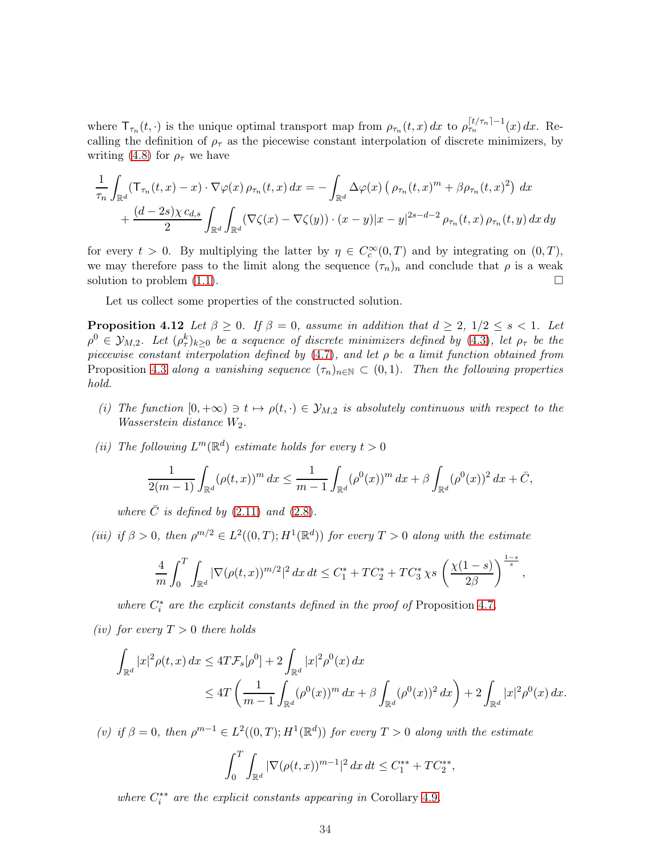where  $\mathsf{T}_{\tau_n}(t, \cdot)$  is the unique optimal transport map from  $\rho_{\tau_n}(t, x) dx$  to  $\rho_{\tau_n}^{\lceil t/\tau_n \rceil - 1}(x) dx$ . Recalling the definition of  $\rho_{\tau}$  as the piecewise constant interpolation of discrete minimizers, by writing [\(4.8\)](#page-21-1) for  $\rho_{\tau}$  we have

$$
\frac{1}{\tau_n} \int_{\mathbb{R}^d} (\mathsf{T}_{\tau_n}(t,x) - x) \cdot \nabla \varphi(x) \, \rho_{\tau_n}(t,x) \, dx = - \int_{\mathbb{R}^d} \Delta \varphi(x) \left( \rho_{\tau_n}(t,x)^m + \beta \rho_{\tau_n}(t,x)^2 \right) \, dx \n+ \frac{(d-2s)\chi \, c_{d,s}}{2} \int_{\mathbb{R}^d} \int_{\mathbb{R}^d} (\nabla \zeta(x) - \nabla \zeta(y)) \cdot (x-y) |x-y|^{2s-d-2} \, \rho_{\tau_n}(t,x) \, \rho_{\tau_n}(t,y) \, dx \, dy
$$

for every  $t > 0$ . By multiplying the latter by  $\eta \in C_c^{\infty}(0,T)$  and by integrating on  $(0,T)$ , we may therefore pass to the limit along the sequence  $(\tau_n)_n$  and conclude that  $\rho$  is a weak solution to problem  $(1.1)$ .

<span id="page-33-0"></span>Let us collect some properties of the constructed solution.

**Proposition 4.12** Let  $\beta \geq 0$ . If  $\beta = 0$ , assume in addition that  $d \geq 2$ ,  $1/2 \leq s < 1$ . Let  $\rho^0 \in \mathcal{Y}_{M,2}$ . Let  $(\rho_\tau^k)_{k\geq 0}$  be a sequence of discrete minimizers defined by [\(4.3\)](#page-19-2), let  $\rho_\tau$  be the piecewise constant interpolation defined by  $(4.7)$ , and let  $\rho$  be a limit function obtained from Proposition [4.3](#page-20-3) along a vanishing sequence  $(\tau_n)_{n\in\mathbb{N}}\subset(0,1)$ . Then the following properties hold.

- (i) The function  $[0, +\infty) \ni t \mapsto \rho(t, \cdot) \in \mathcal{Y}_{M,2}$  is absolutely continuous with respect to the *Wasserstein distance*  $W_2$ .
- (ii) The following  $L^m(\mathbb{R}^d)$  estimate holds for every  $t > 0$

$$
\frac{1}{2(m-1)} \int_{\mathbb{R}^d} (\rho(t,x))^m dx \le \frac{1}{m-1} \int_{\mathbb{R}^d} (\rho^0(x))^m dx + \beta \int_{\mathbb{R}^d} (\rho^0(x))^2 dx + \bar{C},
$$

where  $\bar{C}$  is defined by [\(2.11\)](#page-6-8) and [\(2.8\)](#page-5-4).

(iii) if  $\beta > 0$ , then  $\rho^{m/2} \in L^2((0,T); H^1(\mathbb{R}^d))$  for every  $T > 0$  along with the estimate

$$
\frac{4}{m}\int_0^T\int_{\mathbb{R}^d} |\nabla (\rho(t,x))^{m/2}|^2\,dx\,dt \leq C_1^* +TC_2^* +TC_3^*\,\chi s\,\left(\frac{\chi(1-s)}{2\beta}\right)^{\frac{1-s}{s}},
$$

where  $C_i^*$  are the explicit constants defined in the proof of Proposition [4.7](#page-25-1).

(iv) for every  $T > 0$  there holds

$$
\int_{\mathbb{R}^d} |x|^2 \rho(t,x) dx \le 4T \mathcal{F}_s[\rho^0] + 2 \int_{\mathbb{R}^d} |x|^2 \rho^0(x) dx
$$
  
\n
$$
\le 4T \left( \frac{1}{m-1} \int_{\mathbb{R}^d} (\rho^0(x))^m dx + \beta \int_{\mathbb{R}^d} (\rho^0(x))^2 dx \right) + 2 \int_{\mathbb{R}^d} |x|^2 \rho^0(x) dx.
$$

(v) if  $\beta = 0$ , then  $\rho^{m-1} \in L^2((0,T); H^1(\mathbb{R}^d))$  for every  $T > 0$  along with the estimate

$$
\int_0^T \int_{\mathbb{R}^d} |\nabla(\rho(t,x))^{m-1}|^2 dx dt \le C_1^{**} + TC_2^{**},
$$

where  $C_i^{**}$  are the explicit constants appearing in Corollary [4.9](#page-29-1).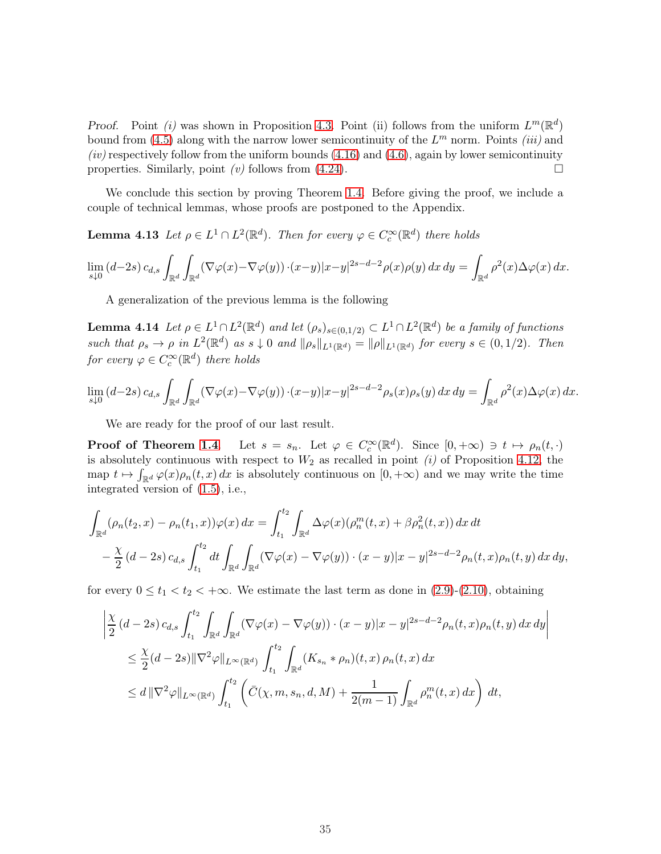Proof. Point (i) was shown in Proposition [4.3.](#page-20-3) Point (ii) follows from the uniform  $L^m(\mathbb{R}^d)$ bound from [\(4.5\)](#page-20-0) along with the narrow lower semicontinuity of the  $L^m$  norm. Points *(iii)* and  $(iv)$  respectively follow from the uniform bounds  $(4.16)$  and  $(4.6)$ , again by lower semicontinuity properties. Similarly, point (v) follows from  $(4.24)$ .

<span id="page-34-1"></span>We conclude this section by proving Theorem [1.4.](#page-3-3) Before giving the proof, we include a couple of technical lemmas, whose proofs are postponed to the Appendix.

**Lemma 4.13** Let  $\rho \in L^1 \cap L^2(\mathbb{R}^d)$ . Then for every  $\varphi \in C_c^{\infty}(\mathbb{R}^d)$  there holds

$$
\lim_{s\downarrow 0} (d-2s) c_{d,s} \int_{\mathbb{R}^d} \int_{\mathbb{R}^d} (\nabla \varphi(x) - \nabla \varphi(y)) \cdot (x-y) |x-y|^{2s-d-2} \rho(x) \rho(y) dx dy = \int_{\mathbb{R}^d} \rho^2(x) \Delta \varphi(x) dx.
$$

<span id="page-34-0"></span>A generalization of the previous lemma is the following

**Lemma 4.14** Let  $\rho \in L^1 \cap L^2(\mathbb{R}^d)$  and let  $(\rho_s)_{s \in (0,1/2)} \subset L^1 \cap L^2(\mathbb{R}^d)$  be a family of functions such that  $\rho_s \to \rho$  in  $L^2(\mathbb{R}^d)$  as  $s \downarrow 0$  and  $\|\rho_s\|_{L^1(\mathbb{R}^d)} = \|\rho\|_{L^1(\mathbb{R}^d)}$  for every  $s \in (0, 1/2)$ . Then for every  $\varphi \in C_c^{\infty}(\mathbb{R}^d)$  there holds

$$
\lim_{s\downarrow 0} (d-2s) c_{d,s} \int_{\mathbb{R}^d} \int_{\mathbb{R}^d} (\nabla \varphi(x) - \nabla \varphi(y)) \cdot (x-y) |x-y|^{2s-d-2} \rho_s(x) \rho_s(y) dx dy = \int_{\mathbb{R}^d} \rho^2(x) \Delta \varphi(x) dx.
$$

We are ready for the proof of our last result.

**Proof of Theorem [1.4](#page-3-3).** Let  $s = s_n$ . Let  $\varphi \in C_c^{\infty}(\mathbb{R}^d)$ . Since  $[0, +\infty) \ni t \mapsto \rho_n(t, \cdot)$ is absolutely continuous with respect to  $W_2$  as recalled in point (i) of Proposition [4.12,](#page-33-0) the map  $t \mapsto \int_{\mathbb{R}^d} \varphi(x) \rho_n(t, x) dx$  is absolutely continuous on  $[0, +\infty)$  and we may write the time integrated version of [\(1.5\)](#page-2-1), i.e.,

$$
\int_{\mathbb{R}^d} (\rho_n(t_2, x) - \rho_n(t_1, x)) \varphi(x) dx = \int_{t_1}^{t_2} \int_{\mathbb{R}^d} \Delta \varphi(x) (\rho_n^m(t, x) + \beta \rho_n^2(t, x)) dx dt \n- \frac{\chi}{2} (d - 2s) c_{d,s} \int_{t_1}^{t_2} dt \int_{\mathbb{R}^d} (\nabla \varphi(x) - \nabla \varphi(y)) \cdot (x - y) |x - y|^{2s - d - 2} \rho_n(t, x) \rho_n(t, y) dx dy,
$$

for every  $0 \le t_1 < t_2 < +\infty$ . We estimate the last term as done in  $(2.9)-(2.10)$  $(2.9)-(2.10)$ , obtaining

$$
\left| \frac{\chi}{2} (d - 2s) c_{d,s} \int_{t_1}^{t_2} \int_{\mathbb{R}^d} \int_{\mathbb{R}^d} (\nabla \varphi(x) - \nabla \varphi(y)) \cdot (x - y) |x - y|^{2s - d - 2} \rho_n(t, x) \rho_n(t, y) dx dy \right|
$$
  
\n
$$
\leq \frac{\chi}{2} (d - 2s) \| \nabla^2 \varphi \|_{L^\infty(\mathbb{R}^d)} \int_{t_1}^{t_2} \int_{\mathbb{R}^d} (K_{s_n} * \rho_n)(t, x) \rho_n(t, x) dx
$$
  
\n
$$
\leq d \| \nabla^2 \varphi \|_{L^\infty(\mathbb{R}^d)} \int_{t_1}^{t_2} \left( \bar{C}(\chi, m, s_n, d, M) + \frac{1}{2(m - 1)} \int_{\mathbb{R}^d} \rho_n^m(t, x) dx \right) dt,
$$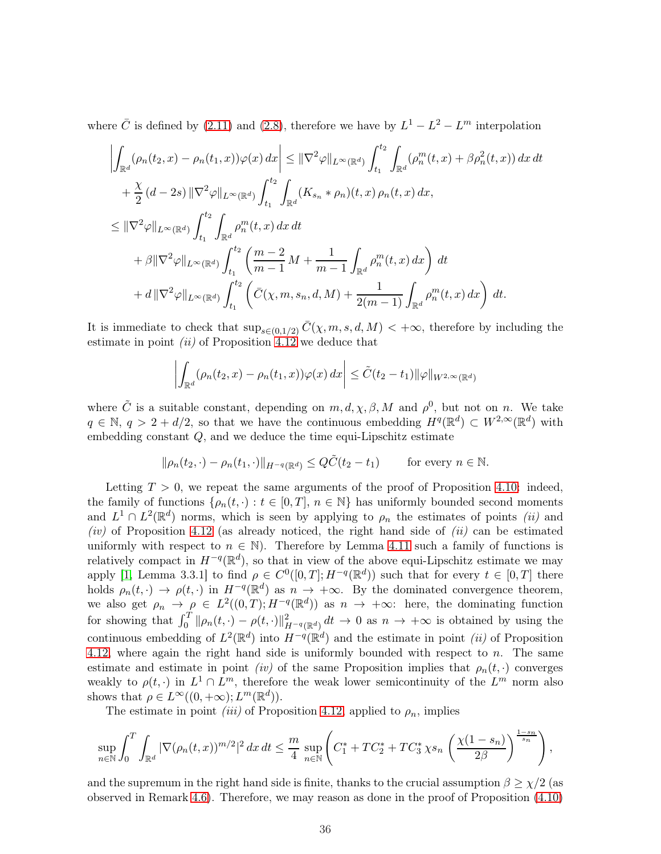where  $\overline{C}$  is defined by [\(2.11\)](#page-6-8) and [\(2.8\)](#page-5-4), therefore we have by  $L^1 - L^2 - L^m$  interpolation

$$
\left| \int_{\mathbb{R}^d} (\rho_n(t_2, x) - \rho_n(t_1, x)) \varphi(x) dx \right| \leq \|\nabla^2 \varphi\|_{L^\infty(\mathbb{R}^d)} \int_{t_1}^{t_2} \int_{\mathbb{R}^d} (\rho_n^m(t, x) + \beta \rho_n^2(t, x)) dx dt \n+ \frac{\chi}{2} (d - 2s) \|\nabla^2 \varphi\|_{L^\infty(\mathbb{R}^d)} \int_{t_1}^{t_2} \int_{\mathbb{R}^d} (K_{s_n} * \rho_n)(t, x) \rho_n(t, x) dx, \n\leq \|\nabla^2 \varphi\|_{L^\infty(\mathbb{R}^d)} \int_{t_1}^{t_2} \int_{\mathbb{R}^d} \rho_n^m(t, x) dx dt \n+ \beta \|\nabla^2 \varphi\|_{L^\infty(\mathbb{R}^d)} \int_{t_1}^{t_2} \left( \frac{m - 2}{m - 1} M + \frac{1}{m - 1} \int_{\mathbb{R}^d} \rho_n^m(t, x) dx \right) dt \n+ d \|\nabla^2 \varphi\|_{L^\infty(\mathbb{R}^d)} \int_{t_1}^{t_2} \left( \bar{C}(\chi, m, s_n, d, M) + \frac{1}{2(m - 1)} \int_{\mathbb{R}^d} \rho_n^m(t, x) dx \right) dt.
$$

It is immediate to check that  $\sup_{s\in(0,1/2)} \overline{C}(\chi,m,s,d,M) < +\infty$ , therefore by including the estimate in point  $(ii)$  of Proposition [4.12](#page-33-0) we deduce that

$$
\left| \int_{\mathbb{R}^d} (\rho_n(t_2, x) - \rho_n(t_1, x)) \varphi(x) \, dx \right| \leq \tilde{C}(t_2 - t_1) \|\varphi\|_{W^{2, \infty}(\mathbb{R}^d)}
$$

where  $\tilde{C}$  is a suitable constant, depending on  $m, d, \chi, \beta, M$  and  $\rho^0$ , but not on n. We take  $q \in \mathbb{N}, q > 2 + d/2$ , so that we have the continuous embedding  $H^q(\mathbb{R}^d) \subset W^{2,\infty}(\mathbb{R}^d)$  with embedding constant  $Q$ , and we deduce the time equi-Lipschitz estimate

$$
\|\rho_n(t_2,\cdot)-\rho_n(t_1,\cdot)\|_{H^{-q}(\mathbb{R}^d)}\leq Q\tilde{C}(t_2-t_1)\qquad\text{for every }n\in\mathbb{N}.
$$

Letting  $T > 0$ , we repeat the same arguments of the proof of Proposition [4.10:](#page-29-2) indeed, the family of functions  $\{\rho_n(t, \cdot) : t \in [0, T], n \in \mathbb{N}\}\)$  has uniformly bounded second moments and  $L^1 \cap L^2(\mathbb{R}^d)$  norms, which is seen by applying to  $\rho_n$  the estimates of points *(ii)* and (iv) of Proposition [4.12](#page-33-0) (as already noticed, the right hand side of  $(ii)$  can be estimated uniformly with respect to  $n \in \mathbb{N}$ . Therefore by Lemma [4.11](#page-31-0) such a family of functions is relatively compact in  $H^{-q}(\mathbb{R}^d)$ , so that in view of the above equi-Lipschitz estimate we may apply [\[1,](#page-44-5) Lemma 3.3.1] to find  $\rho \in C^0([0,T]; H^{-q}(\mathbb{R}^d))$  such that for every  $t \in [0,T]$  there holds  $\rho_n(t, \cdot) \to \rho(t, \cdot)$  in  $H^{-q}(\mathbb{R}^d)$  as  $n \to +\infty$ . By the dominated convergence theorem, we also get  $\rho_n \to \rho \in L^2((0,T); H^{-q}(\mathbb{R}^d))$  as  $n \to +\infty$ : here, the dominating function for showing that  $\int_0^T \|\rho_n(t, \cdot) - \rho(t, \cdot)\|_{H^{-q}(\mathbb{R}^d)}^2 dt \to 0$  as  $n \to +\infty$  is obtained by using the continuous embedding of  $L^2(\mathbb{R}^d)$  into  $H^{-q}(\mathbb{R}^d)$  and the estimate in point *(ii)* of Proposition [4.12,](#page-33-0) where again the right hand side is uniformly bounded with respect to  $n$ . The same estimate and estimate in point *(iv)* of the same Proposition implies that  $\rho_n(t, \cdot)$  converges weakly to  $\rho(t, \cdot)$  in  $L^1 \cap L^m$ , therefore the weak lower semicontinuity of the  $L^m$  norm also shows that  $\rho \in L^{\infty}((0, +\infty); L^m(\mathbb{R}^d)).$ 

The estimate in point *(iii)* of Proposition [4.12,](#page-33-0) applied to  $\rho_n$ , implies

$$
\sup_{n \in \mathbb{N}} \int_0^T \int_{\mathbb{R}^d} |\nabla (\rho_n(t,x))^{m/2}|^2 \, dx \, dt \leq \frac{m}{4} \sup_{n \in \mathbb{N}} \left( C_1^* + TC_2^* + TC_3^* \chi s_n \left( \frac{\chi(1-s_n)}{2\beta} \right)^{\frac{1-s_n}{s_n}} \right),
$$

and the supremum in the right hand side is finite, thanks to the crucial assumption  $\beta \geq \chi/2$  (as observed in Remark [4.6\)](#page-25-3). Therefore, we may reason as done in the proof of Proposition [\(4.10\)](#page-29-2)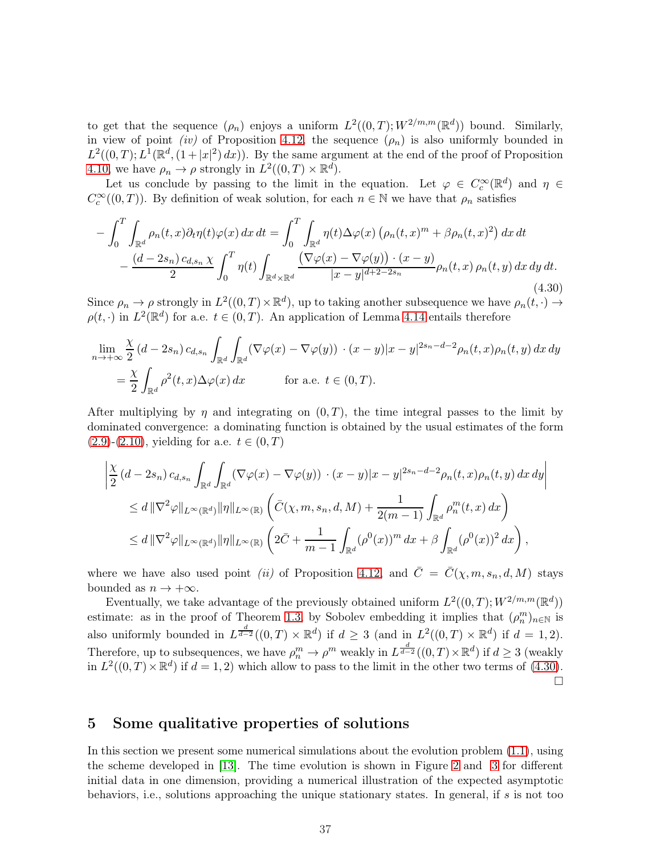to get that the sequence  $(\rho_n)$  enjoys a uniform  $L^2((0,T);W^{2/m,m}(\mathbb{R}^d))$  bound. Similarly, in view of point *(iv)* of Proposition [4.12,](#page-33-0) the sequence  $(\rho_n)$  is also uniformly bounded in  $L^2((0,T);L^1(\mathbb{R}^d,(1+|x|^2)\,dx))$ . By the same argument at the end of the proof of Proposition [4.10,](#page-29-2) we have  $\rho_n \to \rho$  strongly in  $L^2((0,T) \times \mathbb{R}^d)$ .

Let us conclude by passing to the limit in the equation. Let  $\varphi \in C_c^{\infty}(\mathbb{R}^d)$  and  $\eta \in$  $C_c^{\infty}((0,T))$ . By definition of weak solution, for each  $n \in \mathbb{N}$  we have that  $\rho_n$  satisfies

<span id="page-36-1"></span>
$$
-\int_0^T \int_{\mathbb{R}^d} \rho_n(t, x) \partial_t \eta(t) \varphi(x) dx dt = \int_0^T \int_{\mathbb{R}^d} \eta(t) \Delta \varphi(x) \left( \rho_n(t, x)^m + \beta \rho_n(t, x)^2 \right) dx dt -\frac{(d - 2s_n) c_{d, s_n} \chi}{2} \int_0^T \eta(t) \int_{\mathbb{R}^d \times \mathbb{R}^d} \frac{\left( \nabla \varphi(x) - \nabla \varphi(y) \right) \cdot (x - y)}{|x - y|^{d + 2 - 2s_n}} \rho_n(t, x) \rho_n(t, y) dx dy dt.
$$
\n(4.30)

Since  $\rho_n \to \rho$  strongly in  $L^2((0,T)\times \mathbb{R}^d)$ , up to taking another subsequence we have  $\rho_n(t,\cdot) \to$  $\rho(t, \cdot)$  in  $L^2(\mathbb{R}^d)$  for a.e.  $t \in (0, T)$ . An application of Lemma [4.14](#page-34-0) entails therefore

$$
\lim_{n \to +\infty} \frac{\chi}{2} (d - 2s_n) c_{d,s_n} \int_{\mathbb{R}^d} \int_{\mathbb{R}^d} (\nabla \varphi(x) - \nabla \varphi(y)) \cdot (x - y)|x - y|^{2s_n - d - 2} \rho_n(t, x) \rho_n(t, y) dx dy
$$
  
= 
$$
\frac{\chi}{2} \int_{\mathbb{R}^d} \rho^2(t, x) \Delta \varphi(x) dx \qquad \text{for a.e. } t \in (0, T).
$$

After multiplying by  $\eta$  and integrating on  $(0, T)$ , the time integral passes to the limit by dominated convergence: a dominating function is obtained by the usual estimates of the form  $(2.9)-(2.10)$  $(2.9)-(2.10)$  $(2.9)-(2.10)$ , yielding for a.e.  $t \in (0, T)$ 

$$
\left| \frac{\chi}{2} (d - 2s_n) c_{d,s_n} \int_{\mathbb{R}^d} \int_{\mathbb{R}^d} (\nabla \varphi(x) - \nabla \varphi(y)) \cdot (x - y) |x - y|^{2s_n - d - 2} \rho_n(t, x) \rho_n(t, y) dx dy \right|
$$
  
\n
$$
\leq d \|\nabla^2 \varphi\|_{L^{\infty}(\mathbb{R}^d)} \|\eta\|_{L^{\infty}(\mathbb{R})} \left( \bar{C}(\chi, m, s_n, d, M) + \frac{1}{2(m - 1)} \int_{\mathbb{R}^d} \rho_n^m(t, x) dx \right)
$$
  
\n
$$
\leq d \|\nabla^2 \varphi\|_{L^{\infty}(\mathbb{R}^d)} \|\eta\|_{L^{\infty}(\mathbb{R})} \left( 2\bar{C} + \frac{1}{m - 1} \int_{\mathbb{R}^d} (\rho^0(x))^m dx + \beta \int_{\mathbb{R}^d} (\rho^0(x))^2 dx \right),
$$

where we have also used point *(ii)* of Proposition [4.12,](#page-33-0) and  $\overline{C} = \overline{C}(\chi, m, s_n, d, M)$  stays bounded as  $n \to +\infty$ .

Eventually, we take advantage of the previously obtained uniform  $L^2((0,T);W^{2/m,m}(\mathbb{R}^d))$ estimate: as in the proof of Theorem [1.3,](#page-2-2) by Sobolev embedding it implies that  $(\rho_n^m)_{n\in\mathbb{N}}$  is also uniformly bounded in  $L^{\frac{d}{d-2}}((0,T)\times\mathbb{R}^d)$  if  $d\geq 3$  (and in  $L^2((0,T)\times\mathbb{R}^d)$  if  $d=1,2$ ). Therefore, up to subsequences, we have  $\rho_n^m \to \rho^m$  weakly in  $L^{\frac{d}{d-2}}((0,T)\times \mathbb{R}^d)$  if  $d \geq 3$  (weakly in  $L^2((0,T)\times \mathbb{R}^d)$  if  $d=1,2)$  which allow to pass to the limit in the other two terms of [\(4.30\)](#page-36-1).  $\Box$ 

## <span id="page-36-0"></span>5 Some qualitative properties of solutions

In this section we present some numerical simulations about the evolution problem [\(1.1\)](#page-0-0), using the scheme developed in [\[13\]](#page-45-15). The time evolution is shown in Figure [2](#page-37-0) and [3](#page-37-1) for different initial data in one dimension, providing a numerical illustration of the expected asymptotic behaviors, i.e., solutions approaching the unique stationary states. In general, if s is not too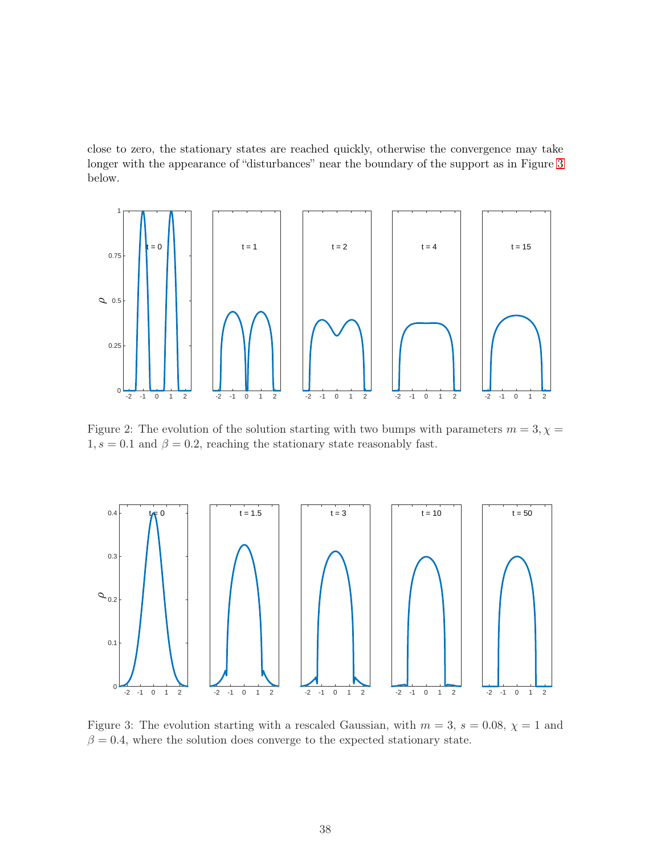close to zero, the stationary states are reached quickly, otherwise the convergence may take longer with the appearance of "disturbances" near the boundary of the support as in Figure [3](#page-37-1) below.

<span id="page-37-0"></span>

Figure 2: The evolution of the solution starting with two bumps with parameters  $m = 3, \chi =$  $1, s = 0.1$  and  $\beta = 0.2$ , reaching the stationary state reasonably fast.

<span id="page-37-1"></span>

Figure 3: The evolution starting with a rescaled Gaussian, with  $m = 3$ ,  $s = 0.08$ ,  $\chi = 1$  and  $\beta = 0.4$ , where the solution does converge to the expected stationary state.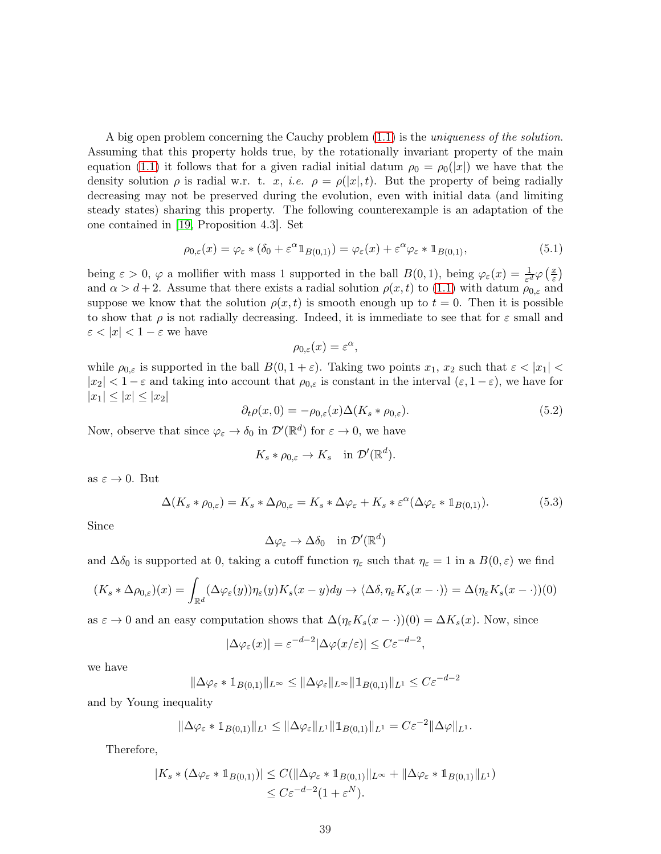A big open problem concerning the Cauchy problem [\(1.1\)](#page-0-0) is the uniqueness of the solution. Assuming that this property holds true, by the rotationally invariant property of the main equation [\(1.1\)](#page-0-0) it follows that for a given radial initial datum  $\rho_0 = \rho_0(|x|)$  we have that the density solution  $\rho$  is radial w.r. t. x, i.e.  $\rho = \rho(|x|, t)$ . But the property of being radially decreasing may not be preserved during the evolution, even with initial data (and limiting steady states) sharing this property. The following counterexample is an adaptation of the one contained in [\[19,](#page-45-11) Proposition 4.3]. Set

<span id="page-38-0"></span>
$$
\rho_{0,\varepsilon}(x) = \varphi_{\varepsilon} * (\delta_0 + \varepsilon^{\alpha} 1_{B(0,1)}) = \varphi_{\varepsilon}(x) + \varepsilon^{\alpha} \varphi_{\varepsilon} * 1_{B(0,1)},
$$
\n(5.1)

being  $\varepsilon > 0$ ,  $\varphi$  a mollifier with mass 1 supported in the ball  $B(0,1)$ , being  $\varphi_{\varepsilon}(x) = \frac{1}{\varepsilon^d} \varphi\left(\frac{x}{\varepsilon}\right)$  $\frac{x}{\varepsilon}$ and  $\alpha > d+2$ . Assume that there exists a radial solution  $\rho(x, t)$  to [\(1.1\)](#page-0-0) with datum  $\rho_{0,\varepsilon}$  and suppose we know that the solution  $\rho(x, t)$  is smooth enough up to  $t = 0$ . Then it is possible to show that  $\rho$  is not radially decreasing. Indeed, it is immediate to see that for  $\varepsilon$  small and  $\varepsilon < |x| < 1 - \varepsilon$  we have

$$
\rho_{0,\varepsilon}(x) = \varepsilon^{\alpha},
$$

while  $\rho_{0,\varepsilon}$  is supported in the ball  $B(0, 1+\varepsilon)$ . Taking two points  $x_1, x_2$  such that  $\varepsilon < |x_1|$  $|x_2| < 1 - \varepsilon$  and taking into account that  $\rho_{0,\varepsilon}$  is constant in the interval  $(\varepsilon, 1 - \varepsilon)$ , we have for  $|x_1| \leq |x| \leq |x_2|$ 

<span id="page-38-2"></span>
$$
\partial_t \rho(x,0) = -\rho_{0,\varepsilon}(x) \Delta(K_s * \rho_{0,\varepsilon}). \tag{5.2}
$$

Now, observe that since  $\varphi_{\varepsilon} \to \delta_0$  in  $\mathcal{D}'(\mathbb{R}^d)$  for  $\varepsilon \to 0$ , we have

$$
K_s * \rho_{0,\varepsilon} \to K_s \quad \text{in } \mathcal{D}'(\mathbb{R}^d).
$$

as  $\varepsilon \to 0$ . But

<span id="page-38-1"></span>
$$
\Delta(K_s * \rho_{0,\varepsilon}) = K_s * \Delta \rho_{0,\varepsilon} = K_s * \Delta \varphi_{\varepsilon} + K_s * \varepsilon^{\alpha} (\Delta \varphi_{\varepsilon} * 1_{B(0,1)}).
$$
(5.3)

Since

$$
\Delta \varphi_{\varepsilon} \to \Delta \delta_0 \quad \text{in } \mathcal{D}'(\mathbb{R}^d)
$$

and  $\Delta \delta_0$  is supported at 0, taking a cutoff function  $\eta_{\varepsilon}$  such that  $\eta_{\varepsilon} = 1$  in a  $B(0,\varepsilon)$  we find

$$
(K_s * \Delta \rho_{0,\varepsilon})(x) = \int_{\mathbb{R}^d} (\Delta \varphi_{\varepsilon}(y)) \eta_{\varepsilon}(y) K_s(x - y) dy \to \langle \Delta \delta, \eta_{\varepsilon} K_s(x - \cdot) \rangle = \Delta(\eta_{\varepsilon} K_s(x - \cdot))(0)
$$

as  $\varepsilon \to 0$  and an easy computation shows that  $\Delta(\eta_{\varepsilon}K_s(x-\cdot))(0) = \Delta K_s(x)$ . Now, since

$$
|\Delta \varphi_{\varepsilon}(x)| = \varepsilon^{-d-2} |\Delta \varphi(x/\varepsilon)| \le C \varepsilon^{-d-2},
$$

we have

$$
\|\Delta\varphi_{\varepsilon} * \mathbb{1}_{B(0,1)}\|_{L^{\infty}} \le \|\Delta\varphi_{\varepsilon}\|_{L^{\infty}} \|\mathbb{1}_{B(0,1)}\|_{L^{1}} \le C\varepsilon^{-d-2}
$$

and by Young inequality

$$
\|\Delta \varphi_{\varepsilon} * 1_{B(0,1)}\|_{L^1} \le \|\Delta \varphi_{\varepsilon}\|_{L^1} \|\mathbb{1}_{B(0,1)}\|_{L^1} = C\varepsilon^{-2} \|\Delta \varphi\|_{L^1}.
$$

Therefore,

$$
|K_s * (\Delta \varphi_{\varepsilon} * 1_{B(0,1)})| \leq C(||\Delta \varphi_{\varepsilon} * 1_{B(0,1)}||_{L^{\infty}} + ||\Delta \varphi_{\varepsilon} * 1_{B(0,1)}||_{L^1})
$$
  

$$
\leq C\varepsilon^{-d-2}(1 + \varepsilon^N).
$$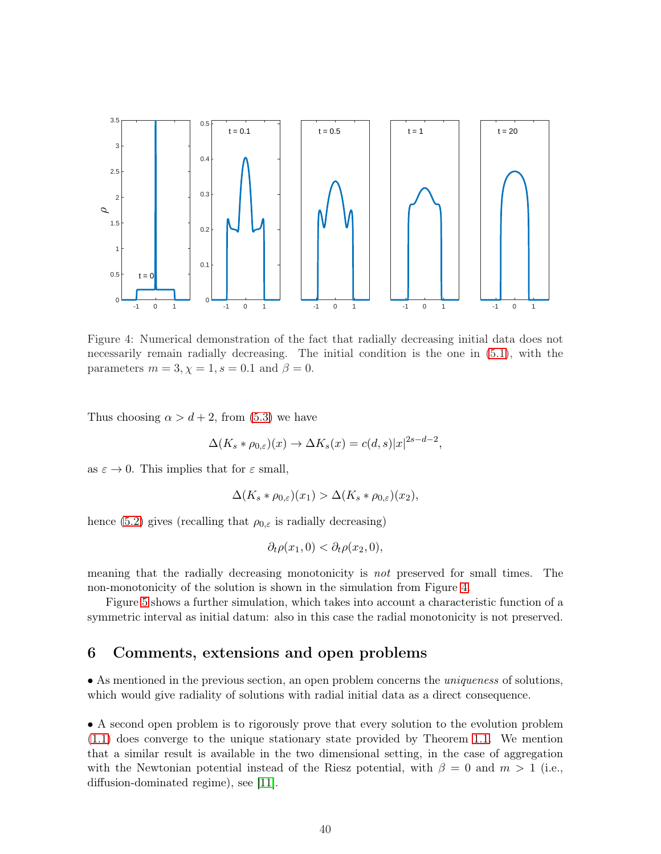<span id="page-39-1"></span>

Figure 4: Numerical demonstration of the fact that radially decreasing initial data does not necessarily remain radially decreasing. The initial condition is the one in [\(5.1\)](#page-38-0), with the parameters  $m = 3, \chi = 1, s = 0.1$  and  $\beta = 0$ .

Thus choosing  $\alpha > d + 2$ , from [\(5.3\)](#page-38-1) we have

$$
\Delta(K_s * \rho_{0,\varepsilon})(x) \to \Delta K_s(x) = c(d,s)|x|^{2s-d-2},
$$

as  $\varepsilon \to 0$ . This implies that for  $\varepsilon$  small,

$$
\Delta(K_s * \rho_{0,\varepsilon})(x_1) > \Delta(K_s * \rho_{0,\varepsilon})(x_2),
$$

hence [\(5.2\)](#page-38-2) gives (recalling that  $\rho_{0,\varepsilon}$  is radially decreasing)

$$
\partial_t \rho(x_1,0) < \partial_t \rho(x_2,0),
$$

meaning that the radially decreasing monotonicity is not preserved for small times. The non-monotonicity of the solution is shown in the simulation from Figure [4.](#page-39-1)

Figure [5](#page-40-0) shows a further simulation, which takes into account a characteristic function of a symmetric interval as initial datum: also in this case the radial monotonicity is not preserved.

## <span id="page-39-0"></span>6 Comments, extensions and open problems

• As mentioned in the previous section, an open problem concerns the *uniqueness* of solutions, which would give radiality of solutions with radial initial data as a direct consequence.

• A second open problem is to rigorously prove that every solution to the evolution problem [\(1.1\)](#page-0-0) does converge to the unique stationary state provided by Theorem [1.1.](#page-1-1) We mention that a similar result is available in the two dimensional setting, in the case of aggregation with the Newtonian potential instead of the Riesz potential, with  $\beta = 0$  and  $m > 1$  (i.e., diffusion-dominated regime), see [\[11\]](#page-45-6).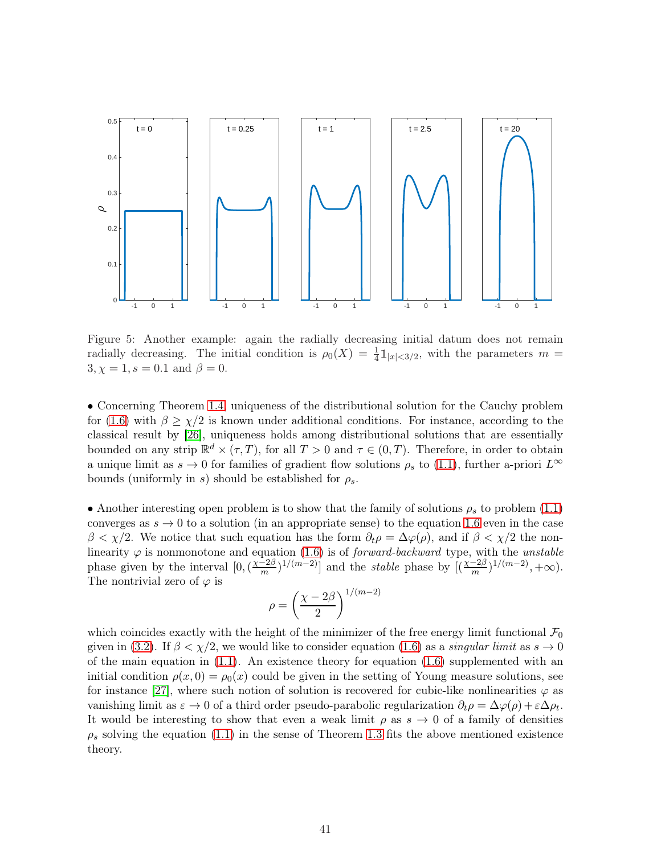<span id="page-40-0"></span>

Figure 5: Another example: again the radially decreasing initial datum does not remain radially decreasing. The initial condition is  $\rho_0(X) = \frac{1}{4} \mathbb{1}_{|x| < 3/2}$ , with the parameters  $m =$  $3, \chi = 1, s = 0.1$  and  $\beta = 0$ .

• Concerning Theorem [1.4,](#page-3-3) uniqueness of the distributional solution for the Cauchy problem for [\(1.6\)](#page-2-0) with  $\beta \geq \chi/2$  is known under additional conditions. For instance, according to the classical result by [\[26\]](#page-46-9), uniqueness holds among distributional solutions that are essentially bounded on any strip  $\mathbb{R}^d \times (\tau, T)$ , for all  $T > 0$  and  $\tau \in (0, T)$ . Therefore, in order to obtain a unique limit as  $s \to 0$  for families of gradient flow solutions  $\rho_s$  to [\(1.1\)](#page-0-0), further a-priori  $L^{\infty}$ bounds (uniformly in s) should be established for  $\rho_s$ .

• Another interesting open problem is to show that the family of solutions  $\rho_s$  to problem [\(1.1\)](#page-0-0) converges as  $s \to 0$  to a solution (in an appropriate sense) to the equation [1.6](#page-2-0) even in the case  $\beta < \chi/2$ . We notice that such equation has the form  $\partial_t \rho = \Delta \varphi(\rho)$ , and if  $\beta < \chi/2$  the nonlinearity  $\varphi$  is nonmonotone and equation [\(1.6\)](#page-2-0) is of *forward-backward* type, with the *unstable* phase given by the interval  $[0, (\frac{\chi - 2\beta}{m})]$  $\frac{-2\beta}{m}$ )<sup>1/(m-2)</sup>] and the *stable* phase by  $[(\frac{\chi-2\beta}{m})^{1/(m-2)}, +\infty)$ . The nontrivial zero of  $\varphi$  is

$$
\rho = \left(\frac{\chi - 2\beta}{2}\right)^{1/(m-2)}
$$

which coincides exactly with the height of the minimizer of the free energy limit functional  $\mathcal{F}_0$ given in [\(3.2\)](#page-11-2). If  $\beta < \chi/2$ , we would like to consider equation [\(1.6\)](#page-2-0) as a *singular limit* as  $s \to 0$ of the main equation in  $(1.1)$ . An existence theory for equation  $(1.6)$  supplemented with an initial condition  $\rho(x, 0) = \rho_0(x)$  could be given in the setting of Young measure solutions, see for instance [\[27\]](#page-46-10), where such notion of solution is recovered for cubic-like nonlinearities  $\varphi$  as vanishing limit as  $\varepsilon \to 0$  of a third order pseudo-parabolic regularization  $\partial_t \rho = \Delta \varphi(\rho) + \varepsilon \Delta \rho_t$ . It would be interesting to show that even a weak limit  $\rho$  as  $s \to 0$  of a family of densities  $\rho_s$  solving the equation [\(1.1\)](#page-0-0) in the sense of Theorem [1.3](#page-2-2) fits the above mentioned existence theory.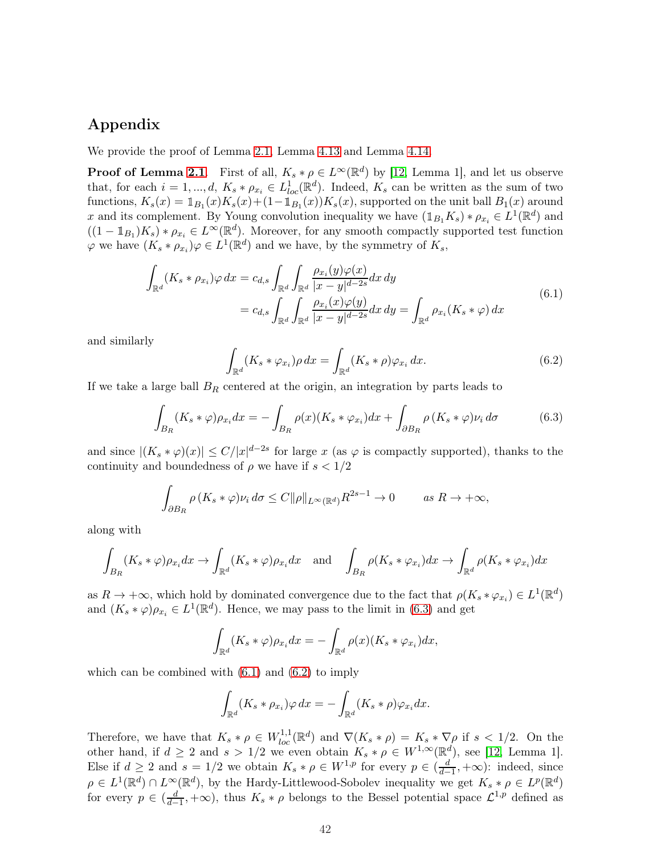# Appendix

We provide the proof of Lemma [2.1,](#page-3-1) Lemma [4.13](#page-34-1) and Lemma [4.14.](#page-34-0)

**Proof of Lemma [2.1](#page-3-1).** First of all,  $K_s * \rho \in L^{\infty}(\mathbb{R}^d)$  by [\[12,](#page-45-2) Lemma 1], and let us observe that, for each  $i = 1, ..., d$ ,  $K_s * \rho_{x_i} \in L^1_{loc}(\mathbb{R}^d)$ . Indeed,  $K_s$  can be written as the sum of two functions,  $K_s(x) = \mathbb{1}_{B_1}(x)K_s(x) + (1-\mathbb{1}_{B_1}(x))K_s(x)$ , supported on the unit ball  $B_1(x)$  around x and its complement. By Young convolution inequality we have  $(\mathbb{1}_{B_1}K_s) * \rho_{x_i} \in L^1(\mathbb{R}^d)$  and  $((1 - \mathbb{1}_{B_1})K_s) * \rho_{x_i} \in L^\infty(\mathbb{R}^d)$ . Moreover, for any smooth compactly supported test function  $\varphi$  we have  $(K_s * \rho_{x_i})\varphi \in L^1(\mathbb{R}^d)$  and we have, by the symmetry of  $K_s$ ,

<span id="page-41-1"></span>
$$
\int_{\mathbb{R}^d} (K_s * \rho_{x_i}) \varphi \, dx = c_{d,s} \int_{\mathbb{R}^d} \int_{\mathbb{R}^d} \frac{\rho_{x_i}(y) \varphi(x)}{|x - y|^{d - 2s}} dx \, dy
$$
\n
$$
= c_{d,s} \int_{\mathbb{R}^d} \int_{\mathbb{R}^d} \frac{\rho_{x_i}(x) \varphi(y)}{|x - y|^{d - 2s}} dx \, dy = \int_{\mathbb{R}^d} \rho_{x_i}(K_s * \varphi) \, dx \tag{6.1}
$$

and similarly

<span id="page-41-2"></span>
$$
\int_{\mathbb{R}^d} (K_s * \varphi_{x_i}) \rho \, dx = \int_{\mathbb{R}^d} (K_s * \rho) \varphi_{x_i} \, dx.
$$
\n(6.2)

If we take a large ball  $B_R$  centered at the origin, an integration by parts leads to

<span id="page-41-0"></span>
$$
\int_{B_R} (K_s * \varphi) \rho_{x_i} dx = - \int_{B_R} \rho(x) (K_s * \varphi_{x_i}) dx + \int_{\partial B_R} \rho (K_s * \varphi) \nu_i d\sigma \tag{6.3}
$$

and since  $|(K_s * \varphi)(x)| \le C/|x|^{d-2s}$  for large x (as  $\varphi$  is compactly supported), thanks to the continuity and boundedness of  $\rho$  we have if  $s < 1/2$ 

$$
\int_{\partial B_R} \rho(K_s * \varphi) \nu_i \, d\sigma \le C \|\rho\|_{L^\infty(\mathbb{R}^d)} R^{2s-1} \to 0 \qquad \text{as } R \to +\infty,
$$

along with

$$
\int_{B_R} (K_s * \varphi) \rho_{x_i} dx \to \int_{\mathbb{R}^d} (K_s * \varphi) \rho_{x_i} dx \text{ and } \int_{B_R} \rho(K_s * \varphi_{x_i}) dx \to \int_{\mathbb{R}^d} \rho(K_s * \varphi_{x_i}) dx
$$

as  $R \to +\infty$ , which hold by dominated convergence due to the fact that  $\rho(K_s * \varphi_{x_i}) \in L^1(\mathbb{R}^d)$ and  $(K_s * \varphi)\rho_{x_i} \in L^1(\mathbb{R}^d)$ . Hence, we may pass to the limit in [\(6.3\)](#page-41-0) and get

$$
\int_{\mathbb{R}^d} (K_s * \varphi) \rho_{x_i} dx = - \int_{\mathbb{R}^d} \rho(x) (K_s * \varphi_{x_i}) dx,
$$

which can be combined with  $(6.1)$  and  $(6.2)$  to imply

$$
\int_{\mathbb{R}^d} (K_s * \rho_{x_i}) \varphi \, dx = - \int_{\mathbb{R}^d} (K_s * \rho) \varphi_{x_i} dx.
$$

Therefore, we have that  $K_s * \rho \in W_{loc}^{1,1}(\mathbb{R}^d)$  and  $\nabla (K_s * \rho) = K_s * \nabla \rho$  if  $s < 1/2$ . On the other hand, if  $d \geq 2$  and  $s > 1/2$  we even obtain  $K_s * \rho \in W^{1,\infty}(\mathbb{R}^d)$ , see [\[12,](#page-45-2) Lemma 1]. Else if  $d \geq 2$  and  $s = 1/2$  we obtain  $K_s * \rho \in W^{1,p}$  for every  $p \in (\frac{d}{d-1})$  $\frac{d}{d-1}$ , +∞): indeed, since  $\rho \in L^1(\mathbb{R}^d) \cap L^{\infty}(\mathbb{R}^d)$ , by the Hardy-Littlewood-Sobolev inequality we get  $K_s * \rho \in L^p(\mathbb{R}^d)$ for every  $p \in (\frac{d}{d-1})$  $\frac{d}{d-1}$ , + $\infty$ ), thus  $K_s * \rho$  belongs to the Bessel potential space  $\mathcal{L}^{1,p}$  defined as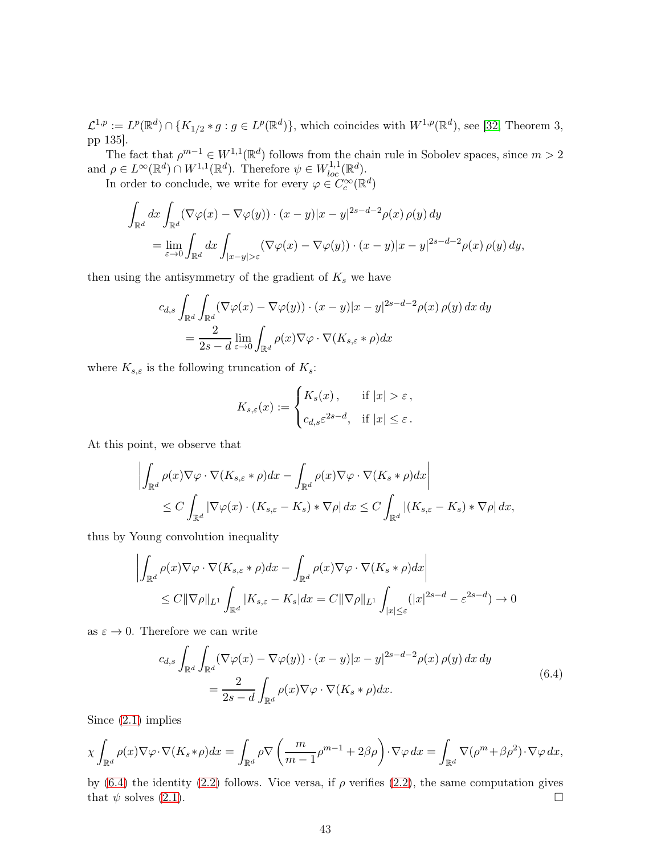$\mathcal{L}^{1,p} := L^p(\mathbb{R}^d) \cap \{K_{1/2} * g : g \in L^p(\mathbb{R}^d)\}\,$ , which coincides with  $W^{1,p}(\mathbb{R}^d)$ , see [\[32,](#page-46-11) Theorem 3, pp 135].

The fact that  $\rho^{m-1} \in W^{1,1}(\mathbb{R}^d)$  follows from the chain rule in Sobolev spaces, since  $m > 2$ and  $\rho \in L^{\infty}(\mathbb{R}^d) \cap W^{1,1}(\mathbb{R}^d)$ . Therefore  $\psi \in W^{1,1}_{loc}(\mathbb{R}^d)$ .

In order to conclude, we write for every  $\varphi \in C_c^{\infty}(\mathbb{R}^d)$ 

$$
\int_{\mathbb{R}^d} dx \int_{\mathbb{R}^d} (\nabla \varphi(x) - \nabla \varphi(y)) \cdot (x - y)|x - y|^{2s - d - 2} \rho(x) \rho(y) dy
$$
\n
$$
= \lim_{\varepsilon \to 0} \int_{\mathbb{R}^d} dx \int_{|x - y| > \varepsilon} (\nabla \varphi(x) - \nabla \varphi(y)) \cdot (x - y)|x - y|^{2s - d - 2} \rho(x) \rho(y) dy,
$$

then using the antisymmetry of the gradient of  $K_s$  we have

$$
c_{d,s} \int_{\mathbb{R}^d} \int_{\mathbb{R}^d} (\nabla \varphi(x) - \nabla \varphi(y)) \cdot (x - y)|x - y|^{2s - d - 2} \rho(x) \rho(y) dx dy
$$
  
= 
$$
\frac{2}{2s - d} \lim_{\varepsilon \to 0} \int_{\mathbb{R}^d} \rho(x) \nabla \varphi \cdot \nabla(K_{s,\varepsilon} * \rho) dx
$$

where  $K_{s,\varepsilon}$  is the following truncation of  $K_s$ :

$$
K_{s,\varepsilon}(x) := \begin{cases} K_s(x), & \text{if } |x| > \varepsilon, \\ c_{d,s} \varepsilon^{2s-d}, & \text{if } |x| \le \varepsilon. \end{cases}
$$

At this point, we observe that

$$
\left| \int_{\mathbb{R}^d} \rho(x) \nabla \varphi \cdot \nabla (K_{s,\varepsilon} * \rho) dx - \int_{\mathbb{R}^d} \rho(x) \nabla \varphi \cdot \nabla (K_s * \rho) dx \right|
$$
  
\n
$$
\leq C \int_{\mathbb{R}^d} |\nabla \varphi(x) \cdot (K_{s,\varepsilon} - K_s) * \nabla \rho| dx \leq C \int_{\mathbb{R}^d} |(K_{s,\varepsilon} - K_s) * \nabla \rho| dx,
$$

thus by Young convolution inequality

$$
\left| \int_{\mathbb{R}^d} \rho(x) \nabla \varphi \cdot \nabla (K_{s,\varepsilon} * \rho) dx - \int_{\mathbb{R}^d} \rho(x) \nabla \varphi \cdot \nabla (K_s * \rho) dx \right|
$$
  
\n
$$
\leq C ||\nabla \rho||_{L^1} \int_{\mathbb{R}^d} |K_{s,\varepsilon} - K_s| dx = C ||\nabla \rho||_{L^1} \int_{|x| \leq \varepsilon} (|x|^{2s-d} - \varepsilon^{2s-d}) \to 0
$$

as  $\varepsilon \to 0$ . Therefore we can write

<span id="page-42-0"></span>
$$
c_{d,s} \int_{\mathbb{R}^d} \int_{\mathbb{R}^d} (\nabla \varphi(x) - \nabla \varphi(y)) \cdot (x - y)|x - y|^{2s - d - 2} \rho(x) \rho(y) dx dy
$$
  
= 
$$
\frac{2}{2s - d} \int_{\mathbb{R}^d} \rho(x) \nabla \varphi \cdot \nabla (K_s * \rho) dx.
$$
 (6.4)

Since [\(2.1\)](#page-3-2) implies

$$
\chi \int_{\mathbb{R}^d} \rho(x) \nabla \varphi \cdot \nabla (K_s * \rho) dx = \int_{\mathbb{R}^d} \rho \nabla \left( \frac{m}{m-1} \rho^{m-1} + 2\beta \rho \right) \cdot \nabla \varphi dx = \int_{\mathbb{R}^d} \nabla (\rho^m + \beta \rho^2) \cdot \nabla \varphi dx,
$$

by [\(6.4\)](#page-42-0) the identity [\(2.2\)](#page-3-4) follows. Vice versa, if  $\rho$  verifies (2.2), the same computation gives that  $\psi$  solves [\(2.1\)](#page-3-2).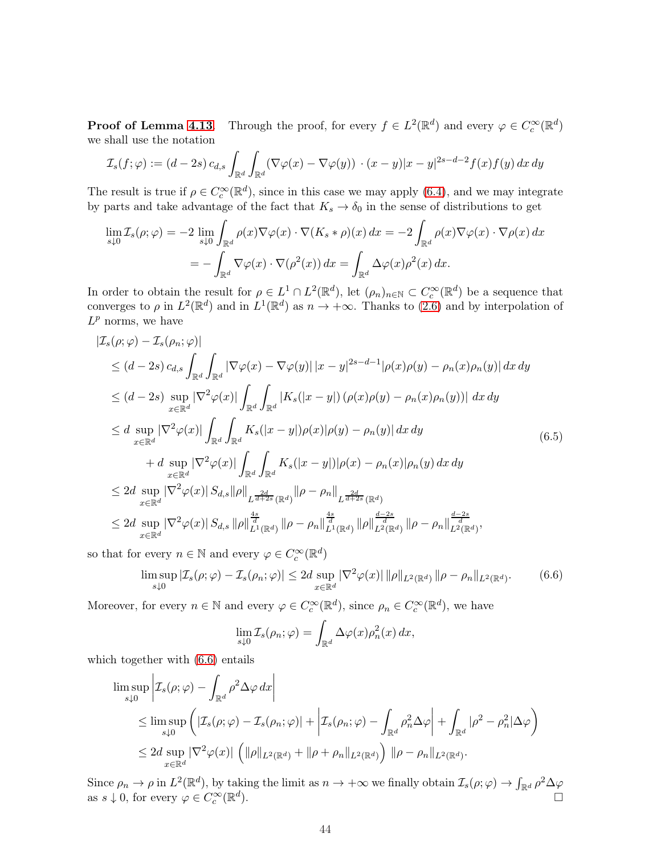**Proof of Lemma [4.13](#page-34-1)**. Through the proof, for every  $f \in L^2(\mathbb{R}^d)$  and every  $\varphi \in C_c^{\infty}(\mathbb{R}^d)$ we shall use the notation

$$
\mathcal{I}_s(f; \varphi) := (d-2s) c_{d,s} \int_{\mathbb{R}^d} \int_{\mathbb{R}^d} (\nabla \varphi(x) - \nabla \varphi(y)) \cdot (x-y)|x-y|^{2s-d-2} f(x) f(y) dx dy
$$

The result is true if  $\rho \in C_c^{\infty}(\mathbb{R}^d)$ , since in this case we may apply [\(6.4\)](#page-42-0), and we may integrate by parts and take advantage of the fact that  $K_s \to \delta_0$  in the sense of distributions to get

$$
\lim_{s \downarrow 0} \mathcal{I}_s(\rho; \varphi) = -2 \lim_{s \downarrow 0} \int_{\mathbb{R}^d} \rho(x) \nabla \varphi(x) \cdot \nabla (K_s * \rho)(x) dx = -2 \int_{\mathbb{R}^d} \rho(x) \nabla \varphi(x) \cdot \nabla \rho(x) dx
$$

$$
= - \int_{\mathbb{R}^d} \nabla \varphi(x) \cdot \nabla (\rho^2(x)) dx = \int_{\mathbb{R}^d} \Delta \varphi(x) \rho^2(x) dx.
$$

In order to obtain the result for  $\rho \in L^1 \cap L^2(\mathbb{R}^d)$ , let  $(\rho_n)_{n \in \mathbb{N}} \subset C_c^{\infty}(\mathbb{R}^d)$  be a sequence that converges to  $\rho$  in  $L^2(\mathbb{R}^d)$  and in  $L^1(\mathbb{R}^d)$  as  $n \to +\infty$ . Thanks to [\(2.6\)](#page-5-0) and by interpolation of  $L^p$  norms, we have

<span id="page-43-1"></span>
$$
\begin{split}\n|\mathcal{I}_{s}(\rho;\varphi)-\mathcal{I}_{s}(\rho_{n};\varphi)| \\
&\leq (d-2s)\,c_{d,s}\int_{\mathbb{R}^{d}}\int_{\mathbb{R}^{d}}|\nabla\varphi(x)-\nabla\varphi(y)||x-y|^{2s-d-1}|\rho(x)\rho(y)-\rho_{n}(x)\rho_{n}(y)|\,dx\,dy \\
&\leq (d-2s)\sup_{x\in\mathbb{R}^{d}}|\nabla^{2}\varphi(x)|\int_{\mathbb{R}^{d}}\int_{\mathbb{R}^{d}}|K_{s}(|x-y|)\left(\rho(x)\rho(y)-\rho_{n}(x)\rho_{n}(y)\right)|\,dx\,dy \\
&\leq d\sup_{x\in\mathbb{R}^{d}}|\nabla^{2}\varphi(x)|\int_{\mathbb{R}^{d}}\int_{\mathbb{R}^{d}}K_{s}(|x-y|)\rho(x)|\rho(y)-\rho_{n}(y)|\,dx\,dy \\
&\quad+ d\sup_{x\in\mathbb{R}^{d}}|\nabla^{2}\varphi(x)|\int_{\mathbb{R}^{d}}\int_{\mathbb{R}^{d}}K_{s}(|x-y|)|\rho(x)-\rho_{n}(x)|\rho_{n}(y)\,dx\,dy \\
&\leq 2d\sup_{x\in\mathbb{R}^{d}}|\nabla^{2}\varphi(x)|\,S_{d,s}\|\rho\|_{L^{\frac{2d}{d+2s}}(\mathbb{R}^{d})}|\rho-\rho_{n}\|_{L^{\frac{2d}{d+2s}}(\mathbb{R}^{d})} \\
&\leq 2d\sup_{x\in\mathbb{R}^{d}}|\nabla^{2}\varphi(x)|\,S_{d,s}\|\rho\|_{L^{1}(\mathbb{R}^{d})}^{\frac{4s}{d}}\|\rho-\rho_{n}\|_{L^{1}(\mathbb{R}^{d})}^{\frac{4}{d}}\|\rho-\rho_{n}\|_{L^{2}(\mathbb{R}^{d})}^{\frac{d-2s}{d}}\|\rho-\rho_{n}\|_{L^{2}(\mathbb{R}^{d})}^{\frac{d-2s}{d}}.\n\end{split}
$$

so that for every  $n \in \mathbb{N}$  and every  $\varphi \in C_c^{\infty}(\mathbb{R}^d)$ 

<span id="page-43-0"></span>
$$
\limsup_{s\downarrow 0} |\mathcal{I}_s(\rho;\varphi) - \mathcal{I}_s(\rho_n;\varphi)| \le 2d \sup_{x\in\mathbb{R}^d} |\nabla^2 \varphi(x)| \, \|\rho\|_{L^2(\mathbb{R}^d)} \, \|\rho - \rho_n\|_{L^2(\mathbb{R}^d)}.
$$
 (6.6)

Moreover, for every  $n \in \mathbb{N}$  and every  $\varphi \in C_c^{\infty}(\mathbb{R}^d)$ , since  $\rho_n \in C_c^{\infty}(\mathbb{R}^d)$ , we have

$$
\lim_{s\downarrow 0} \mathcal{I}_s(\rho_n; \varphi) = \int_{\mathbb{R}^d} \Delta \varphi(x) \rho_n^2(x) \, dx,
$$

which together with [\(6.6\)](#page-43-0) entails

$$
\limsup_{s\downarrow 0} \left| \mathcal{I}_s(\rho;\varphi) - \int_{\mathbb{R}^d} \rho^2 \Delta \varphi \, dx \right|
$$
\n
$$
\leq \limsup_{s\downarrow 0} \left( \left| \mathcal{I}_s(\rho;\varphi) - \mathcal{I}_s(\rho_n;\varphi) \right| + \left| \mathcal{I}_s(\rho_n;\varphi) - \int_{\mathbb{R}^d} \rho_n^2 \Delta \varphi \right| + \int_{\mathbb{R}^d} |\rho^2 - \rho_n^2| \Delta \varphi \right)
$$
\n
$$
\leq 2d \sup_{x \in \mathbb{R}^d} |\nabla^2 \varphi(x)| \left( \|\rho\|_{L^2(\mathbb{R}^d)} + \|\rho + \rho_n\|_{L^2(\mathbb{R}^d)} \right) \|\rho - \rho_n\|_{L^2(\mathbb{R}^d)}.
$$

Since  $\rho_n \to \rho$  in  $L^2(\mathbb{R}^d)$ , by taking the limit as  $n \to +\infty$  we finally obtain  $\mathcal{I}_s(\rho;\varphi) \to \int_{\mathbb{R}^d} \rho^2 \Delta \varphi$ as  $s \downarrow 0$ , for every  $\varphi \in C_c^{\infty}(\mathbb{R}^d)$ .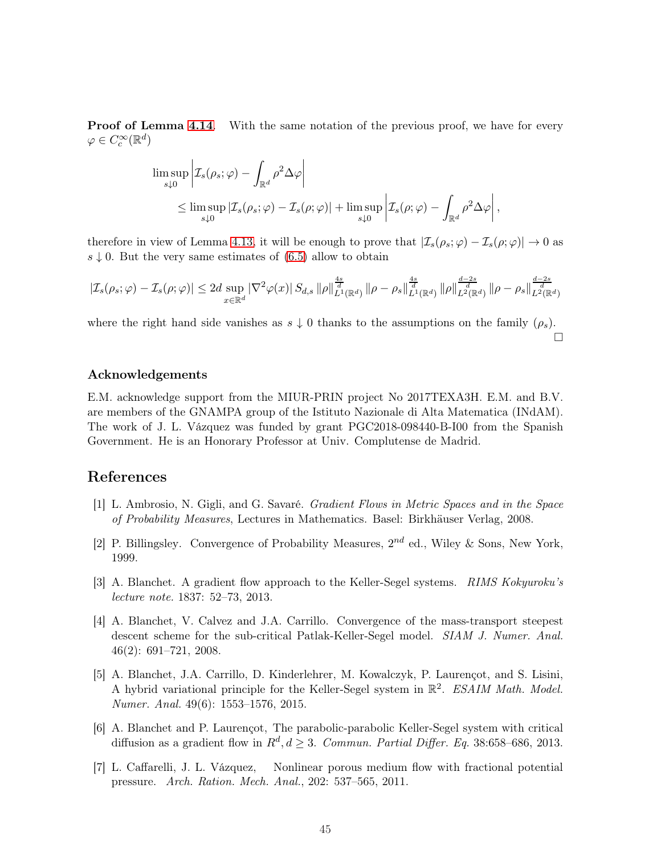**Proof of Lemma [4.14](#page-34-0).** With the same notation of the previous proof, we have for every  $\varphi \in C_c^{\infty}(\mathbb{R}^d)$ 

$$
\limsup_{s\downarrow 0} \left| \mathcal{I}_s(\rho_s; \varphi) - \int_{\mathbb{R}^d} \rho^2 \Delta \varphi \right|
$$
  
\n
$$
\leq \limsup_{s\downarrow 0} |\mathcal{I}_s(\rho_s; \varphi) - \mathcal{I}_s(\rho; \varphi)| + \limsup_{s\downarrow 0} \left| \mathcal{I}_s(\rho; \varphi) - \int_{\mathbb{R}^d} \rho^2 \Delta \varphi \right|,
$$

therefore in view of Lemma [4.13,](#page-34-1) it will be enough to prove that  $|\mathcal{I}_s(\rho_s;\varphi) - \mathcal{I}_s(\rho;\varphi)| \to 0$  as  $s \downarrow 0$ . But the very same estimates of [\(6.5\)](#page-43-1) allow to obtain

$$
|\mathcal{I}_s(\rho_s; \varphi) - \mathcal{I}_s(\rho; \varphi)| \leq 2d \sup_{x \in \mathbb{R}^d} |\nabla^2 \varphi(x)| S_{d,s} ||\rho||_{L^1(\mathbb{R}^d)}^{\frac{4s}{d}} ||\rho - \rho_s||_{L^1(\mathbb{R}^d)}^{\frac{4s}{d}} ||\rho||_{L^2(\mathbb{R}^d)}^{\frac{d-2s}{d}} ||\rho - \rho_s||_{L^2(\mathbb{R}^d)}^{\frac{d-2s}{d}}
$$

where the right hand side vanishes as  $s \downarrow 0$  thanks to the assumptions on the family  $(\rho_s)$ .  $\Box$ 

#### Acknowledgements

E.M. acknowledge support from the MIUR-PRIN project No 2017TEXA3H. E.M. and B.V. are members of the GNAMPA group of the Istituto Nazionale di Alta Matematica (INdAM). The work of J. L. Vázquez was funded by grant PGC2018-098440-B-I00 from the Spanish Government. He is an Honorary Professor at Univ. Complutense de Madrid.

#### <span id="page-44-5"></span>References

- [1] L. Ambrosio, N. Gigli, and G. Savaré. Gradient Flows in Metric Spaces and in the Space of Probability Measures, Lectures in Mathematics. Basel: Birkhäuser Verlag, 2008.
- <span id="page-44-6"></span><span id="page-44-1"></span>[2] P. Billingsley. Convergence of Probability Measures,  $2^{nd}$  ed., Wiley & Sons, New York, 1999.
- [3] A. Blanchet. A gradient flow approach to the Keller-Segel systems. RIMS Kokyuroku's lecture note. 1837: 52–73, 2013.
- <span id="page-44-0"></span>[4] A. Blanchet, V. Calvez and J.A. Carrillo. Convergence of the mass-transport steepest descent scheme for the sub-critical Patlak-Keller-Segel model. SIAM J. Numer. Anal. 46(2): 691–721, 2008.
- <span id="page-44-3"></span>[5] A. Blanchet, J.A. Carrillo, D. Kinderlehrer, M. Kowalczyk, P. Laurençot, and S. Lisini, A hybrid variational principle for the Keller-Segel system in  $\mathbb{R}^2$ . ESAIM Math. Model. Numer. Anal. 49(6): 1553–1576, 2015.
- <span id="page-44-2"></span>[6] A. Blanchet and P. Laurençot, The parabolic-parabolic Keller-Segel system with critical diffusion as a gradient flow in  $R^d$ ,  $d \geq 3$ . Commun. Partial Differ. Eq. 38:658-686, 2013.
- <span id="page-44-4"></span>[7] L. Caffarelli, J. L. Vázquez, Nonlinear porous medium flow with fractional potential pressure. Arch. Ration. Mech. Anal., 202: 537–565, 2011.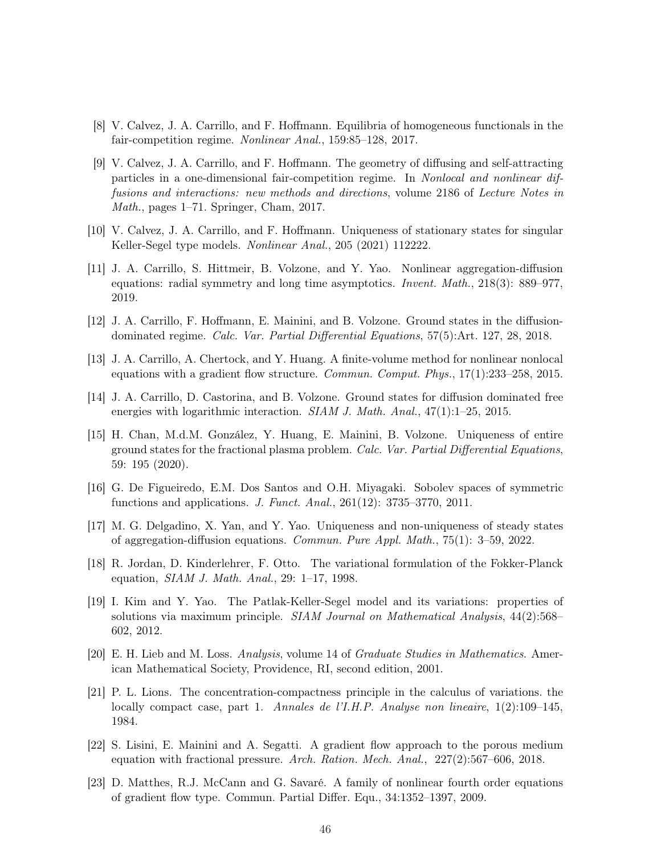- <span id="page-45-1"></span><span id="page-45-0"></span>[8] V. Calvez, J. A. Carrillo, and F. Hoffmann. Equilibria of homogeneous functionals in the fair-competition regime. Nonlinear Anal., 159:85–128, 2017.
- [9] V. Calvez, J. A. Carrillo, and F. Hoffmann. The geometry of diffusing and self-attracting particles in a one-dimensional fair-competition regime. In Nonlocal and nonlinear diffusions and interactions: new methods and directions, volume 2186 of Lecture Notes in Math., pages 1–71. Springer, Cham, 2017.
- <span id="page-45-6"></span><span id="page-45-3"></span>[10] V. Calvez, J. A. Carrillo, and F. Hoffmann. Uniqueness of stationary states for singular Keller-Segel type models. Nonlinear Anal., 205 (2021) 112222.
- [11] J. A. Carrillo, S. Hittmeir, B. Volzone, and Y. Yao. Nonlinear aggregation-diffusion equations: radial symmetry and long time asymptotics. Invent. Math., 218(3): 889–977, 2019.
- <span id="page-45-15"></span><span id="page-45-2"></span>[12] J. A. Carrillo, F. Hoffmann, E. Mainini, and B. Volzone. Ground states in the diffusiondominated regime. Calc. Var. Partial Differential Equations, 57(5):Art. 127, 28, 2018.
- <span id="page-45-12"></span>[13] J. A. Carrillo, A. Chertock, and Y. Huang. A finite-volume method for nonlinear nonlocal equations with a gradient flow structure. Commun. Comput. Phys., 17(1):233–258, 2015.
- <span id="page-45-4"></span>[14] J. A. Carrillo, D. Castorina, and B. Volzone. Ground states for diffusion dominated free energies with logarithmic interaction. SIAM J. Math. Anal.,  $47(1)$ :1–25, 2015.
- [15] H. Chan, M.d.M. González, Y. Huang, E. Mainini, B. Volzone. Uniqueness of entire ground states for the fractional plasma problem. Calc. Var. Partial Differential Equations, 59: 195 (2020).
- <span id="page-45-13"></span><span id="page-45-5"></span>[16] G. De Figueiredo, E.M. Dos Santos and O.H. Miyagaki. Sobolev spaces of symmetric functions and applications. J. Funct. Anal., 261(12): 3735–3770, 2011.
- <span id="page-45-8"></span>[17] M. G. Delgadino, X. Yan, and Y. Yao. Uniqueness and non-uniqueness of steady states of aggregation-diffusion equations. Commun. Pure Appl. Math., 75(1): 3–59, 2022.
- <span id="page-45-11"></span>[18] R. Jordan, D. Kinderlehrer, F. Otto. The variational formulation of the Fokker-Planck equation, SIAM J. Math. Anal., 29: 1–17, 1998.
- [19] I. Kim and Y. Yao. The Patlak-Keller-Segel model and its variations: properties of solutions via maximum principle. SIAM Journal on Mathematical Analysis, 44(2):568– 602, 2012.
- <span id="page-45-10"></span><span id="page-45-9"></span>[20] E. H. Lieb and M. Loss. Analysis, volume 14 of Graduate Studies in Mathematics. American Mathematical Society, Providence, RI, second edition, 2001.
- [21] P. L. Lions. The concentration-compactness principle in the calculus of variations. the locally compact case, part 1. Annales de l'I.H.P. Analyse non lineaire, 1(2):109–145, 1984.
- <span id="page-45-7"></span>[22] S. Lisini, E. Mainini and A. Segatti. A gradient flow approach to the porous medium equation with fractional pressure. Arch. Ration. Mech. Anal., 227(2):567–606, 2018.
- <span id="page-45-14"></span>[23] D. Matthes, R.J. McCann and G. Savaré. A family of nonlinear fourth order equations of gradient flow type. Commun. Partial Differ. Equ., 34:1352–1397, 2009.